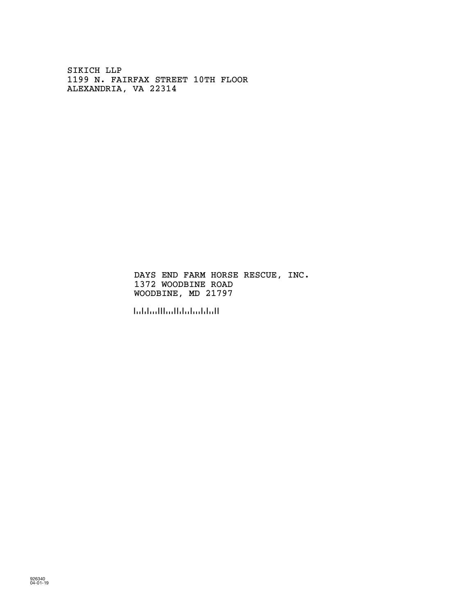SIKICH LLP 1199 N. FAIRFAX STREET 10TH FLOOR ALEXANDRIA, VA 22314

> DAYS END FARM HORSE RESCUE, INC. 1372 WOODBINE ROAD WOODBINE, MD 21797

!217974!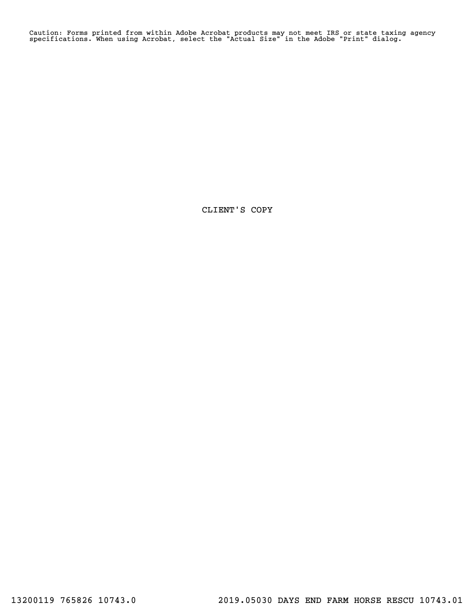Caution: Forms printed from within Adobe Acrobat products may not meet IRS or state taxing agency specifications. When using Acrobat, select the "Actual Size" in the Adobe "Print" dialog.

CLIENT'S COPY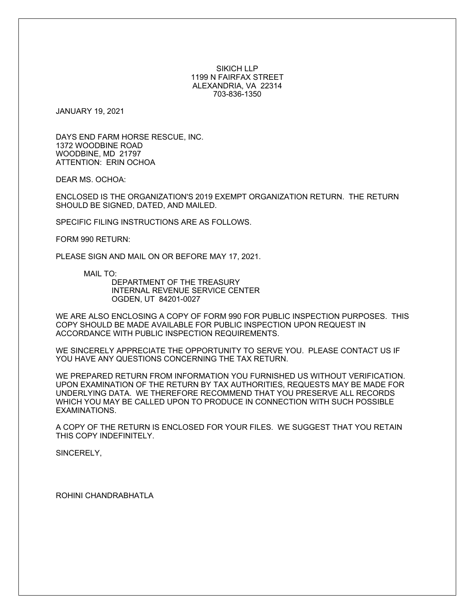#### SIKICH LLP 1199 N FAIRFAX STREET ALEXANDRIA, VA 22314 703-836-1350

JANUARY 19, 2021

DAYS END FARM HORSE RESCUE, INC. 1372 WOODBINE ROAD WOODBINE, MD 21797 ATTENTION: ERIN OCHOA

DEAR MS. OCHOA:

ENCLOSED IS THE ORGANIZATION'S 2019 EXEMPT ORGANIZATION RETURN. THE RETURN SHOULD BE SIGNED, DATED, AND MAILED.

SPECIFIC FILING INSTRUCTIONS ARE AS FOLLOWS.

FORM 990 RETURN:

PLEASE SIGN AND MAIL ON OR BEFORE MAY 17, 2021.

MAIL TO:

DEPARTMENT OF THE TREASURY INTERNAL REVENUE SERVICE CENTER OGDEN, UT 84201-0027

WE ARE ALSO ENCLOSING A COPY OF FORM 990 FOR PUBLIC INSPECTION PURPOSES. THIS COPY SHOULD BE MADE AVAILABLE FOR PUBLIC INSPECTION UPON REQUEST IN ACCORDANCE WITH PUBLIC INSPECTION REQUIREMENTS.

WE SINCERELY APPRECIATE THE OPPORTUNITY TO SERVE YOU. PLEASE CONTACT US IF YOU HAVE ANY QUESTIONS CONCERNING THE TAX RETURN.

WE PREPARED RETURN FROM INFORMATION YOU FURNISHED US WITHOUT VERIFICATION. UPON EXAMINATION OF THE RETURN BY TAX AUTHORITIES, REQUESTS MAY BE MADE FOR UNDERLYING DATA. WE THEREFORE RECOMMEND THAT YOU PRESERVE ALL RECORDS WHICH YOU MAY BE CALLED UPON TO PRODUCE IN CONNECTION WITH SUCH POSSIBLE EXAMINATIONS.

A COPY OF THE RETURN IS ENCLOSED FOR YOUR FILES. WE SUGGEST THAT YOU RETAIN THIS COPY INDEFINITELY.

SINCERELY,

ROHINI CHANDRABHATLA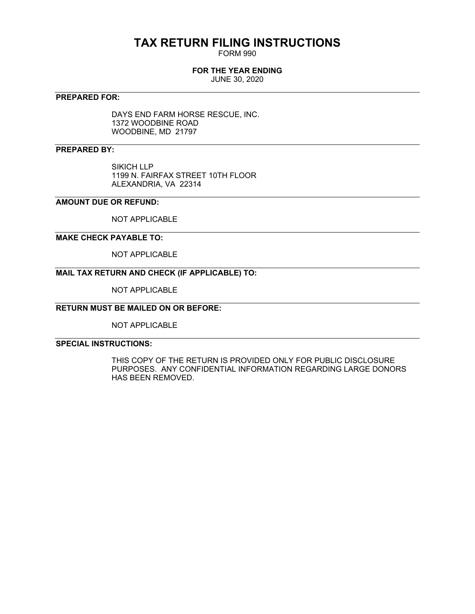## **TAX RETURN FILING INSTRUCTIONS**

FORM 990

#### **FOR THE YEAR ENDING**

JUNE 30, 2020

#### **PREPARED FOR:**

DAYS END FARM HORSE RESCUE, INC. 1372 WOODBINE ROAD WOODBINE, MD 21797

#### **PREPARED BY:**

SIKICH LLP 1199 N. FAIRFAX STREET 10TH FLOOR ALEXANDRIA, VA 22314

#### **AMOUNT DUE OR REFUND:**

NOT APPLICABLE

#### **MAKE CHECK PAYABLE TO:**

NOT APPLICABLE

#### **MAIL TAX RETURN AND CHECK (IF APPLICABLE) TO:**

NOT APPLICABLE

### **RETURN MUST BE MAILED ON OR BEFORE:**

NOT APPLICABLE

#### **SPECIAL INSTRUCTIONS:**

THIS COPY OF THE RETURN IS PROVIDED ONLY FOR PUBLIC DISCLOSURE PURPOSES. ANY CONFIDENTIAL INFORMATION REGARDING LARGE DONORS HAS BEEN REMOVED.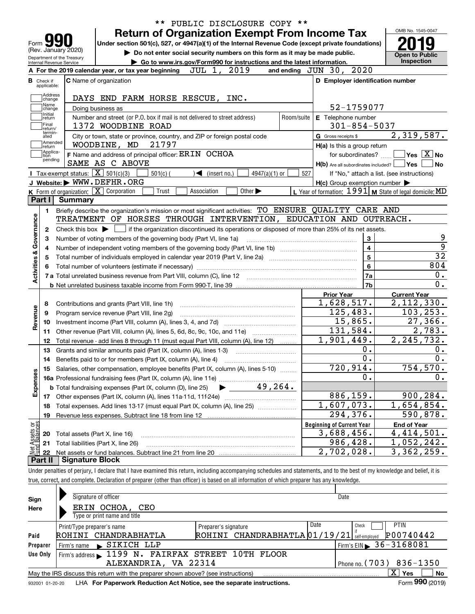| 2020<br>2019<br>JUL 1,<br>and ending $JUN$ 30,<br>A For the 2019 calendar year, or tax year beginning<br>D Employer identification number<br><b>C</b> Name of organization<br><b>B</b> Check if<br>applicable:<br>Address<br>DAYS END FARM HORSE RESCUE, INC.<br>change<br>Name<br>52-1759077<br>Doing business as<br>change<br>Initial<br>Number and street (or P.O. box if mail is not delivered to street address)<br>Room/suite<br>E Telephone number<br>return<br> Final<br>$301 - 854 - 5037$<br>1372 WOODBINE ROAD<br>return/<br>termin-<br>City or town, state or province, country, and ZIP or foreign postal code<br>G Gross receipts \$<br>ated<br>Amended<br>21797<br>WOODBINE, MD<br>H(a) Is this a group return<br> return<br> Applica-<br>F Name and address of principal officer: ERIN OCHOA<br>for subordinates?<br>tion<br>pending<br>SAME AS C ABOVE<br>H(b) Are all subordinates included? Ves<br>Tax-exempt status: $\boxed{\mathbf{X}}$ 501(c)(3)<br>527<br>$501(c)$ (<br>$\blacktriangleleft$ (insert no.)<br>$4947(a)(1)$ or<br>If "No," attach a list. (see instructions)<br>J Website: WWW.DEFHR.ORG<br>$H(c)$ Group exemption number $\blacktriangleright$<br>K Form of organization: X Corporation<br>L Year of formation: $1991$ M State of legal domicile: MD<br>Trust<br>Other $\blacktriangleright$<br>Association<br>Part I<br>Summary<br>Briefly describe the organization's mission or most significant activities: TO ENSURE QUALITY CARE AND<br>1.<br>Activities & Governance<br>TREATMENT OF HORSES THROUGH INTERVENTION, EDUCATION AND OUTREACH.<br>if the organization discontinued its operations or disposed of more than 25% of its net assets.<br>Check this box $\blacktriangleright$<br>2<br>3<br>Number of voting members of the governing body (Part VI, line 1a)<br>З<br>$\overline{\mathbf{4}}$<br>4<br>5<br>5<br>6<br>7a<br>7b<br><b>Current Year</b><br><b>Prior Year</b><br>1,628,517.<br>Contributions and grants (Part VIII, line 1h)<br>8<br>Revenue<br>125,483.<br>Program service revenue (Part VIII, line 2g)<br>9<br>15,865.<br>10<br>131,584.<br>Other revenue (Part VIII, column (A), lines 5, 6d, 8c, 9c, 10c, and 11e)<br>11<br>$\overline{1}$ , 901, 449.<br>Total revenue - add lines 8 through 11 (must equal Part VIII, column (A), line 12)<br>12<br>0.<br>13<br>Grants and similar amounts paid (Part IX, column (A), lines 1-3)<br>0.<br>14<br>720,914.<br>15 Salaries, other compensation, employee benefits (Part IX, column (A), lines 5-10)<br>Expenses<br>0.<br>49,264.<br><b>b</b> Total fundraising expenses (Part IX, column (D), line 25)<br>886,159.<br>17<br>1,607,073.<br>Total expenses. Add lines 13-17 (must equal Part IX, column (A), line 25)<br>18<br>294,376.<br>Revenue less expenses. Subtract line 18 from line 12<br>19<br>t Assets or<br>d Balances<br><b>Beginning of Current Year</b><br><b>End of Year</b><br>3,688,456.<br>Total assets (Part X, line 16)<br>20<br>986,428.<br>Total liabilities (Part X, line 26)<br>21<br>혍<br>2,702,028.<br>3,362,259.<br>22 | Form $\blacksquare$<br>(Rev. January 2020)<br>Department of the Treasury<br>Internal Revenue Service | <b>Return of Organization Exempt From Income Tax</b><br>Under section 501(c), 527, or 4947(a)(1) of the Internal Revenue Code (except private foundations)<br>Do not enter social security numbers on this form as it may be made public.<br>Go to www.irs.gov/Form990 for instructions and the latest information. |  | OMB No. 1545-0047<br><b>Open to Public</b><br><b>Inspection</b> |
|---------------------------------------------------------------------------------------------------------------------------------------------------------------------------------------------------------------------------------------------------------------------------------------------------------------------------------------------------------------------------------------------------------------------------------------------------------------------------------------------------------------------------------------------------------------------------------------------------------------------------------------------------------------------------------------------------------------------------------------------------------------------------------------------------------------------------------------------------------------------------------------------------------------------------------------------------------------------------------------------------------------------------------------------------------------------------------------------------------------------------------------------------------------------------------------------------------------------------------------------------------------------------------------------------------------------------------------------------------------------------------------------------------------------------------------------------------------------------------------------------------------------------------------------------------------------------------------------------------------------------------------------------------------------------------------------------------------------------------------------------------------------------------------------------------------------------------------------------------------------------------------------------------------------------------------------------------------------------------------------------------------------------------------------------------------------------------------------------------------------------------------------------------------------------------------------------------------------------------------------------------------------------------------------------------------------------------------------------------------------------------------------------------------------------------------------------------------------------------------------------------------------------------------------------------------------------------------------------------------------------------------------------------------------------------------------------------------------------------------------------------------------------------------------------------------------------------------------------------------------------------------------------------------------------------------------------------------------------------------------------------------------------------------------------------------------|------------------------------------------------------------------------------------------------------|---------------------------------------------------------------------------------------------------------------------------------------------------------------------------------------------------------------------------------------------------------------------------------------------------------------------|--|-----------------------------------------------------------------|
|                                                                                                                                                                                                                                                                                                                                                                                                                                                                                                                                                                                                                                                                                                                                                                                                                                                                                                                                                                                                                                                                                                                                                                                                                                                                                                                                                                                                                                                                                                                                                                                                                                                                                                                                                                                                                                                                                                                                                                                                                                                                                                                                                                                                                                                                                                                                                                                                                                                                                                                                                                                                                                                                                                                                                                                                                                                                                                                                                                                                                                                                     |                                                                                                      |                                                                                                                                                                                                                                                                                                                     |  |                                                                 |
|                                                                                                                                                                                                                                                                                                                                                                                                                                                                                                                                                                                                                                                                                                                                                                                                                                                                                                                                                                                                                                                                                                                                                                                                                                                                                                                                                                                                                                                                                                                                                                                                                                                                                                                                                                                                                                                                                                                                                                                                                                                                                                                                                                                                                                                                                                                                                                                                                                                                                                                                                                                                                                                                                                                                                                                                                                                                                                                                                                                                                                                                     |                                                                                                      |                                                                                                                                                                                                                                                                                                                     |  |                                                                 |
|                                                                                                                                                                                                                                                                                                                                                                                                                                                                                                                                                                                                                                                                                                                                                                                                                                                                                                                                                                                                                                                                                                                                                                                                                                                                                                                                                                                                                                                                                                                                                                                                                                                                                                                                                                                                                                                                                                                                                                                                                                                                                                                                                                                                                                                                                                                                                                                                                                                                                                                                                                                                                                                                                                                                                                                                                                                                                                                                                                                                                                                                     |                                                                                                      |                                                                                                                                                                                                                                                                                                                     |  |                                                                 |
|                                                                                                                                                                                                                                                                                                                                                                                                                                                                                                                                                                                                                                                                                                                                                                                                                                                                                                                                                                                                                                                                                                                                                                                                                                                                                                                                                                                                                                                                                                                                                                                                                                                                                                                                                                                                                                                                                                                                                                                                                                                                                                                                                                                                                                                                                                                                                                                                                                                                                                                                                                                                                                                                                                                                                                                                                                                                                                                                                                                                                                                                     |                                                                                                      |                                                                                                                                                                                                                                                                                                                     |  |                                                                 |
|                                                                                                                                                                                                                                                                                                                                                                                                                                                                                                                                                                                                                                                                                                                                                                                                                                                                                                                                                                                                                                                                                                                                                                                                                                                                                                                                                                                                                                                                                                                                                                                                                                                                                                                                                                                                                                                                                                                                                                                                                                                                                                                                                                                                                                                                                                                                                                                                                                                                                                                                                                                                                                                                                                                                                                                                                                                                                                                                                                                                                                                                     |                                                                                                      |                                                                                                                                                                                                                                                                                                                     |  |                                                                 |
|                                                                                                                                                                                                                                                                                                                                                                                                                                                                                                                                                                                                                                                                                                                                                                                                                                                                                                                                                                                                                                                                                                                                                                                                                                                                                                                                                                                                                                                                                                                                                                                                                                                                                                                                                                                                                                                                                                                                                                                                                                                                                                                                                                                                                                                                                                                                                                                                                                                                                                                                                                                                                                                                                                                                                                                                                                                                                                                                                                                                                                                                     |                                                                                                      |                                                                                                                                                                                                                                                                                                                     |  |                                                                 |
|                                                                                                                                                                                                                                                                                                                                                                                                                                                                                                                                                                                                                                                                                                                                                                                                                                                                                                                                                                                                                                                                                                                                                                                                                                                                                                                                                                                                                                                                                                                                                                                                                                                                                                                                                                                                                                                                                                                                                                                                                                                                                                                                                                                                                                                                                                                                                                                                                                                                                                                                                                                                                                                                                                                                                                                                                                                                                                                                                                                                                                                                     |                                                                                                      |                                                                                                                                                                                                                                                                                                                     |  |                                                                 |
|                                                                                                                                                                                                                                                                                                                                                                                                                                                                                                                                                                                                                                                                                                                                                                                                                                                                                                                                                                                                                                                                                                                                                                                                                                                                                                                                                                                                                                                                                                                                                                                                                                                                                                                                                                                                                                                                                                                                                                                                                                                                                                                                                                                                                                                                                                                                                                                                                                                                                                                                                                                                                                                                                                                                                                                                                                                                                                                                                                                                                                                                     |                                                                                                      |                                                                                                                                                                                                                                                                                                                     |  | 2,319,587.                                                      |
|                                                                                                                                                                                                                                                                                                                                                                                                                                                                                                                                                                                                                                                                                                                                                                                                                                                                                                                                                                                                                                                                                                                                                                                                                                                                                                                                                                                                                                                                                                                                                                                                                                                                                                                                                                                                                                                                                                                                                                                                                                                                                                                                                                                                                                                                                                                                                                                                                                                                                                                                                                                                                                                                                                                                                                                                                                                                                                                                                                                                                                                                     |                                                                                                      |                                                                                                                                                                                                                                                                                                                     |  |                                                                 |
|                                                                                                                                                                                                                                                                                                                                                                                                                                                                                                                                                                                                                                                                                                                                                                                                                                                                                                                                                                                                                                                                                                                                                                                                                                                                                                                                                                                                                                                                                                                                                                                                                                                                                                                                                                                                                                                                                                                                                                                                                                                                                                                                                                                                                                                                                                                                                                                                                                                                                                                                                                                                                                                                                                                                                                                                                                                                                                                                                                                                                                                                     |                                                                                                      |                                                                                                                                                                                                                                                                                                                     |  | $\sqrt{}$ Yes $\sqrt{X}$ No                                     |
|                                                                                                                                                                                                                                                                                                                                                                                                                                                                                                                                                                                                                                                                                                                                                                                                                                                                                                                                                                                                                                                                                                                                                                                                                                                                                                                                                                                                                                                                                                                                                                                                                                                                                                                                                                                                                                                                                                                                                                                                                                                                                                                                                                                                                                                                                                                                                                                                                                                                                                                                                                                                                                                                                                                                                                                                                                                                                                                                                                                                                                                                     |                                                                                                      |                                                                                                                                                                                                                                                                                                                     |  | No                                                              |
|                                                                                                                                                                                                                                                                                                                                                                                                                                                                                                                                                                                                                                                                                                                                                                                                                                                                                                                                                                                                                                                                                                                                                                                                                                                                                                                                                                                                                                                                                                                                                                                                                                                                                                                                                                                                                                                                                                                                                                                                                                                                                                                                                                                                                                                                                                                                                                                                                                                                                                                                                                                                                                                                                                                                                                                                                                                                                                                                                                                                                                                                     |                                                                                                      |                                                                                                                                                                                                                                                                                                                     |  |                                                                 |
|                                                                                                                                                                                                                                                                                                                                                                                                                                                                                                                                                                                                                                                                                                                                                                                                                                                                                                                                                                                                                                                                                                                                                                                                                                                                                                                                                                                                                                                                                                                                                                                                                                                                                                                                                                                                                                                                                                                                                                                                                                                                                                                                                                                                                                                                                                                                                                                                                                                                                                                                                                                                                                                                                                                                                                                                                                                                                                                                                                                                                                                                     |                                                                                                      |                                                                                                                                                                                                                                                                                                                     |  |                                                                 |
|                                                                                                                                                                                                                                                                                                                                                                                                                                                                                                                                                                                                                                                                                                                                                                                                                                                                                                                                                                                                                                                                                                                                                                                                                                                                                                                                                                                                                                                                                                                                                                                                                                                                                                                                                                                                                                                                                                                                                                                                                                                                                                                                                                                                                                                                                                                                                                                                                                                                                                                                                                                                                                                                                                                                                                                                                                                                                                                                                                                                                                                                     |                                                                                                      |                                                                                                                                                                                                                                                                                                                     |  |                                                                 |
|                                                                                                                                                                                                                                                                                                                                                                                                                                                                                                                                                                                                                                                                                                                                                                                                                                                                                                                                                                                                                                                                                                                                                                                                                                                                                                                                                                                                                                                                                                                                                                                                                                                                                                                                                                                                                                                                                                                                                                                                                                                                                                                                                                                                                                                                                                                                                                                                                                                                                                                                                                                                                                                                                                                                                                                                                                                                                                                                                                                                                                                                     |                                                                                                      |                                                                                                                                                                                                                                                                                                                     |  |                                                                 |
|                                                                                                                                                                                                                                                                                                                                                                                                                                                                                                                                                                                                                                                                                                                                                                                                                                                                                                                                                                                                                                                                                                                                                                                                                                                                                                                                                                                                                                                                                                                                                                                                                                                                                                                                                                                                                                                                                                                                                                                                                                                                                                                                                                                                                                                                                                                                                                                                                                                                                                                                                                                                                                                                                                                                                                                                                                                                                                                                                                                                                                                                     |                                                                                                      |                                                                                                                                                                                                                                                                                                                     |  |                                                                 |
|                                                                                                                                                                                                                                                                                                                                                                                                                                                                                                                                                                                                                                                                                                                                                                                                                                                                                                                                                                                                                                                                                                                                                                                                                                                                                                                                                                                                                                                                                                                                                                                                                                                                                                                                                                                                                                                                                                                                                                                                                                                                                                                                                                                                                                                                                                                                                                                                                                                                                                                                                                                                                                                                                                                                                                                                                                                                                                                                                                                                                                                                     |                                                                                                      |                                                                                                                                                                                                                                                                                                                     |  |                                                                 |
|                                                                                                                                                                                                                                                                                                                                                                                                                                                                                                                                                                                                                                                                                                                                                                                                                                                                                                                                                                                                                                                                                                                                                                                                                                                                                                                                                                                                                                                                                                                                                                                                                                                                                                                                                                                                                                                                                                                                                                                                                                                                                                                                                                                                                                                                                                                                                                                                                                                                                                                                                                                                                                                                                                                                                                                                                                                                                                                                                                                                                                                                     |                                                                                                      |                                                                                                                                                                                                                                                                                                                     |  |                                                                 |
|                                                                                                                                                                                                                                                                                                                                                                                                                                                                                                                                                                                                                                                                                                                                                                                                                                                                                                                                                                                                                                                                                                                                                                                                                                                                                                                                                                                                                                                                                                                                                                                                                                                                                                                                                                                                                                                                                                                                                                                                                                                                                                                                                                                                                                                                                                                                                                                                                                                                                                                                                                                                                                                                                                                                                                                                                                                                                                                                                                                                                                                                     |                                                                                                      |                                                                                                                                                                                                                                                                                                                     |  |                                                                 |
|                                                                                                                                                                                                                                                                                                                                                                                                                                                                                                                                                                                                                                                                                                                                                                                                                                                                                                                                                                                                                                                                                                                                                                                                                                                                                                                                                                                                                                                                                                                                                                                                                                                                                                                                                                                                                                                                                                                                                                                                                                                                                                                                                                                                                                                                                                                                                                                                                                                                                                                                                                                                                                                                                                                                                                                                                                                                                                                                                                                                                                                                     |                                                                                                      |                                                                                                                                                                                                                                                                                                                     |  |                                                                 |
|                                                                                                                                                                                                                                                                                                                                                                                                                                                                                                                                                                                                                                                                                                                                                                                                                                                                                                                                                                                                                                                                                                                                                                                                                                                                                                                                                                                                                                                                                                                                                                                                                                                                                                                                                                                                                                                                                                                                                                                                                                                                                                                                                                                                                                                                                                                                                                                                                                                                                                                                                                                                                                                                                                                                                                                                                                                                                                                                                                                                                                                                     |                                                                                                      |                                                                                                                                                                                                                                                                                                                     |  |                                                                 |
|                                                                                                                                                                                                                                                                                                                                                                                                                                                                                                                                                                                                                                                                                                                                                                                                                                                                                                                                                                                                                                                                                                                                                                                                                                                                                                                                                                                                                                                                                                                                                                                                                                                                                                                                                                                                                                                                                                                                                                                                                                                                                                                                                                                                                                                                                                                                                                                                                                                                                                                                                                                                                                                                                                                                                                                                                                                                                                                                                                                                                                                                     |                                                                                                      |                                                                                                                                                                                                                                                                                                                     |  |                                                                 |
|                                                                                                                                                                                                                                                                                                                                                                                                                                                                                                                                                                                                                                                                                                                                                                                                                                                                                                                                                                                                                                                                                                                                                                                                                                                                                                                                                                                                                                                                                                                                                                                                                                                                                                                                                                                                                                                                                                                                                                                                                                                                                                                                                                                                                                                                                                                                                                                                                                                                                                                                                                                                                                                                                                                                                                                                                                                                                                                                                                                                                                                                     |                                                                                                      |                                                                                                                                                                                                                                                                                                                     |  | $\overline{32}$<br>804                                          |
|                                                                                                                                                                                                                                                                                                                                                                                                                                                                                                                                                                                                                                                                                                                                                                                                                                                                                                                                                                                                                                                                                                                                                                                                                                                                                                                                                                                                                                                                                                                                                                                                                                                                                                                                                                                                                                                                                                                                                                                                                                                                                                                                                                                                                                                                                                                                                                                                                                                                                                                                                                                                                                                                                                                                                                                                                                                                                                                                                                                                                                                                     |                                                                                                      |                                                                                                                                                                                                                                                                                                                     |  | $0$ .                                                           |
|                                                                                                                                                                                                                                                                                                                                                                                                                                                                                                                                                                                                                                                                                                                                                                                                                                                                                                                                                                                                                                                                                                                                                                                                                                                                                                                                                                                                                                                                                                                                                                                                                                                                                                                                                                                                                                                                                                                                                                                                                                                                                                                                                                                                                                                                                                                                                                                                                                                                                                                                                                                                                                                                                                                                                                                                                                                                                                                                                                                                                                                                     |                                                                                                      |                                                                                                                                                                                                                                                                                                                     |  |                                                                 |
|                                                                                                                                                                                                                                                                                                                                                                                                                                                                                                                                                                                                                                                                                                                                                                                                                                                                                                                                                                                                                                                                                                                                                                                                                                                                                                                                                                                                                                                                                                                                                                                                                                                                                                                                                                                                                                                                                                                                                                                                                                                                                                                                                                                                                                                                                                                                                                                                                                                                                                                                                                                                                                                                                                                                                                                                                                                                                                                                                                                                                                                                     |                                                                                                      |                                                                                                                                                                                                                                                                                                                     |  | 0.                                                              |
|                                                                                                                                                                                                                                                                                                                                                                                                                                                                                                                                                                                                                                                                                                                                                                                                                                                                                                                                                                                                                                                                                                                                                                                                                                                                                                                                                                                                                                                                                                                                                                                                                                                                                                                                                                                                                                                                                                                                                                                                                                                                                                                                                                                                                                                                                                                                                                                                                                                                                                                                                                                                                                                                                                                                                                                                                                                                                                                                                                                                                                                                     |                                                                                                      |                                                                                                                                                                                                                                                                                                                     |  |                                                                 |
|                                                                                                                                                                                                                                                                                                                                                                                                                                                                                                                                                                                                                                                                                                                                                                                                                                                                                                                                                                                                                                                                                                                                                                                                                                                                                                                                                                                                                                                                                                                                                                                                                                                                                                                                                                                                                                                                                                                                                                                                                                                                                                                                                                                                                                                                                                                                                                                                                                                                                                                                                                                                                                                                                                                                                                                                                                                                                                                                                                                                                                                                     |                                                                                                      |                                                                                                                                                                                                                                                                                                                     |  | 2,112,330.<br>103, 253.                                         |
|                                                                                                                                                                                                                                                                                                                                                                                                                                                                                                                                                                                                                                                                                                                                                                                                                                                                                                                                                                                                                                                                                                                                                                                                                                                                                                                                                                                                                                                                                                                                                                                                                                                                                                                                                                                                                                                                                                                                                                                                                                                                                                                                                                                                                                                                                                                                                                                                                                                                                                                                                                                                                                                                                                                                                                                                                                                                                                                                                                                                                                                                     |                                                                                                      |                                                                                                                                                                                                                                                                                                                     |  | 27,366.                                                         |
|                                                                                                                                                                                                                                                                                                                                                                                                                                                                                                                                                                                                                                                                                                                                                                                                                                                                                                                                                                                                                                                                                                                                                                                                                                                                                                                                                                                                                                                                                                                                                                                                                                                                                                                                                                                                                                                                                                                                                                                                                                                                                                                                                                                                                                                                                                                                                                                                                                                                                                                                                                                                                                                                                                                                                                                                                                                                                                                                                                                                                                                                     |                                                                                                      |                                                                                                                                                                                                                                                                                                                     |  | 2,783.                                                          |
|                                                                                                                                                                                                                                                                                                                                                                                                                                                                                                                                                                                                                                                                                                                                                                                                                                                                                                                                                                                                                                                                                                                                                                                                                                                                                                                                                                                                                                                                                                                                                                                                                                                                                                                                                                                                                                                                                                                                                                                                                                                                                                                                                                                                                                                                                                                                                                                                                                                                                                                                                                                                                                                                                                                                                                                                                                                                                                                                                                                                                                                                     |                                                                                                      |                                                                                                                                                                                                                                                                                                                     |  | 2, 245, 732.                                                    |
|                                                                                                                                                                                                                                                                                                                                                                                                                                                                                                                                                                                                                                                                                                                                                                                                                                                                                                                                                                                                                                                                                                                                                                                                                                                                                                                                                                                                                                                                                                                                                                                                                                                                                                                                                                                                                                                                                                                                                                                                                                                                                                                                                                                                                                                                                                                                                                                                                                                                                                                                                                                                                                                                                                                                                                                                                                                                                                                                                                                                                                                                     |                                                                                                      |                                                                                                                                                                                                                                                                                                                     |  | 0.                                                              |
|                                                                                                                                                                                                                                                                                                                                                                                                                                                                                                                                                                                                                                                                                                                                                                                                                                                                                                                                                                                                                                                                                                                                                                                                                                                                                                                                                                                                                                                                                                                                                                                                                                                                                                                                                                                                                                                                                                                                                                                                                                                                                                                                                                                                                                                                                                                                                                                                                                                                                                                                                                                                                                                                                                                                                                                                                                                                                                                                                                                                                                                                     |                                                                                                      |                                                                                                                                                                                                                                                                                                                     |  |                                                                 |
|                                                                                                                                                                                                                                                                                                                                                                                                                                                                                                                                                                                                                                                                                                                                                                                                                                                                                                                                                                                                                                                                                                                                                                                                                                                                                                                                                                                                                                                                                                                                                                                                                                                                                                                                                                                                                                                                                                                                                                                                                                                                                                                                                                                                                                                                                                                                                                                                                                                                                                                                                                                                                                                                                                                                                                                                                                                                                                                                                                                                                                                                     |                                                                                                      |                                                                                                                                                                                                                                                                                                                     |  |                                                                 |
|                                                                                                                                                                                                                                                                                                                                                                                                                                                                                                                                                                                                                                                                                                                                                                                                                                                                                                                                                                                                                                                                                                                                                                                                                                                                                                                                                                                                                                                                                                                                                                                                                                                                                                                                                                                                                                                                                                                                                                                                                                                                                                                                                                                                                                                                                                                                                                                                                                                                                                                                                                                                                                                                                                                                                                                                                                                                                                                                                                                                                                                                     |                                                                                                      |                                                                                                                                                                                                                                                                                                                     |  |                                                                 |
|                                                                                                                                                                                                                                                                                                                                                                                                                                                                                                                                                                                                                                                                                                                                                                                                                                                                                                                                                                                                                                                                                                                                                                                                                                                                                                                                                                                                                                                                                                                                                                                                                                                                                                                                                                                                                                                                                                                                                                                                                                                                                                                                                                                                                                                                                                                                                                                                                                                                                                                                                                                                                                                                                                                                                                                                                                                                                                                                                                                                                                                                     |                                                                                                      |                                                                                                                                                                                                                                                                                                                     |  |                                                                 |
|                                                                                                                                                                                                                                                                                                                                                                                                                                                                                                                                                                                                                                                                                                                                                                                                                                                                                                                                                                                                                                                                                                                                                                                                                                                                                                                                                                                                                                                                                                                                                                                                                                                                                                                                                                                                                                                                                                                                                                                                                                                                                                                                                                                                                                                                                                                                                                                                                                                                                                                                                                                                                                                                                                                                                                                                                                                                                                                                                                                                                                                                     |                                                                                                      |                                                                                                                                                                                                                                                                                                                     |  | 0.<br>754, 570.<br>0.<br>900, 284.                              |
|                                                                                                                                                                                                                                                                                                                                                                                                                                                                                                                                                                                                                                                                                                                                                                                                                                                                                                                                                                                                                                                                                                                                                                                                                                                                                                                                                                                                                                                                                                                                                                                                                                                                                                                                                                                                                                                                                                                                                                                                                                                                                                                                                                                                                                                                                                                                                                                                                                                                                                                                                                                                                                                                                                                                                                                                                                                                                                                                                                                                                                                                     |                                                                                                      |                                                                                                                                                                                                                                                                                                                     |  | 1,654,854.                                                      |
|                                                                                                                                                                                                                                                                                                                                                                                                                                                                                                                                                                                                                                                                                                                                                                                                                                                                                                                                                                                                                                                                                                                                                                                                                                                                                                                                                                                                                                                                                                                                                                                                                                                                                                                                                                                                                                                                                                                                                                                                                                                                                                                                                                                                                                                                                                                                                                                                                                                                                                                                                                                                                                                                                                                                                                                                                                                                                                                                                                                                                                                                     |                                                                                                      |                                                                                                                                                                                                                                                                                                                     |  | 590,878.                                                        |
|                                                                                                                                                                                                                                                                                                                                                                                                                                                                                                                                                                                                                                                                                                                                                                                                                                                                                                                                                                                                                                                                                                                                                                                                                                                                                                                                                                                                                                                                                                                                                                                                                                                                                                                                                                                                                                                                                                                                                                                                                                                                                                                                                                                                                                                                                                                                                                                                                                                                                                                                                                                                                                                                                                                                                                                                                                                                                                                                                                                                                                                                     |                                                                                                      |                                                                                                                                                                                                                                                                                                                     |  |                                                                 |
|                                                                                                                                                                                                                                                                                                                                                                                                                                                                                                                                                                                                                                                                                                                                                                                                                                                                                                                                                                                                                                                                                                                                                                                                                                                                                                                                                                                                                                                                                                                                                                                                                                                                                                                                                                                                                                                                                                                                                                                                                                                                                                                                                                                                                                                                                                                                                                                                                                                                                                                                                                                                                                                                                                                                                                                                                                                                                                                                                                                                                                                                     |                                                                                                      |                                                                                                                                                                                                                                                                                                                     |  | 4,414,501.                                                      |
| Part II<br><b>Signature Block</b>                                                                                                                                                                                                                                                                                                                                                                                                                                                                                                                                                                                                                                                                                                                                                                                                                                                                                                                                                                                                                                                                                                                                                                                                                                                                                                                                                                                                                                                                                                                                                                                                                                                                                                                                                                                                                                                                                                                                                                                                                                                                                                                                                                                                                                                                                                                                                                                                                                                                                                                                                                                                                                                                                                                                                                                                                                                                                                                                                                                                                                   |                                                                                                      |                                                                                                                                                                                                                                                                                                                     |  | 1,052,242.                                                      |

| Sign     | Signature of officer                                                              |                                             | Date                                      |                |
|----------|-----------------------------------------------------------------------------------|---------------------------------------------|-------------------------------------------|----------------|
| Here     | ERIN OCHOA, CEO                                                                   |                                             |                                           |                |
|          | Type or print name and title                                                      |                                             |                                           |                |
|          | Print/Type preparer's name                                                        | Preparer's signature                        | Date<br><b>PTIN</b><br>Check              |                |
| Paid     | ROHINI CHANDRABHATLA                                                              | ROHINI CHANDRABHATLA 01/19/21 self-employed |                                           | P00740442      |
| Preparer | Firm's name SIKICH LLP                                                            |                                             | $\sqrt{5}$ Firm's EIN $\geq 36 - 3168081$ |                |
| Use Only | Firm's address 1199 N. FAIRFAX STREET 10TH FLOOR                                  |                                             |                                           |                |
|          | ALEXANDRIA, VA 22314                                                              |                                             | Phone no. (703) 836-1350                  |                |
|          | May the IRS discuss this return with the preparer shown above? (see instructions) |                                             | x<br>Yes                                  | No             |
|          |                                                                                   |                                             |                                           | $000 \div 100$ |

932001 01-20-20 **For Paperwork Reduction Act Notice, see the separate instructions.** LHA Form (2019)

**990**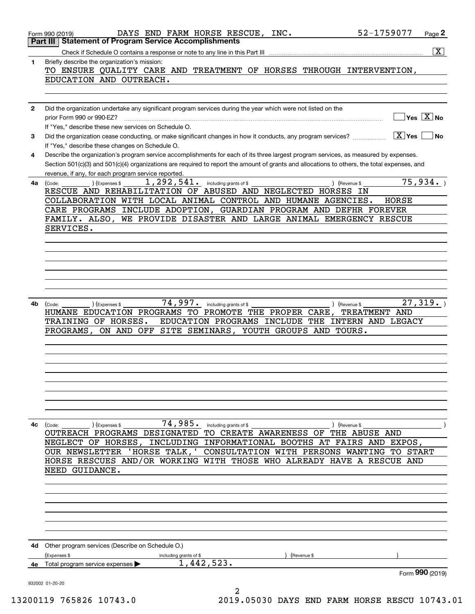|              | 52-1759077<br>DAYS END FARM HORSE RESCUE, INC.<br>Page 2<br>Form 990 (2019)                                                                                                                                                                                                                                                                                                                    |
|--------------|------------------------------------------------------------------------------------------------------------------------------------------------------------------------------------------------------------------------------------------------------------------------------------------------------------------------------------------------------------------------------------------------|
|              | Part III   Statement of Program Service Accomplishments                                                                                                                                                                                                                                                                                                                                        |
| 1            | $\vert X \vert$<br>Briefly describe the organization's mission:                                                                                                                                                                                                                                                                                                                                |
|              | TO ENSURE QUALITY CARE AND TREATMENT OF HORSES THROUGH INTERVENTION,<br>EDUCATION AND OUTREACH.                                                                                                                                                                                                                                                                                                |
|              |                                                                                                                                                                                                                                                                                                                                                                                                |
| $\mathbf{2}$ | Did the organization undertake any significant program services during the year which were not listed on the<br>$\overline{\mathsf{Yes} \mathrel{\hspace{0.5pt}\mathsf{X}}}$ No<br>prior Form 990 or 990-EZ?                                                                                                                                                                                   |
| 3            | If "Yes," describe these new services on Schedule O.<br>$X$ Yes<br>Did the organization cease conducting, or make significant changes in how it conducts, any program services?<br><b>No</b>                                                                                                                                                                                                   |
| 4            | If "Yes," describe these changes on Schedule O.<br>Describe the organization's program service accomplishments for each of its three largest program services, as measured by expenses.<br>Section 501(c)(3) and 501(c)(4) organizations are required to report the amount of grants and allocations to others, the total expenses, and<br>revenue, if any, for each program service reported. |
| 4а           | 75,934.<br>$1,292,541$ $\cdot$ including grants of \$<br>) (Expenses \$<br>(Code:<br>) (Revenue \$                                                                                                                                                                                                                                                                                             |
|              | RESCUE AND REHABILITATION OF ABUSED AND NEGLECTED HORSES IN                                                                                                                                                                                                                                                                                                                                    |
|              | COLLABORATION WITH LOCAL ANIMAL CONTROL AND HUMANE AGENCIES.<br>HORSE                                                                                                                                                                                                                                                                                                                          |
|              | CARE PROGRAMS INCLUDE ADOPTION, GUARDIAN PROGRAM AND DEFHR FOREVER                                                                                                                                                                                                                                                                                                                             |
|              | FAMILY. ALSO,<br>WE PROVIDE DISASTER AND LARGE ANIMAL EMERGENCY RESCUE                                                                                                                                                                                                                                                                                                                         |
|              | SERVICES.                                                                                                                                                                                                                                                                                                                                                                                      |
|              |                                                                                                                                                                                                                                                                                                                                                                                                |
|              |                                                                                                                                                                                                                                                                                                                                                                                                |
|              |                                                                                                                                                                                                                                                                                                                                                                                                |
|              |                                                                                                                                                                                                                                                                                                                                                                                                |
|              |                                                                                                                                                                                                                                                                                                                                                                                                |
|              |                                                                                                                                                                                                                                                                                                                                                                                                |
| 4b           | 74,997.<br>27,319.<br>including grants of \$<br>) (Expenses \$<br>(Revenue \$<br>(Code:                                                                                                                                                                                                                                                                                                        |
|              | HUMANE EDUCATION PROGRAMS TO PROMOTE THE PROPER CARE,<br>TREATMENT AND                                                                                                                                                                                                                                                                                                                         |
|              | EDUCATION PROGRAMS INCLUDE THE INTERN AND LEGACY<br>TRAINING OF HORSES.<br>SITE SEMINARS, YOUTH GROUPS AND<br>TOURS.<br>PROGRAMS,<br>ON AND OFF                                                                                                                                                                                                                                                |
|              |                                                                                                                                                                                                                                                                                                                                                                                                |
|              |                                                                                                                                                                                                                                                                                                                                                                                                |
|              |                                                                                                                                                                                                                                                                                                                                                                                                |
|              |                                                                                                                                                                                                                                                                                                                                                                                                |
|              |                                                                                                                                                                                                                                                                                                                                                                                                |
|              |                                                                                                                                                                                                                                                                                                                                                                                                |
|              |                                                                                                                                                                                                                                                                                                                                                                                                |
|              |                                                                                                                                                                                                                                                                                                                                                                                                |
|              | 74,985. including grants of \$                                                                                                                                                                                                                                                                                                                                                                 |
| 4с           | (Expenses \$<br>(Code:<br>) (Revenue \$<br>OUTREACH PROGRAMS DESIGNATED TO CREATE AWARENESS OF THE ABUSE AND                                                                                                                                                                                                                                                                                   |
|              | NEGLECT OF HORSES, INCLUDING INFORMATIONAL BOOTHS AT FAIRS AND EXPOS,                                                                                                                                                                                                                                                                                                                          |
|              | OUR NEWSLETTER 'HORSE TALK, ' CONSULTATION WITH PERSONS WANTING TO START                                                                                                                                                                                                                                                                                                                       |
|              | HORSE RESCUES AND/OR WORKING WITH THOSE WHO ALREADY HAVE A RESCUE AND                                                                                                                                                                                                                                                                                                                          |
|              | NEED GUIDANCE.                                                                                                                                                                                                                                                                                                                                                                                 |
|              |                                                                                                                                                                                                                                                                                                                                                                                                |
|              |                                                                                                                                                                                                                                                                                                                                                                                                |
|              |                                                                                                                                                                                                                                                                                                                                                                                                |
|              |                                                                                                                                                                                                                                                                                                                                                                                                |
|              |                                                                                                                                                                                                                                                                                                                                                                                                |
|              |                                                                                                                                                                                                                                                                                                                                                                                                |
| 4d           | Other program services (Describe on Schedule O.)                                                                                                                                                                                                                                                                                                                                               |
|              | (Expenses \$<br>including grants of \$<br>(Revenue \$                                                                                                                                                                                                                                                                                                                                          |
| 4е           | 1,442,523.<br>Total program service expenses                                                                                                                                                                                                                                                                                                                                                   |
|              | Form 990 (2019)<br>932002 01-20-20                                                                                                                                                                                                                                                                                                                                                             |
|              | 2                                                                                                                                                                                                                                                                                                                                                                                              |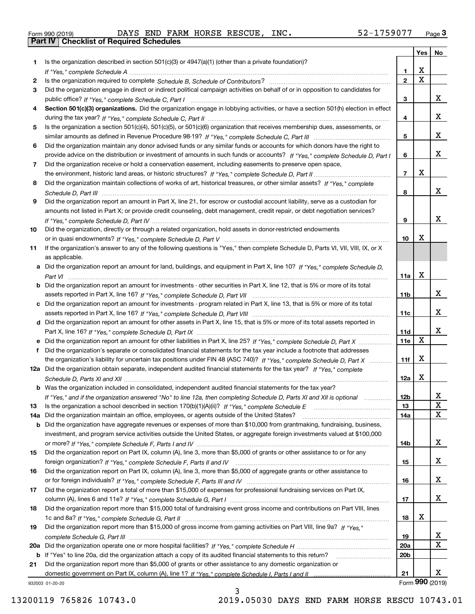| Form 990 (2019) |  |  |
|-----------------|--|--|

Form 990 (2019) DAYS END FARM HORSE RESCUE, INC 52-1759077 <sub>Page</sub> 3<br>**Part IV | Checklist of Required Schedules** 

|     |                                                                                                                                       |                 | Yes             | No |
|-----|---------------------------------------------------------------------------------------------------------------------------------------|-----------------|-----------------|----|
| 1.  | Is the organization described in section $501(c)(3)$ or $4947(a)(1)$ (other than a private foundation)?                               |                 |                 |    |
|     |                                                                                                                                       | $\mathbf{1}$    | x               |    |
| 2   |                                                                                                                                       | $\mathbf{2}$    | $\mathbf X$     |    |
| 3   | Did the organization engage in direct or indirect political campaign activities on behalf of or in opposition to candidates for       |                 |                 |    |
|     |                                                                                                                                       | 3               |                 | x  |
| 4   | Section 501(c)(3) organizations. Did the organization engage in lobbying activities, or have a section 501(h) election in effect      |                 |                 |    |
|     |                                                                                                                                       | 4               |                 | x  |
| 5   | Is the organization a section 501(c)(4), 501(c)(5), or 501(c)(6) organization that receives membership dues, assessments, or          |                 |                 |    |
|     |                                                                                                                                       | 5               |                 | x  |
| 6   | Did the organization maintain any donor advised funds or any similar funds or accounts for which donors have the right to             |                 |                 |    |
|     | provide advice on the distribution or investment of amounts in such funds or accounts? If "Yes," complete Schedule D, Part I          | 6               |                 | x  |
| 7   | Did the organization receive or hold a conservation easement, including easements to preserve open space,                             | $\overline{7}$  | X               |    |
|     |                                                                                                                                       |                 |                 |    |
| 8   | Did the organization maintain collections of works of art, historical treasures, or other similar assets? If "Yes," complete          | 8               |                 | x  |
| 9   | Did the organization report an amount in Part X, line 21, for escrow or custodial account liability, serve as a custodian for         |                 |                 |    |
|     | amounts not listed in Part X; or provide credit counseling, debt management, credit repair, or debt negotiation services?             |                 |                 |    |
|     |                                                                                                                                       | 9               |                 | x  |
| 10  | Did the organization, directly or through a related organization, hold assets in donor-restricted endowments                          |                 |                 |    |
|     |                                                                                                                                       | 10              | X               |    |
| 11  | If the organization's answer to any of the following questions is "Yes," then complete Schedule D, Parts VI, VII, VIII, IX, or X      |                 |                 |    |
|     | as applicable.                                                                                                                        |                 |                 |    |
|     | a Did the organization report an amount for land, buildings, and equipment in Part X, line 10? If "Yes," complete Schedule D,         |                 |                 |    |
|     |                                                                                                                                       | 11a             | X               |    |
|     | <b>b</b> Did the organization report an amount for investments - other securities in Part X, line 12, that is 5% or more of its total |                 |                 |    |
|     |                                                                                                                                       | 11b             |                 | x  |
|     | c Did the organization report an amount for investments - program related in Part X, line 13, that is 5% or more of its total         |                 |                 |    |
|     |                                                                                                                                       | 11c             |                 | x  |
|     | d Did the organization report an amount for other assets in Part X, line 15, that is 5% or more of its total assets reported in       |                 |                 |    |
|     |                                                                                                                                       | 11d             |                 | x  |
|     | e Did the organization report an amount for other liabilities in Part X, line 25? If "Yes," complete Schedule D, Part X               | 11e             | $\mathbf X$     |    |
| f   | Did the organization's separate or consolidated financial statements for the tax year include a footnote that addresses               |                 |                 |    |
|     | the organization's liability for uncertain tax positions under FIN 48 (ASC 740)? If "Yes," complete Schedule D, Part X                | 11f             | X               |    |
|     | 12a Did the organization obtain separate, independent audited financial statements for the tax year? If "Yes," complete               |                 |                 |    |
|     |                                                                                                                                       | 12a             | X               |    |
|     | <b>b</b> Was the organization included in consolidated, independent audited financial statements for the tax year?                    |                 |                 |    |
|     | If "Yes," and if the organization answered "No" to line 12a, then completing Schedule D, Parts XI and XII is optional manum           | 12 <sub>b</sub> |                 | x. |
| 13  |                                                                                                                                       | 13              |                 | X  |
| 14a | Did the organization maintain an office, employees, or agents outside of the United States?                                           | 14a             |                 | X  |
|     | b Did the organization have aggregate revenues or expenses of more than \$10,000 from grantmaking, fundraising, business,             |                 |                 |    |
|     | investment, and program service activities outside the United States, or aggregate foreign investments valued at \$100,000            |                 |                 |    |
|     |                                                                                                                                       | 14b             |                 | x  |
| 15  | Did the organization report on Part IX, column (A), line 3, more than \$5,000 of grants or other assistance to or for any             |                 |                 |    |
|     |                                                                                                                                       | 15              |                 | x  |
| 16  | Did the organization report on Part IX, column (A), line 3, more than \$5,000 of aggregate grants or other assistance to              |                 |                 | X  |
|     | Did the organization report a total of more than \$15,000 of expenses for professional fundraising services on Part IX,               | 16              |                 |    |
| 17  |                                                                                                                                       | 17              |                 | X  |
| 18  | Did the organization report more than \$15,000 total of fundraising event gross income and contributions on Part VIII, lines          |                 |                 |    |
|     |                                                                                                                                       | 18              | х               |    |
| 19  | Did the organization report more than \$15,000 of gross income from gaming activities on Part VIII, line 9a? If "Yes."                |                 |                 |    |
|     |                                                                                                                                       | 19              |                 | x  |
| 20a |                                                                                                                                       | 20a             |                 | х  |
| b   | If "Yes" to line 20a, did the organization attach a copy of its audited financial statements to this return?                          | 20 <sub>b</sub> |                 |    |
| 21  | Did the organization report more than \$5,000 of grants or other assistance to any domestic organization or                           |                 |                 |    |
|     |                                                                                                                                       | 21              |                 | x  |
|     | 932003 01-20-20                                                                                                                       |                 | Form 990 (2019) |    |

3

932003 01-20-20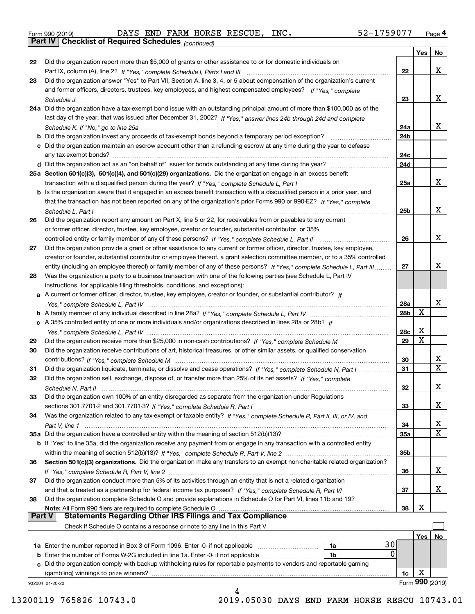| 22            | Did the organization report more than \$5,000 of grants or other assistance to or for domestic individuals on                |           |     |                   |
|---------------|------------------------------------------------------------------------------------------------------------------------------|-----------|-----|-------------------|
|               |                                                                                                                              | 22        |     | x                 |
| 23            | Did the organization answer "Yes" to Part VII, Section A, line 3, 4, or 5 about compensation of the organization's current   |           |     |                   |
|               | and former officers, directors, trustees, key employees, and highest compensated employees? If "Yes," complete               |           |     |                   |
|               |                                                                                                                              | 23        |     | x                 |
|               | 24a Did the organization have a tax-exempt bond issue with an outstanding principal amount of more than \$100,000 as of the  |           |     |                   |
|               | last day of the year, that was issued after December 31, 2002? If "Yes," answer lines 24b through 24d and complete           |           |     |                   |
|               |                                                                                                                              | 24a       |     | x                 |
|               | <b>b</b> Did the organization invest any proceeds of tax-exempt bonds beyond a temporary period exception?                   | 24b       |     |                   |
|               | c Did the organization maintain an escrow account other than a refunding escrow at any time during the year to defease       |           |     |                   |
|               |                                                                                                                              | 24c       |     |                   |
|               | d Did the organization act as an "on behalf of" issuer for bonds outstanding at any time during the year?                    | 24d       |     |                   |
|               | 25a Section 501(c)(3), 501(c)(4), and 501(c)(29) organizations. Did the organization engage in an excess benefit             |           |     |                   |
|               |                                                                                                                              | 25a       |     | x                 |
|               | b Is the organization aware that it engaged in an excess benefit transaction with a disqualified person in a prior year, and |           |     |                   |
|               | that the transaction has not been reported on any of the organization's prior Forms 990 or 990-EZ? If "Yes," complete        |           |     |                   |
|               | Schedule L. Part I                                                                                                           | 25b       |     | x                 |
| 26            | Did the organization report any amount on Part X, line 5 or 22, for receivables from or payables to any current              |           |     |                   |
|               | or former officer, director, trustee, key employee, creator or founder, substantial contributor, or 35%                      |           |     |                   |
|               |                                                                                                                              | 26        |     | x                 |
| 27            | Did the organization provide a grant or other assistance to any current or former officer, director, trustee, key employee,  |           |     |                   |
|               | creator or founder, substantial contributor or employee thereof, a grant selection committee member, or to a 35% controlled  |           |     |                   |
|               | entity (including an employee thereof) or family member of any of these persons? If "Yes," complete Schedule L, Part III     | 27        |     | х                 |
| 28            | Was the organization a party to a business transaction with one of the following parties (see Schedule L, Part IV            |           |     |                   |
|               | instructions, for applicable filing thresholds, conditions, and exceptions):                                                 |           |     |                   |
|               | a A current or former officer, director, trustee, key employee, creator or founder, or substantial contributor? If           |           |     |                   |
|               |                                                                                                                              | 28a       |     | x                 |
|               |                                                                                                                              | 28b       | х   |                   |
|               |                                                                                                                              |           |     |                   |
|               | c A 35% controlled entity of one or more individuals and/or organizations described in lines 28a or 28b? If                  |           | х   |                   |
|               |                                                                                                                              | 28c<br>29 | X   |                   |
| 29            |                                                                                                                              |           |     |                   |
| 30            | Did the organization receive contributions of art, historical treasures, or other similar assets, or qualified conservation  |           |     |                   |
|               |                                                                                                                              | 30        |     | X.<br>$\mathbf x$ |
| 31            | Did the organization liquidate, terminate, or dissolve and cease operations? If "Yes," complete Schedule N, Part I           | 31        |     |                   |
| 32            | Did the organization sell, exchange, dispose of, or transfer more than 25% of its net assets? If "Yes," complete             |           |     |                   |
|               | Schedule N, Part II                                                                                                          | 32        |     | х                 |
| 33            | Did the organization own 100% of an entity disregarded as separate from the organization under Regulations                   |           |     |                   |
|               |                                                                                                                              | 33        |     | х                 |
| 34            | Was the organization related to any tax-exempt or taxable entity? If "Yes," complete Schedule R, Part II, III, or IV, and    |           |     |                   |
|               |                                                                                                                              | 34        |     | X                 |
|               | 35a Did the organization have a controlled entity within the meaning of section 512(b)(13)?                                  | 35a       |     | X                 |
|               | b If "Yes" to line 35a, did the organization receive any payment from or engage in any transaction with a controlled entity  |           |     |                   |
|               |                                                                                                                              | 35b       |     |                   |
| 36            | Section 501(c)(3) organizations. Did the organization make any transfers to an exempt non-charitable related organization?   |           |     |                   |
|               |                                                                                                                              | 36        |     | x                 |
| 37            | Did the organization conduct more than 5% of its activities through an entity that is not a related organization             |           |     |                   |
|               |                                                                                                                              | 37        |     | x                 |
| 38            | Did the organization complete Schedule O and provide explanations in Schedule O for Part VI, lines 11b and 19?               |           |     |                   |
|               | Note: All Form 990 filers are required to complete Schedule O                                                                | 38        | X   |                   |
| <b>Part V</b> | <b>Statements Regarding Other IRS Filings and Tax Compliance</b>                                                             |           |     |                   |
|               | Check if Schedule O contains a response or note to any line in this Part V                                                   |           |     |                   |
|               |                                                                                                                              |           | Yes | No                |
|               | 30<br><b>1a</b> Enter the number reported in Box 3 of Form 1096. Enter -0- if not applicable <i>manumumumum</i><br>1a        |           |     |                   |
|               | 0<br><b>b</b> Enter the number of Forms W-2G included in line 1a. Enter -0- if not applicable<br>1b                          |           |     |                   |
|               | c Did the organization comply with backup withholding rules for reportable payments to vendors and reportable gaming         |           |     |                   |
|               | (gambling) winnings to prize winners?                                                                                        | 1c        | х   |                   |
|               | 932004 01-20-20                                                                                                              |           |     | Form 990 (2019)   |
|               |                                                                                                                              |           |     |                   |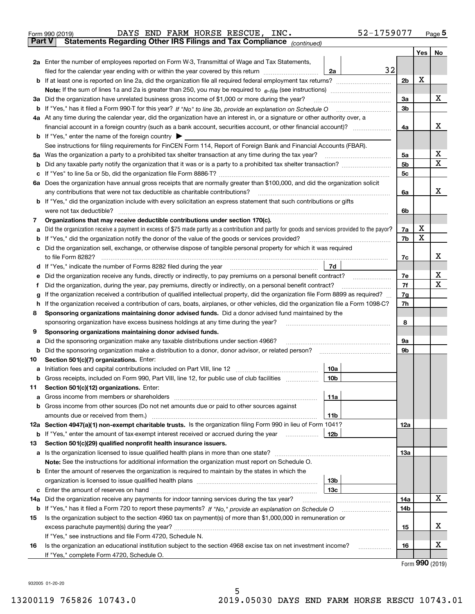| Form 990 (2019) |                                                                                                |  |  | DAYS END FARM HORSE RESCUE, INC. |  | 52-1759077 | Page 5 |
|-----------------|------------------------------------------------------------------------------------------------|--|--|----------------------------------|--|------------|--------|
|                 | <b>Part V</b> Statements Regarding Other IRS Filings and Tax Compliance <sub>(continued)</sub> |  |  |                                  |  |            |        |

| Part V | Statements Regarding Other IRS Fillings and Tax Compilance $_{(continued)}$                                                                                                                                                                      |                |     |    |
|--------|--------------------------------------------------------------------------------------------------------------------------------------------------------------------------------------------------------------------------------------------------|----------------|-----|----|
|        |                                                                                                                                                                                                                                                  |                | Yes | No |
|        | 2a Enter the number of employees reported on Form W-3, Transmittal of Wage and Tax Statements,                                                                                                                                                   |                |     |    |
|        | 32<br>filed for the calendar year ending with or within the year covered by this return<br>2a                                                                                                                                                    |                |     |    |
|        |                                                                                                                                                                                                                                                  | 2 <sub>b</sub> | X   |    |
|        |                                                                                                                                                                                                                                                  |                |     |    |
|        | 3a Did the organization have unrelated business gross income of \$1,000 or more during the year?                                                                                                                                                 | За             |     | х  |
|        | b If "Yes," has it filed a Form 990-T for this year? If "No" to line 3b, provide an explanation on Schedule O                                                                                                                                    | 3b             |     |    |
|        | 4a At any time during the calendar year, did the organization have an interest in, or a signature or other authority over, a                                                                                                                     |                |     |    |
|        |                                                                                                                                                                                                                                                  | 4a             |     | х  |
|        | <b>b</b> If "Yes," enter the name of the foreign country                                                                                                                                                                                         |                |     |    |
|        | See instructions for filing requirements for FinCEN Form 114, Report of Foreign Bank and Financial Accounts (FBAR).                                                                                                                              |                |     |    |
|        | 5a Was the organization a party to a prohibited tax shelter transaction at any time during the tax year?                                                                                                                                         | 5а             |     | х  |
|        |                                                                                                                                                                                                                                                  | 5b             |     | Χ  |
|        |                                                                                                                                                                                                                                                  | 5c             |     |    |
|        | 6a Does the organization have annual gross receipts that are normally greater than \$100,000, and did the organization solicit                                                                                                                   |                |     |    |
|        | any contributions that were not tax deductible as charitable contributions?                                                                                                                                                                      | 6a             |     | х  |
|        | <b>b</b> If "Yes," did the organization include with every solicitation an express statement that such contributions or gifts                                                                                                                    |                |     |    |
|        | were not tax deductible?                                                                                                                                                                                                                         | 6b             |     |    |
| 7      | Organizations that may receive deductible contributions under section 170(c).                                                                                                                                                                    |                | х   |    |
| а      | Did the organization receive a payment in excess of \$75 made partly as a contribution and partly for goods and services provided to the payor?                                                                                                  | 7a             | X   |    |
| b      | If "Yes," did the organization notify the donor of the value of the goods or services provided?                                                                                                                                                  | 7b             |     |    |
|        | c Did the organization sell, exchange, or otherwise dispose of tangible personal property for which it was required                                                                                                                              |                |     | х  |
|        | to file Form 8282?                                                                                                                                                                                                                               | 7c             |     |    |
|        | 7d<br>d If "Yes," indicate the number of Forms 8282 filed during the year                                                                                                                                                                        |                |     | х  |
| е      | Did the organization receive any funds, directly or indirectly, to pay premiums on a personal benefit contract?                                                                                                                                  | 7e             |     | х  |
| f      | Did the organization, during the year, pay premiums, directly or indirectly, on a personal benefit contract?<br>If the organization received a contribution of qualified intellectual property, did the organization file Form 8899 as required? | 7f             |     |    |
| g      |                                                                                                                                                                                                                                                  | 7g             |     |    |
| h      | If the organization received a contribution of cars, boats, airplanes, or other vehicles, did the organization file a Form 1098-C?<br>Sponsoring organizations maintaining donor advised funds. Did a donor advised fund maintained by the       | 7h             |     |    |
| 8      | sponsoring organization have excess business holdings at any time during the year?                                                                                                                                                               | 8              |     |    |
| 9      | Sponsoring organizations maintaining donor advised funds.                                                                                                                                                                                        |                |     |    |
| а      | Did the sponsoring organization make any taxable distributions under section 4966?                                                                                                                                                               | 9а             |     |    |
|        | <b>b</b> Did the sponsoring organization make a distribution to a donor, donor advisor, or related person?                                                                                                                                       | 9b             |     |    |
| 10     | Section 501(c)(7) organizations. Enter:                                                                                                                                                                                                          |                |     |    |
| а      | Initiation fees and capital contributions included on Part VIII, line 12<br>10a                                                                                                                                                                  |                |     |    |
|        | b Gross receipts, included on Form 990, Part VIII, line 12, for public use of club facilities<br>10 <sub>b</sub>                                                                                                                                 |                |     |    |
| 11.    | Section 501(c)(12) organizations. Enter:                                                                                                                                                                                                         |                |     |    |
|        | 11a                                                                                                                                                                                                                                              |                |     |    |
|        | <b>b</b> Gross income from other sources (Do not net amounts due or paid to other sources against                                                                                                                                                |                |     |    |
|        | 11b                                                                                                                                                                                                                                              |                |     |    |
|        | 12a Section 4947(a)(1) non-exempt charitable trusts. Is the organization filing Form 990 in lieu of Form 1041?                                                                                                                                   | 12a            |     |    |
|        | 12b<br><b>b</b> If "Yes," enter the amount of tax-exempt interest received or accrued during the year                                                                                                                                            |                |     |    |
| 13     | Section 501(c)(29) qualified nonprofit health insurance issuers.                                                                                                                                                                                 |                |     |    |
|        | a Is the organization licensed to issue qualified health plans in more than one state?                                                                                                                                                           | 13a            |     |    |
|        | Note: See the instructions for additional information the organization must report on Schedule O.                                                                                                                                                |                |     |    |
|        | <b>b</b> Enter the amount of reserves the organization is required to maintain by the states in which the                                                                                                                                        |                |     |    |
|        | 13 <sub>b</sub>                                                                                                                                                                                                                                  |                |     |    |
|        | 13с                                                                                                                                                                                                                                              |                |     |    |
|        | 14a Did the organization receive any payments for indoor tanning services during the tax year?                                                                                                                                                   | 14a            |     | x  |
|        |                                                                                                                                                                                                                                                  | 14b            |     |    |
| 15     | Is the organization subject to the section 4960 tax on payment(s) of more than \$1,000,000 in remuneration or                                                                                                                                    |                |     |    |
|        |                                                                                                                                                                                                                                                  | 15             |     | х  |
|        | If "Yes," see instructions and file Form 4720, Schedule N.                                                                                                                                                                                       |                |     |    |
| 16     | Is the organization an educational institution subject to the section 4968 excise tax on net investment income?                                                                                                                                  | 16             |     | х  |
|        | If "Yes," complete Form 4720, Schedule O.                                                                                                                                                                                                        |                |     |    |

5

Form (2019) **990**

932005 01-20-20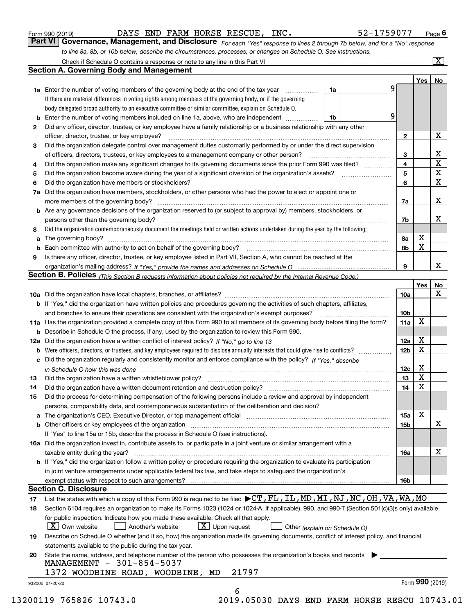| Form 990 (2019) |  |  |
|-----------------|--|--|
|                 |  |  |

| Form 990 (2019) |  |  | DAYS END FARM HORSE RESCUE, INC. | 52-1759077                                                                                                                  | Page $\bm{6}$ |
|-----------------|--|--|----------------------------------|-----------------------------------------------------------------------------------------------------------------------------|---------------|
|                 |  |  |                                  | Part VI Governance, Management, and Disclosure For each "Yes" response to lines 2 through 7b below, and for a "No" response |               |

*to line 8a, 8b, or 10b below, describe the circumstances, processes, or changes on Schedule O. See instructions.*

|    |                                                                                                                                                                                                                                | 9                       |                 | Yes   No                |
|----|--------------------------------------------------------------------------------------------------------------------------------------------------------------------------------------------------------------------------------|-------------------------|-----------------|-------------------------|
|    | <b>1a</b> Enter the number of voting members of the governing body at the end of the tax year<br>1a<br>If there are material differences in voting rights among members of the governing body, or if the governing             |                         |                 |                         |
|    | body delegated broad authority to an executive committee or similar committee, explain on Schedule O.                                                                                                                          |                         |                 |                         |
| b  | Enter the number of voting members included on line 1a, above, who are independent<br>1b                                                                                                                                       | 9                       |                 |                         |
|    |                                                                                                                                                                                                                                |                         |                 |                         |
| 2  | Did any officer, director, trustee, or key employee have a family relationship or a business relationship with any other<br>officer, director, trustee, or key employee?                                                       | $\mathbf{2}$            |                 | X                       |
| З  | Did the organization delegate control over management duties customarily performed by or under the direct supervision                                                                                                          |                         |                 |                         |
|    | of officers, directors, trustees, or key employees to a management company or other person?                                                                                                                                    | 3                       |                 | X                       |
| 4  | Did the organization make any significant changes to its governing documents since the prior Form 990 was filed?                                                                                                               | $\overline{\mathbf{4}}$ |                 | $\overline{\mathbf{x}}$ |
| 5  |                                                                                                                                                                                                                                | 5                       |                 | $\overline{\mathbf{x}}$ |
| 6  | Did the organization have members or stockholders?                                                                                                                                                                             | 6                       |                 | $\mathbf X$             |
| 7a | Did the organization have members, stockholders, or other persons who had the power to elect or appoint one or                                                                                                                 |                         |                 |                         |
|    |                                                                                                                                                                                                                                | 7a                      |                 | X                       |
|    | <b>b</b> Are any governance decisions of the organization reserved to (or subject to approval by) members, stockholders, or                                                                                                    |                         |                 |                         |
|    |                                                                                                                                                                                                                                |                         |                 | х                       |
|    | persons other than the governing body?                                                                                                                                                                                         | 7b                      |                 |                         |
| 8  | Did the organization contemporaneously document the meetings held or written actions undertaken during the year by the following:                                                                                              |                         | X               |                         |
| a  |                                                                                                                                                                                                                                | 8а<br>8b                | X               |                         |
| b  | Is there any officer, director, trustee, or key employee listed in Part VII, Section A, who cannot be reached at the                                                                                                           |                         |                 |                         |
| 9  |                                                                                                                                                                                                                                | 9                       |                 | X                       |
|    | Section B. Policies (This Section B requests information about policies not required by the Internal Revenue Code.)                                                                                                            |                         |                 |                         |
|    |                                                                                                                                                                                                                                |                         | Yes             | No                      |
|    |                                                                                                                                                                                                                                | 10a                     |                 | X                       |
|    | <b>b</b> If "Yes," did the organization have written policies and procedures governing the activities of such chapters, affiliates,                                                                                            |                         |                 |                         |
|    |                                                                                                                                                                                                                                | 10 <sub>b</sub>         |                 |                         |
|    | 11a Has the organization provided a complete copy of this Form 990 to all members of its governing body before filing the form?                                                                                                | 11a                     | X               |                         |
|    |                                                                                                                                                                                                                                |                         |                 |                         |
|    | <b>b</b> Describe in Schedule O the process, if any, used by the organization to review this Form 990.                                                                                                                         | 12a                     | X               |                         |
|    |                                                                                                                                                                                                                                | 12 <sub>b</sub>         | х               |                         |
|    | c Did the organization regularly and consistently monitor and enforce compliance with the policy? If "Yes," describe                                                                                                           |                         |                 |                         |
|    |                                                                                                                                                                                                                                | 12c                     | X               |                         |
| 13 | in Schedule O how this was done manufactured and continuum control of the Schedule O how this was done manufactured and continuum control of the Schedule O how this was done                                                  | 13                      | X               |                         |
| 14 |                                                                                                                                                                                                                                | 14                      | X               |                         |
| 15 | Did the process for determining compensation of the following persons include a review and approval by independent                                                                                                             |                         |                 |                         |
|    | persons, comparability data, and contemporaneous substantiation of the deliberation and decision?                                                                                                                              |                         |                 |                         |
|    | a The organization's CEO, Executive Director, or top management official manufactured content content of the organization's CEO, Executive Director, or top management official manufactured content of the state of the state | 15a                     | х               |                         |
|    |                                                                                                                                                                                                                                | 15b                     |                 | $\mathbf X$             |
|    | If "Yes" to line 15a or 15b, describe the process in Schedule O (see instructions).                                                                                                                                            |                         |                 |                         |
|    | 16a Did the organization invest in, contribute assets to, or participate in a joint venture or similar arrangement with a                                                                                                      |                         |                 |                         |
|    |                                                                                                                                                                                                                                | 16a                     |                 | X                       |
|    | taxable entity during the year?<br>b If "Yes," did the organization follow a written policy or procedure requiring the organization to evaluate its participation                                                              |                         |                 |                         |
|    | in joint venture arrangements under applicable federal tax law, and take steps to safequard the organization's                                                                                                                 |                         |                 |                         |
|    | exempt status with respect to such arrangements?                                                                                                                                                                               | 16b                     |                 |                         |
|    | <b>Section C. Disclosure</b>                                                                                                                                                                                                   |                         |                 |                         |
| 17 | List the states with which a copy of this Form 990 is required to be filed ▶CT, FL, IL, MD, MI, NJ, NC, OH, VA, WA, MO                                                                                                         |                         |                 |                         |
| 18 | Section 6104 requires an organization to make its Forms 1023 (1024 or 1024-A, if applicable), 990, and 990-T (Section 501(c)(3)s only) available                                                                               |                         |                 |                         |
|    | for public inspection. Indicate how you made these available. Check all that apply.                                                                                                                                            |                         |                 |                         |
|    | $X$ Upon request<br>$\lfloor x \rfloor$ Own website<br>Another's website<br>Other (explain on Schedule O)                                                                                                                      |                         |                 |                         |
| 19 | Describe on Schedule O whether (and if so, how) the organization made its governing documents, conflict of interest policy, and financial                                                                                      |                         |                 |                         |
|    | statements available to the public during the tax year.                                                                                                                                                                        |                         |                 |                         |
| 20 | State the name, address, and telephone number of the person who possesses the organization's books and records                                                                                                                 |                         |                 |                         |
|    | MANAGEMENT - 301-854-5037                                                                                                                                                                                                      |                         |                 |                         |
|    | 21797<br>1372 WOODBINE ROAD, WOODBINE,<br>MD                                                                                                                                                                                   |                         |                 |                         |
|    |                                                                                                                                                                                                                                |                         | Form 990 (2019) |                         |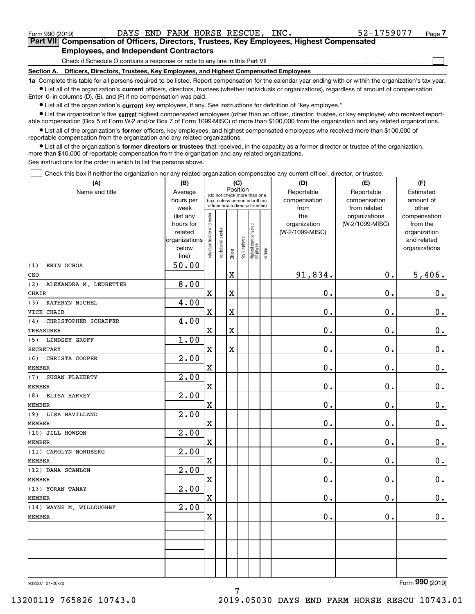$\mathcal{L}^{\text{max}}$ 

**7Part VII Compensation of Officers, Directors, Trustees, Key Employees, Highest Compensated Employees, and Independent Contractors**

Check if Schedule O contains a response or note to any line in this Part VII

**Section A. Officers, Directors, Trustees, Key Employees, and Highest Compensated Employees**

**1a**  Complete this table for all persons required to be listed. Report compensation for the calendar year ending with or within the organization's tax year. **•** List all of the organization's current officers, directors, trustees (whether individuals or organizations), regardless of amount of compensation.

Enter -0- in columns (D), (E), and (F) if no compensation was paid.

 $\bullet$  List all of the organization's  $\,$ current key employees, if any. See instructions for definition of "key employee."

**•** List the organization's five current highest compensated employees (other than an officer, director, trustee, or key employee) who received reportable compensation (Box 5 of Form W-2 and/or Box 7 of Form 1099-MISC) of more than \$100,000 from the organization and any related organizations.

**•** List all of the organization's former officers, key employees, and highest compensated employees who received more than \$100,000 of reportable compensation from the organization and any related organizations.

**former directors or trustees**  ¥ List all of the organization's that received, in the capacity as a former director or trustee of the organization, more than \$10,000 of reportable compensation from the organization and any related organizations.

See instructions for the order in which to list the persons above.

Check this box if neither the organization nor any related organization compensated any current officer, director, or trustee.  $\mathcal{L}^{\text{max}}$ 

| (A)                           | (B)               |                               |                                 | (C)         |              |                                  |        | (D)             | (E)             | (F)           |
|-------------------------------|-------------------|-------------------------------|---------------------------------|-------------|--------------|----------------------------------|--------|-----------------|-----------------|---------------|
| Name and title                | Average           |                               | (do not check more than one     |             | Position     |                                  |        | Reportable      | Reportable      | Estimated     |
|                               | hours per         |                               | box, unless person is both an   |             |              |                                  |        | compensation    | compensation    | amount of     |
|                               | week              |                               | officer and a director/trustee) |             |              |                                  |        | from            | from related    | other         |
|                               | (list any         |                               |                                 |             |              |                                  |        | the             | organizations   | compensation  |
|                               | hours for         |                               |                                 |             |              |                                  |        | organization    | (W-2/1099-MISC) | from the      |
|                               | related           |                               |                                 |             |              |                                  |        | (W-2/1099-MISC) |                 | organization  |
|                               | organizations     |                               |                                 |             |              |                                  |        |                 |                 | and related   |
|                               | below<br>line)    | ndividual trustee or director | nstitutional trustee            | Officer     | Key employee | Highest compensated<br> employee | Former |                 |                 | organizations |
| (1)<br>ERIN OCHOA             | 50.00             |                               |                                 |             |              |                                  |        |                 |                 |               |
| CEO                           |                   |                               |                                 | $\rm X$     |              |                                  |        | 91,834.         | $\mathbf{0}$ .  | 5,406.        |
| (2)<br>ALEXANDRA M. LEDBETTER | 8.00              |                               |                                 |             |              |                                  |        |                 |                 |               |
| CHAIR                         |                   | $\overline{\mathbf{X}}$       |                                 | $\mathbf X$ |              |                                  |        | 0.              | $\mathbf 0$ .   | $\mathbf 0$ . |
| KATHRYN MICHEL<br>(3)         | 4.00              |                               |                                 |             |              |                                  |        |                 |                 |               |
| VICE CHAIR                    |                   | $\mathbf X$                   |                                 | $\mathbf X$ |              |                                  |        | $\mathbf 0$ .   | $\mathbf 0$ .   | $0$ .         |
| CHRISTOPHER SCHAEFER<br>(4)   | 4.00              |                               |                                 |             |              |                                  |        |                 |                 |               |
| <b>TREASURER</b>              |                   | $\overline{\mathbf{X}}$       |                                 | $\mathbf X$ |              |                                  |        | 0.              | $\mathbf 0$ .   | $0_{.}$       |
| (5)<br>LINDSEY GROFF          | 1.00              |                               |                                 |             |              |                                  |        |                 |                 |               |
| <b>SECRETARY</b>              |                   | $\mathbf X$                   |                                 | $\mathbf X$ |              |                                  |        | 0.              | $\mathbf 0$ .   | $\mathbf 0$ . |
| CHRISTA COOPER<br>(6)         | 2.00              |                               |                                 |             |              |                                  |        |                 |                 |               |
| <b>MEMBER</b>                 |                   | $\overline{\mathbf{X}}$       |                                 |             |              |                                  |        | 0.              | $\mathbf 0$ .   | 0.            |
| (7)<br>SUSAN FLAHERTY         | 2.00              |                               |                                 |             |              |                                  |        |                 |                 |               |
| <b>MEMBER</b>                 |                   | $\mathbf X$                   |                                 |             |              |                                  |        | 0.              | $\mathbf 0$ .   | $\mathbf 0$ . |
| ELISA HARVEY<br>(8)           | $\overline{2.00}$ |                               |                                 |             |              |                                  |        |                 |                 |               |
| <b>MEMBER</b>                 |                   | $\mathbf X$                   |                                 |             |              |                                  |        | 0.              | 0.              | $\mathbf 0$ . |
| LISA HAVILLAND<br>(9)         | $\overline{2.00}$ |                               |                                 |             |              |                                  |        |                 |                 |               |
| <b>MEMBER</b>                 |                   | $\overline{\textbf{X}}$       |                                 |             |              |                                  |        | 0.              | $\mathbf 0$ .   | $\mathbf 0$ . |
| (10) JILL HOWSON              | 2.00              |                               |                                 |             |              |                                  |        |                 |                 |               |
| MEMBER                        |                   | $\mathbf X$                   |                                 |             |              |                                  |        | 0.              | $\mathbf 0$ .   | 0.            |
| (11) CAROLYN NORDBERG         | 2.00              |                               |                                 |             |              |                                  |        |                 |                 |               |
| <b>MEMBER</b>                 |                   | $\overline{\textbf{X}}$       |                                 |             |              |                                  |        | 0.              | $\mathbf 0$ .   | $\mathbf 0$ . |
| (12) DANA SCANLON             | $\overline{2.00}$ |                               |                                 |             |              |                                  |        |                 |                 |               |
| <b>MEMBER</b>                 |                   | X                             |                                 |             |              |                                  |        | 0.              | 0.              | $\mathbf 0$ . |
| (13) YORAN TANAY              | 2.00              |                               |                                 |             |              |                                  |        |                 |                 |               |
| <b>MEMBER</b>                 |                   | $\overline{\textbf{X}}$       |                                 |             |              |                                  |        | 0.              | $\mathbf 0$ .   | 0.            |
| (14) WAYNE M. WILLOUGHBY      | 2.00              |                               |                                 |             |              |                                  |        |                 |                 |               |
| <b>MEMBER</b>                 |                   | $\overline{\mathbf{X}}$       |                                 |             |              |                                  |        | 0.              | $\mathbf 0$ .   | $\mathbf 0$ . |
|                               |                   |                               |                                 |             |              |                                  |        |                 |                 |               |
|                               |                   |                               |                                 |             |              |                                  |        |                 |                 |               |
|                               |                   |                               |                                 |             |              |                                  |        |                 |                 |               |
|                               |                   |                               |                                 |             |              |                                  |        |                 |                 |               |
|                               |                   |                               |                                 |             |              |                                  |        |                 |                 |               |
|                               |                   |                               |                                 |             |              |                                  |        |                 |                 |               |

932007 01-20-20

Form (2019) **990**

13200119 765826 10743.0 2019.05030 DAYS END FARM HORSE RESCU 10743.01

7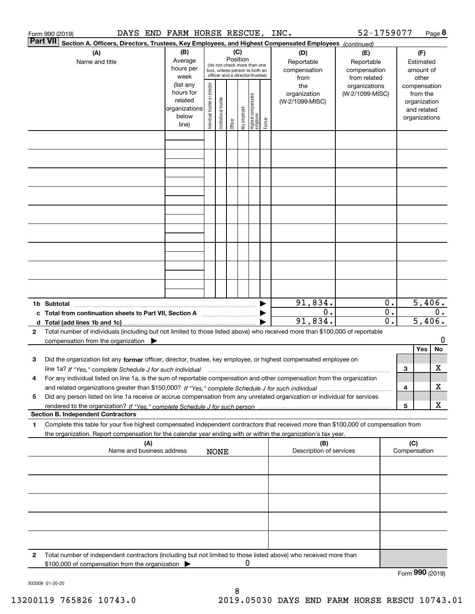|          | DAYS END FARM HORSE RESCUE, INC.<br>Form 990 (2019)                                                                                        |                        |                                |                        |                 |              |                                                              |        |                         | 52-1759077                    |                             |                 |                              | Page 8  |
|----------|--------------------------------------------------------------------------------------------------------------------------------------------|------------------------|--------------------------------|------------------------|-----------------|--------------|--------------------------------------------------------------|--------|-------------------------|-------------------------------|-----------------------------|-----------------|------------------------------|---------|
| Part VII | Section A. Officers, Directors, Trustees, Key Employees, and Highest Compensated Employees (continued)                                     |                        |                                |                        |                 |              |                                                              |        |                         |                               |                             |                 |                              |         |
|          | (A)<br>Name and title                                                                                                                      | (B)<br>Average         |                                |                        | (C)<br>Position |              |                                                              |        | (D)<br>Reportable       | (E)<br>Reportable             |                             |                 | (F)<br>Estimated             |         |
|          |                                                                                                                                            | hours per              |                                |                        |                 |              | (do not check more than one<br>box, unless person is both an |        | compensation            | compensation                  |                             |                 | amount of                    |         |
|          |                                                                                                                                            | week<br>(list any      |                                |                        |                 |              | officer and a director/trustee)                              |        | from<br>the             | from related<br>organizations |                             |                 | other<br>compensation        |         |
|          |                                                                                                                                            | hours for              |                                |                        |                 |              |                                                              |        | organization            | (W-2/1099-MISC)               |                             |                 | from the                     |         |
|          |                                                                                                                                            | related                |                                |                        |                 |              |                                                              |        | (W-2/1099-MISC)         |                               |                             |                 | organization                 |         |
|          |                                                                                                                                            | organizations<br>below | Individual trustee or director | In stitutional trustee |                 | key employee |                                                              |        |                         |                               |                             |                 | and related<br>organizations |         |
|          |                                                                                                                                            | line)                  |                                |                        | Officer         |              | Highest compensated<br> employee                             | Former |                         |                               |                             |                 |                              |         |
|          |                                                                                                                                            |                        |                                |                        |                 |              |                                                              |        |                         |                               |                             |                 |                              |         |
|          |                                                                                                                                            |                        |                                |                        |                 |              |                                                              |        |                         |                               |                             |                 |                              |         |
|          |                                                                                                                                            |                        |                                |                        |                 |              |                                                              |        |                         |                               |                             |                 |                              |         |
|          |                                                                                                                                            |                        |                                |                        |                 |              |                                                              |        |                         |                               |                             |                 |                              |         |
|          |                                                                                                                                            |                        |                                |                        |                 |              |                                                              |        |                         |                               |                             |                 |                              |         |
|          |                                                                                                                                            |                        |                                |                        |                 |              |                                                              |        |                         |                               |                             |                 |                              |         |
|          |                                                                                                                                            |                        |                                |                        |                 |              |                                                              |        |                         |                               |                             |                 |                              |         |
|          |                                                                                                                                            |                        |                                |                        |                 |              |                                                              |        |                         |                               |                             |                 |                              |         |
|          |                                                                                                                                            |                        |                                |                        |                 |              |                                                              |        |                         |                               |                             |                 |                              |         |
|          |                                                                                                                                            |                        |                                |                        |                 |              |                                                              |        |                         |                               |                             |                 |                              |         |
|          |                                                                                                                                            |                        |                                |                        |                 |              |                                                              |        |                         |                               |                             |                 |                              |         |
|          |                                                                                                                                            |                        |                                |                        |                 |              |                                                              |        |                         |                               |                             |                 |                              |         |
|          | 1b Subtotal                                                                                                                                |                        |                                |                        |                 |              |                                                              |        | 91,834.<br>0.           |                               | 0.<br>$\overline{0}$ .      |                 | 5,406.                       | 0.      |
|          | c Total from continuation sheets to Part VII, Section A                                                                                    |                        |                                |                        |                 |              |                                                              |        | 91,834.                 |                               | $\overline{\mathfrak{o}}$ . |                 | 5,406.                       |         |
| 2        | Total number of individuals (including but not limited to those listed above) who received more than \$100,000 of reportable               |                        |                                |                        |                 |              |                                                              |        |                         |                               |                             |                 |                              |         |
|          | compensation from the organization $\blacktriangleright$                                                                                   |                        |                                |                        |                 |              |                                                              |        |                         |                               |                             |                 | Yes                          | 0<br>No |
| 3        | Did the organization list any former officer, director, trustee, key employee, or highest compensated employee on                          |                        |                                |                        |                 |              |                                                              |        |                         |                               |                             |                 |                              |         |
|          | line 1a? If "Yes," complete Schedule J for such individual matches contained and the 1a? If "Yes," complete Schedule J for such individual |                        |                                |                        |                 |              |                                                              |        |                         |                               |                             | 3               |                              | х       |
| 4        | For any individual listed on line 1a, is the sum of reportable compensation and other compensation from the organization                   |                        |                                |                        |                 |              |                                                              |        |                         |                               |                             |                 |                              |         |
| 5        | Did any person listed on line 1a receive or accrue compensation from any unrelated organization or individual for services                 |                        |                                |                        |                 |              |                                                              |        |                         |                               |                             | 4               |                              | х       |
|          |                                                                                                                                            |                        |                                |                        |                 |              |                                                              |        |                         |                               |                             | 5               |                              | х       |
|          | <b>Section B. Independent Contractors</b>                                                                                                  |                        |                                |                        |                 |              |                                                              |        |                         |                               |                             |                 |                              |         |
| 1        | Complete this table for your five highest compensated independent contractors that received more than \$100,000 of compensation from       |                        |                                |                        |                 |              |                                                              |        |                         |                               |                             |                 |                              |         |
|          | the organization. Report compensation for the calendar year ending with or within the organization's tax year.<br>(A)                      |                        |                                |                        |                 |              |                                                              |        | (B)                     |                               |                             | (C)             |                              |         |
|          | Name and business address                                                                                                                  |                        |                                | <b>NONE</b>            |                 |              |                                                              |        | Description of services |                               |                             | Compensation    |                              |         |
|          |                                                                                                                                            |                        |                                |                        |                 |              |                                                              |        |                         |                               |                             |                 |                              |         |
|          |                                                                                                                                            |                        |                                |                        |                 |              |                                                              |        |                         |                               |                             |                 |                              |         |
|          |                                                                                                                                            |                        |                                |                        |                 |              |                                                              |        |                         |                               |                             |                 |                              |         |
|          |                                                                                                                                            |                        |                                |                        |                 |              |                                                              |        |                         |                               |                             |                 |                              |         |
|          |                                                                                                                                            |                        |                                |                        |                 |              |                                                              |        |                         |                               |                             |                 |                              |         |
|          |                                                                                                                                            |                        |                                |                        |                 |              |                                                              |        |                         |                               |                             |                 |                              |         |
| 2        | Total number of independent contractors (including but not limited to those listed above) who received more than                           |                        |                                |                        |                 |              |                                                              |        |                         |                               |                             |                 |                              |         |
|          | \$100,000 of compensation from the organization                                                                                            |                        |                                |                        |                 | 0            |                                                              |        |                         |                               |                             | Form 990 (2019) |                              |         |

932008 01-20-20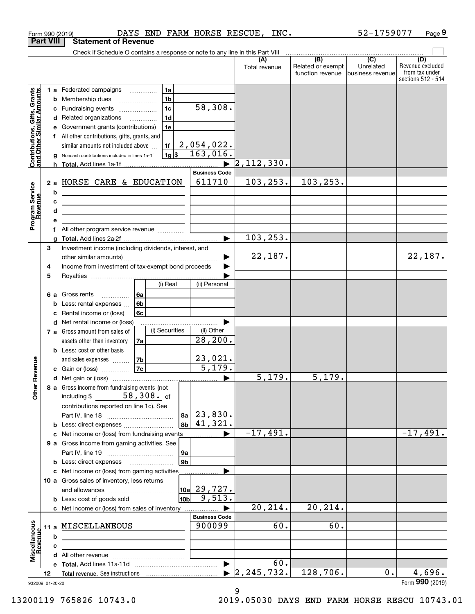|                                                           |                  | Form 990 (2019)                                                                                                           | DAYS END FARM HORSE RESCUE, INC.                                              |                        |                      |                                                           | 52-1759077                                        | Page 9                                                          |
|-----------------------------------------------------------|------------------|---------------------------------------------------------------------------------------------------------------------------|-------------------------------------------------------------------------------|------------------------|----------------------|-----------------------------------------------------------|---------------------------------------------------|-----------------------------------------------------------------|
|                                                           | <b>Part VIII</b> | <b>Statement of Revenue</b>                                                                                               |                                                                               |                        |                      |                                                           |                                                   |                                                                 |
|                                                           |                  |                                                                                                                           | Check if Schedule O contains a response or note to any line in this Part VIII |                        |                      |                                                           |                                                   |                                                                 |
|                                                           |                  |                                                                                                                           |                                                                               |                        | (A)<br>Total revenue | $\overline{(B)}$<br>Related or exempt<br>function revenue | $\overline{(C)}$<br>Unrelated<br>business revenue | (D)<br>Revenue excluded<br>from tax under<br>sections 512 - 514 |
|                                                           |                  | 1 a Federated campaigns                                                                                                   | l 1a                                                                          |                        |                      |                                                           |                                                   |                                                                 |
|                                                           | b                | Membership dues                                                                                                           | 1 <sub>b</sub>                                                                |                        |                      |                                                           |                                                   |                                                                 |
|                                                           |                  | Fundraising events<br>c                                                                                                   | 1 <sub>c</sub>                                                                | 58,308.                |                      |                                                           |                                                   |                                                                 |
|                                                           |                  | Related organizations<br>d                                                                                                | 1 <sub>d</sub>                                                                |                        |                      |                                                           |                                                   |                                                                 |
|                                                           |                  | Government grants (contributions)                                                                                         | 1e                                                                            |                        |                      |                                                           |                                                   |                                                                 |
|                                                           |                  | All other contributions, gifts, grants, and                                                                               |                                                                               |                        |                      |                                                           |                                                   |                                                                 |
| Contributions, Gifts, Grants<br>and Other Similar Amounts |                  | similar amounts not included above                                                                                        | 1f                                                                            | $2,054,022$ .          |                      |                                                           |                                                   |                                                                 |
|                                                           |                  | Noncash contributions included in lines 1a-1f                                                                             | $1g$ \$                                                                       | 163,016.               |                      |                                                           |                                                   |                                                                 |
|                                                           |                  |                                                                                                                           |                                                                               |                        | 2,112,330.           |                                                           |                                                   |                                                                 |
|                                                           |                  |                                                                                                                           |                                                                               | <b>Business Code</b>   |                      |                                                           |                                                   |                                                                 |
|                                                           |                  | 2 a HORSE CARE & EDUCATION                                                                                                |                                                                               | 611710                 | 103, 253.            | 103, 253.                                                 |                                                   |                                                                 |
|                                                           | b                | <u> 1989 - Johann Barn, mars ann an t-Amhain ann an t-Amhain an t-Amhain an t-Amhain an t-Amhain an t-Amhain an t-</u>    |                                                                               |                        |                      |                                                           |                                                   |                                                                 |
|                                                           | c                | <u> 1999 - Johann Barbara, martin amerikan personal (</u>                                                                 |                                                                               |                        |                      |                                                           |                                                   |                                                                 |
| Program Service<br>Revenue                                |                  | <u> 1989 - Johann Stein, marwolaethau a bhann an t-Amhainn an t-Amhainn an t-Amhainn an t-Amhainn an t-Amhainn a</u><br>d |                                                                               |                        |                      |                                                           |                                                   |                                                                 |
|                                                           |                  |                                                                                                                           |                                                                               |                        |                      |                                                           |                                                   |                                                                 |
|                                                           |                  |                                                                                                                           |                                                                               | $\blacktriangleright$  | 103, 253.            |                                                           |                                                   |                                                                 |
|                                                           | 3                | Investment income (including dividends, interest, and                                                                     |                                                                               |                        |                      |                                                           |                                                   |                                                                 |
|                                                           |                  |                                                                                                                           |                                                                               | ▶                      | 22,187.              |                                                           |                                                   | 22,187.                                                         |
|                                                           | 4                | Income from investment of tax-exempt bond proceeds                                                                        |                                                                               |                        |                      |                                                           |                                                   |                                                                 |
|                                                           | 5                |                                                                                                                           |                                                                               |                        |                      |                                                           |                                                   |                                                                 |
|                                                           |                  |                                                                                                                           | (i) Real                                                                      | (ii) Personal          |                      |                                                           |                                                   |                                                                 |
|                                                           |                  | 6 a Gross rents<br>.                                                                                                      | l 6a                                                                          |                        |                      |                                                           |                                                   |                                                                 |
|                                                           |                  | Less: rental expenses                                                                                                     | 6 <sub>b</sub>                                                                |                        |                      |                                                           |                                                   |                                                                 |
|                                                           |                  | Rental income or (loss)                                                                                                   | 6c                                                                            |                        |                      |                                                           |                                                   |                                                                 |
|                                                           | d                | Net rental income or (loss)                                                                                               |                                                                               | .                      |                      |                                                           |                                                   |                                                                 |
|                                                           |                  | 7 a Gross amount from sales of                                                                                            | (i) Securities                                                                | (ii) Other<br>28, 200. |                      |                                                           |                                                   |                                                                 |
|                                                           |                  | assets other than inventory<br><b>b</b> Less: cost or other basis                                                         | 7a                                                                            |                        |                      |                                                           |                                                   |                                                                 |
|                                                           |                  | and sales expenses                                                                                                        | 7b                                                                            | <u>23,021.</u>         |                      |                                                           |                                                   |                                                                 |
| venue                                                     |                  | c Gain or (loss)                                                                                                          | 7c                                                                            | 5,179.                 |                      |                                                           |                                                   |                                                                 |
|                                                           |                  |                                                                                                                           |                                                                               |                        | 5,179.               | $\overline{5,179}$ .                                      |                                                   |                                                                 |
| Other Re                                                  |                  | 8 a Gross income from fundraising events (not                                                                             |                                                                               |                        |                      |                                                           |                                                   |                                                                 |
|                                                           |                  | including \$ 58, 308. of                                                                                                  |                                                                               |                        |                      |                                                           |                                                   |                                                                 |
|                                                           |                  | contributions reported on line 1c). See                                                                                   |                                                                               |                        |                      |                                                           |                                                   |                                                                 |
|                                                           |                  |                                                                                                                           |                                                                               | $ 8a $ 23,830.         |                      |                                                           |                                                   |                                                                 |
|                                                           |                  | Less: direct expenses<br>b                                                                                                | 8b                                                                            | 41,321.                |                      |                                                           |                                                   |                                                                 |
|                                                           |                  | Net income or (loss) from fundraising events                                                                              |                                                                               |                        | $-17,491.$           |                                                           |                                                   | $-17,491.$                                                      |
|                                                           |                  | 9 a Gross income from gaming activities. See                                                                              |                                                                               |                        |                      |                                                           |                                                   |                                                                 |
|                                                           |                  |                                                                                                                           | 9a                                                                            |                        |                      |                                                           |                                                   |                                                                 |
|                                                           |                  | c Net income or (loss) from gaming activities                                                                             | 9 <sub>b</sub>                                                                |                        |                      |                                                           |                                                   |                                                                 |
|                                                           |                  | 10 a Gross sales of inventory, less returns                                                                               |                                                                               |                        |                      |                                                           |                                                   |                                                                 |
|                                                           |                  |                                                                                                                           |                                                                               | 10a 29,727.            |                      |                                                           |                                                   |                                                                 |
|                                                           |                  | <b>b</b> Less: cost of goods sold                                                                                         | 10 <sub>b</sub>                                                               | 9,513.                 |                      |                                                           |                                                   |                                                                 |
|                                                           |                  | c Net income or (loss) from sales of inventory                                                                            |                                                                               |                        | 20,214.              | 20,214.                                                   |                                                   |                                                                 |
|                                                           |                  |                                                                                                                           |                                                                               | <b>Business Code</b>   |                      |                                                           |                                                   |                                                                 |
|                                                           | 11 a             | MISCELLANEOUS                                                                                                             |                                                                               | 900099                 | 60.                  | 60.                                                       |                                                   |                                                                 |
| Revenue                                                   | b                |                                                                                                                           |                                                                               |                        |                      |                                                           |                                                   |                                                                 |
|                                                           | c                |                                                                                                                           |                                                                               |                        |                      |                                                           |                                                   |                                                                 |
| Miscellaneous                                             |                  |                                                                                                                           |                                                                               |                        |                      |                                                           |                                                   |                                                                 |
|                                                           |                  |                                                                                                                           |                                                                               | ▶                      | 60.                  |                                                           |                                                   |                                                                 |
|                                                           | 12               |                                                                                                                           |                                                                               |                        | 2, 245, 732.         | 128,706.                                                  | 0.1                                               | 4,696.                                                          |
| 932009 01-20-20                                           |                  |                                                                                                                           |                                                                               |                        |                      |                                                           |                                                   | Form 990 (2019)                                                 |

<sup>9</sup>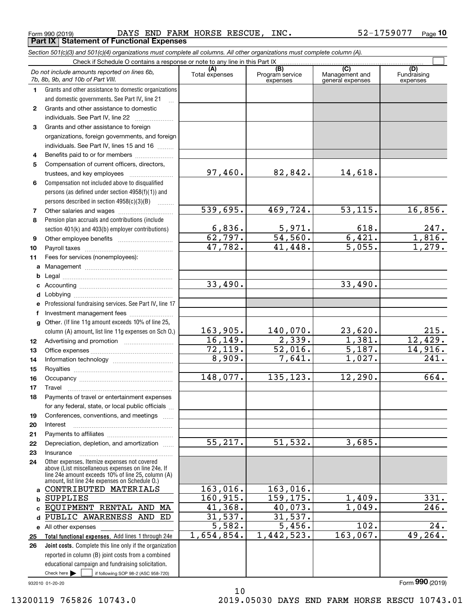Form 990 (2019) DAYS END FARM HORSE RESCUE,INC. 52-1759077 <sub>Page</sub> **Part IX Statement of Functional Expenses**

*Section 501(c)(3) and 501(c)(4) organizations must complete all columns. All other organizations must complete column (A).*

|              | Check if Schedule O contains a response or note to any line in this Part IX                                                                                                                                |                          |                                    |                                           |                                |  |  |  |  |  |
|--------------|------------------------------------------------------------------------------------------------------------------------------------------------------------------------------------------------------------|--------------------------|------------------------------------|-------------------------------------------|--------------------------------|--|--|--|--|--|
|              | Do not include amounts reported on lines 6b,<br>7b, 8b, 9b, and 10b of Part VIII.                                                                                                                          | (A)<br>Total expenses    | (B)<br>Program service<br>expenses | (C)<br>Management and<br>general expenses | (D)<br>Fundraising<br>expenses |  |  |  |  |  |
| 1.           | Grants and other assistance to domestic organizations                                                                                                                                                      |                          |                                    |                                           |                                |  |  |  |  |  |
|              | and domestic governments. See Part IV, line 21                                                                                                                                                             |                          |                                    |                                           |                                |  |  |  |  |  |
| $\mathbf{2}$ | Grants and other assistance to domestic                                                                                                                                                                    |                          |                                    |                                           |                                |  |  |  |  |  |
|              | individuals. See Part IV, line 22                                                                                                                                                                          |                          |                                    |                                           |                                |  |  |  |  |  |
| 3            | Grants and other assistance to foreign                                                                                                                                                                     |                          |                                    |                                           |                                |  |  |  |  |  |
|              | organizations, foreign governments, and foreign                                                                                                                                                            |                          |                                    |                                           |                                |  |  |  |  |  |
|              | individuals. See Part IV, lines 15 and 16                                                                                                                                                                  |                          |                                    |                                           |                                |  |  |  |  |  |
| 4            | Benefits paid to or for members                                                                                                                                                                            |                          |                                    |                                           |                                |  |  |  |  |  |
| 5            | Compensation of current officers, directors,                                                                                                                                                               |                          |                                    |                                           |                                |  |  |  |  |  |
|              |                                                                                                                                                                                                            | 97,460.                  | 82,842.                            | 14,618.                                   |                                |  |  |  |  |  |
| 6            | Compensation not included above to disqualified                                                                                                                                                            |                          |                                    |                                           |                                |  |  |  |  |  |
|              | persons (as defined under section 4958(f)(1)) and                                                                                                                                                          |                          |                                    |                                           |                                |  |  |  |  |  |
|              | persons described in section 4958(c)(3)(B)<br>a a bhailtean                                                                                                                                                |                          |                                    |                                           |                                |  |  |  |  |  |
| 7            |                                                                                                                                                                                                            | 539,695.                 | 469,724.                           | $\overline{53,115}$ .                     | 16,856.                        |  |  |  |  |  |
| 8            | Pension plan accruals and contributions (include                                                                                                                                                           |                          |                                    |                                           |                                |  |  |  |  |  |
|              | section 401(k) and 403(b) employer contributions)                                                                                                                                                          | $\frac{6,836.}{62,797.}$ | $\frac{5,971}{54,560}$ .           | 618.                                      | 247.                           |  |  |  |  |  |
| 9            |                                                                                                                                                                                                            |                          |                                    | 6,421.                                    | 1,816.                         |  |  |  |  |  |
| 10           |                                                                                                                                                                                                            | 17,782.                  | 41,448.                            | $\overline{5,055}$ .                      | 1,279.                         |  |  |  |  |  |
| 11           | Fees for services (nonemployees):                                                                                                                                                                          |                          |                                    |                                           |                                |  |  |  |  |  |
| a            |                                                                                                                                                                                                            |                          |                                    |                                           |                                |  |  |  |  |  |
| b            |                                                                                                                                                                                                            | 33,490.                  |                                    | 33,490.                                   |                                |  |  |  |  |  |
| c            |                                                                                                                                                                                                            |                          |                                    |                                           |                                |  |  |  |  |  |
| d            |                                                                                                                                                                                                            |                          |                                    |                                           |                                |  |  |  |  |  |
|              | Professional fundraising services. See Part IV, line 17                                                                                                                                                    |                          |                                    |                                           |                                |  |  |  |  |  |
| f            | Investment management fees                                                                                                                                                                                 |                          |                                    |                                           |                                |  |  |  |  |  |
| g            | Other. (If line 11g amount exceeds 10% of line 25,                                                                                                                                                         | 163,905.                 | 140,070.                           | 23,620.                                   | 215.                           |  |  |  |  |  |
|              | column (A) amount, list line 11g expenses on Sch O.)                                                                                                                                                       | 16, 149.                 | 2,339.                             | 1,381.                                    | 12,429.                        |  |  |  |  |  |
| 12<br>13     |                                                                                                                                                                                                            | 72,119.                  | 52,016.                            | 5,187.                                    | 14,916.                        |  |  |  |  |  |
| 14           |                                                                                                                                                                                                            | 8,909.                   | 7,641.                             | 1,027.                                    | 241.                           |  |  |  |  |  |
| 15           |                                                                                                                                                                                                            |                          |                                    |                                           |                                |  |  |  |  |  |
| 16           |                                                                                                                                                                                                            | 148,077.                 | 135,123.                           | 12, 290.                                  | 664.                           |  |  |  |  |  |
| 17           | Travel                                                                                                                                                                                                     |                          |                                    |                                           |                                |  |  |  |  |  |
| 18           | Payments of travel or entertainment expenses                                                                                                                                                               |                          |                                    |                                           |                                |  |  |  |  |  |
|              | for any federal, state, or local public officials                                                                                                                                                          |                          |                                    |                                           |                                |  |  |  |  |  |
| 19           | Conferences, conventions, and meetings                                                                                                                                                                     |                          |                                    |                                           |                                |  |  |  |  |  |
| 20           | Interest                                                                                                                                                                                                   |                          |                                    |                                           |                                |  |  |  |  |  |
| 21           |                                                                                                                                                                                                            |                          |                                    |                                           |                                |  |  |  |  |  |
| 22           | Depreciation, depletion, and amortization                                                                                                                                                                  | $\overline{55,217}$ .    | 51, 532.                           | 3,685.                                    |                                |  |  |  |  |  |
| 23           | Insurance                                                                                                                                                                                                  |                          |                                    |                                           |                                |  |  |  |  |  |
| 24           | Other expenses. Itemize expenses not covered<br>above (List miscellaneous expenses on line 24e. If<br>line 24e amount exceeds 10% of line 25, column (A)<br>amount, list line 24e expenses on Schedule O.) |                          |                                    |                                           |                                |  |  |  |  |  |
| a            | CONTRIBUTED MATERIALS                                                                                                                                                                                      | 163,016.                 | 163,016.                           |                                           |                                |  |  |  |  |  |
| b            | <b>SUPPLIES</b>                                                                                                                                                                                            | 160, 915.                | 159, 175.                          | 1,409.                                    | 331.                           |  |  |  |  |  |
| C            | EQUIPMENT RENTAL AND MA                                                                                                                                                                                    | 41,368.                  | 40,073.                            | 1,049.                                    | 246.                           |  |  |  |  |  |
| d            | PUBLIC AWARENESS AND<br>ED                                                                                                                                                                                 | 31,537.                  | 31,537.                            |                                           |                                |  |  |  |  |  |
| е            | All other expenses                                                                                                                                                                                         | 5,582.                   | 5,456.                             | $\overline{102}$ .                        | 24.                            |  |  |  |  |  |
| 25           | Total functional expenses. Add lines 1 through 24e                                                                                                                                                         | 1,654,854.               | 1,442,523.                         | 163,067.                                  | 49,264.                        |  |  |  |  |  |
| 26           | Joint costs. Complete this line only if the organization                                                                                                                                                   |                          |                                    |                                           |                                |  |  |  |  |  |
|              | reported in column (B) joint costs from a combined                                                                                                                                                         |                          |                                    |                                           |                                |  |  |  |  |  |
|              | educational campaign and fundraising solicitation.                                                                                                                                                         |                          |                                    |                                           |                                |  |  |  |  |  |
|              | Check here $\blacktriangleright$<br>if following SOP 98-2 (ASC 958-720)                                                                                                                                    |                          |                                    |                                           |                                |  |  |  |  |  |
|              | 932010 01-20-20                                                                                                                                                                                            |                          |                                    |                                           | Form 990 (2019)                |  |  |  |  |  |

10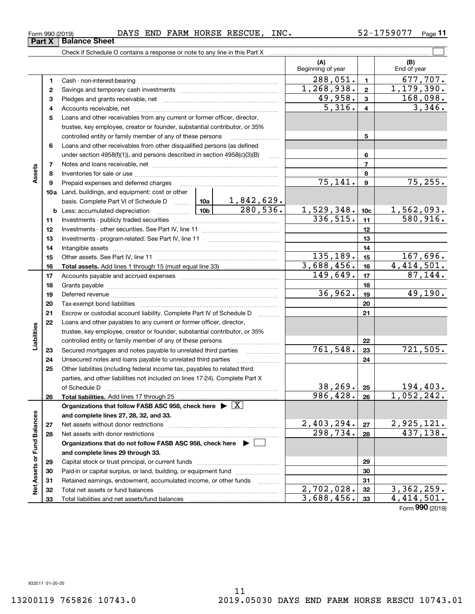| Form 990 (2019) |                                | <b>370</b><br>DAYS | END | FARM | HORSE | <b>RESCUE</b> | INC. | Page |
|-----------------|--------------------------------|--------------------|-----|------|-------|---------------|------|------|
| Part ,          | <b>Sheet</b><br><b>Balance</b> |                    |     |      |       |               |      |      |
|                 |                                |                    |     |      |       |               |      |      |

**11**

|                             |              |                                                                                            |          |                   | (A)<br>Beginning of year |                          | (B)<br>End of year            |  |  |
|-----------------------------|--------------|--------------------------------------------------------------------------------------------|----------|-------------------|--------------------------|--------------------------|-------------------------------|--|--|
|                             | 1            |                                                                                            |          |                   | 288,051.                 | $\blacksquare$           | 677,707.                      |  |  |
|                             | $\mathbf{2}$ |                                                                                            |          |                   | $\overline{1,268,938}$ . | $\mathbf{2}$             | 1, 179, 390.                  |  |  |
|                             | 3            |                                                                                            |          |                   | 49,958.                  | 3                        | 168,098.                      |  |  |
|                             | 4            |                                                                                            |          |                   | 5,316.                   | $\overline{4}$           | 3,346.                        |  |  |
|                             | 5            | Loans and other receivables from any current or former officer, director,                  |          |                   |                          |                          |                               |  |  |
|                             |              | trustee, key employee, creator or founder, substantial contributor, or 35%                 |          |                   |                          |                          |                               |  |  |
|                             |              | controlled entity or family member of any of these persons                                 |          |                   |                          | 5                        |                               |  |  |
|                             | 6            | Loans and other receivables from other disqualified persons (as defined                    |          |                   |                          |                          |                               |  |  |
|                             |              | under section 4958(f)(1)), and persons described in section 4958(c)(3)(B)                  |          | $\ldots$          |                          | 6                        |                               |  |  |
|                             | 7            |                                                                                            |          |                   |                          | $\overline{\phantom{a}}$ |                               |  |  |
| Assets                      | 8            |                                                                                            |          |                   | 8                        |                          |                               |  |  |
|                             | 9            | Prepaid expenses and deferred charges                                                      |          |                   | 75, 141.                 | 9                        | 75, 255.                      |  |  |
|                             |              | 10a Land, buildings, and equipment: cost or other                                          |          |                   |                          |                          |                               |  |  |
|                             |              | basis. Complete Part VI of Schedule D  10a                                                 |          | <u>1,842,629.</u> |                          |                          |                               |  |  |
|                             |              |                                                                                            |          | 280,536.          | 1,529,348.               | 10 <sub>c</sub>          | $\frac{1,562,093.}{580,916.}$ |  |  |
|                             | 11           |                                                                                            |          |                   | 336, 515.                | 11                       |                               |  |  |
|                             | 12           |                                                                                            |          | 12                |                          |                          |                               |  |  |
|                             | 13           |                                                                                            |          | 13                |                          |                          |                               |  |  |
|                             | 14           |                                                                                            |          |                   |                          | 14                       |                               |  |  |
|                             | 15           |                                                                                            |          |                   | 135,189.                 | 15                       | 167,696.                      |  |  |
|                             | 16           |                                                                                            |          |                   | 3,688,456.               | 16                       | 4,414,501.                    |  |  |
|                             | 17           |                                                                                            | 149,649. | 17                | 87,144.                  |                          |                               |  |  |
|                             | 18           |                                                                                            |          | 18                |                          |                          |                               |  |  |
|                             | 19           |                                                                                            | 36,962.  | 19                | $\overline{49,190}$ .    |                          |                               |  |  |
|                             | 20           |                                                                                            |          |                   |                          | 20                       |                               |  |  |
|                             | 21           | Escrow or custodial account liability. Complete Part IV of Schedule D                      |          |                   |                          | 21                       |                               |  |  |
|                             | 22           | Loans and other payables to any current or former officer, director,                       |          |                   |                          |                          |                               |  |  |
| Liabilities                 |              | trustee, key employee, creator or founder, substantial contributor, or 35%                 |          |                   |                          |                          |                               |  |  |
|                             |              | controlled entity or family member of any of these persons                                 |          |                   |                          | 22                       |                               |  |  |
|                             | 23           | Secured mortgages and notes payable to unrelated third parties                             |          | .                 | 761,548.                 | 23                       | 721,505.                      |  |  |
|                             | 24           |                                                                                            |          |                   |                          | 24                       |                               |  |  |
|                             | 25           | Other liabilities (including federal income tax, payables to related third                 |          |                   |                          |                          |                               |  |  |
|                             |              | parties, and other liabilities not included on lines 17-24). Complete Part X               |          |                   | 38, 269.                 |                          |                               |  |  |
|                             |              |                                                                                            |          |                   | 986, 428.                | 25<br>26                 | 194,403.<br>1,052,242.        |  |  |
|                             | 26           | Total liabilities. Add lines 17 through 25                                                 |          |                   |                          |                          |                               |  |  |
|                             |              | Organizations that follow FASB ASC 958, check here $\blacktriangleright \lfloor X \rfloor$ |          |                   |                          |                          |                               |  |  |
|                             |              | and complete lines 27, 28, 32, and 33.                                                     |          |                   | 2,403,294.               | 27                       | <u>2,925,121.</u>             |  |  |
|                             | 27           |                                                                                            |          |                   | 298,734.                 | 28                       | 437, 138.                     |  |  |
|                             | 28           | Organizations that do not follow FASB ASC 958, check here ▶ □                              |          |                   |                          |                          |                               |  |  |
|                             |              |                                                                                            |          |                   |                          |                          |                               |  |  |
|                             | 29           | and complete lines 29 through 33.                                                          |          |                   |                          | 29                       |                               |  |  |
|                             | 30           | Paid-in or capital surplus, or land, building, or equipment fund                           |          |                   |                          | 30                       |                               |  |  |
|                             | 31           | Retained earnings, endowment, accumulated income, or other funds                           |          |                   |                          | 31                       |                               |  |  |
| Net Assets or Fund Balances | 32           |                                                                                            |          |                   | 2,702,028.               | 32                       | <u>3,362,259.</u>             |  |  |
|                             | 33           |                                                                                            |          |                   | 3,688,456.               | 33                       | 4,414,501.                    |  |  |
|                             |              |                                                                                            |          |                   |                          |                          |                               |  |  |

Form (2019) **990**

**Part X Balance Sheet**<br>**Part X Balance**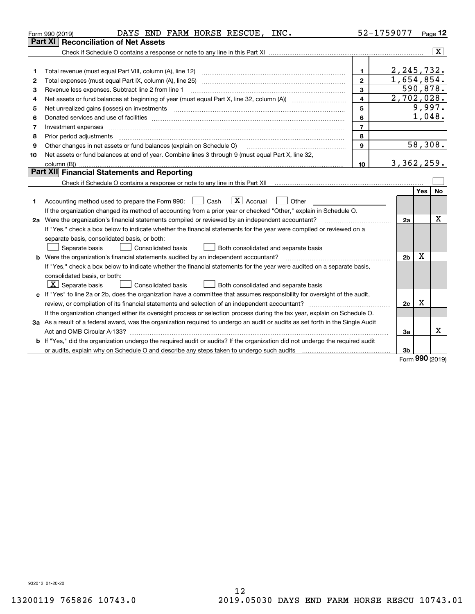|    | DAYS END FARM HORSE RESCUE, INC.<br>Form 990 (2019)                                                                             |                         | 52-1759077     | Page $12$             |                         |
|----|---------------------------------------------------------------------------------------------------------------------------------|-------------------------|----------------|-----------------------|-------------------------|
|    | Part XI<br><b>Reconciliation of Net Assets</b>                                                                                  |                         |                |                       |                         |
|    |                                                                                                                                 |                         |                |                       | $\overline{\mathbf{x}}$ |
|    |                                                                                                                                 |                         |                |                       |                         |
| 1  |                                                                                                                                 | $\mathbf{1}$            | 2, 245, 732.   |                       |                         |
| 2  | Total expenses (must equal Part IX, column (A), line 25)                                                                        | $\overline{2}$          | 1,654,854.     |                       |                         |
| з  | Revenue less expenses. Subtract line 2 from line 1                                                                              | 3                       |                | 590,878.              |                         |
| 4  |                                                                                                                                 | $\overline{\mathbf{4}}$ | 2,702,028.     |                       |                         |
| 5  |                                                                                                                                 | 5                       |                | 9,997.                |                         |
| 6  |                                                                                                                                 | 6                       |                | $\overline{1}$ , 048. |                         |
| 7  | Investment expenses www.communication.com/www.communication.com/www.communication.com/www.communication.com                     | $\overline{7}$          |                |                       |                         |
| 8  |                                                                                                                                 | 8                       |                |                       |                         |
| 9  | Other changes in net assets or fund balances (explain on Schedule O)                                                            | $\mathbf{9}$            |                | 58,308.               |                         |
| 10 | Net assets or fund balances at end of year. Combine lines 3 through 9 (must equal Part X, line 32,                              |                         |                |                       |                         |
|    |                                                                                                                                 | 10 <sup>1</sup>         | 3,362,259.     |                       |                         |
|    | Part XII Financial Statements and Reporting                                                                                     |                         |                |                       |                         |
|    |                                                                                                                                 |                         |                |                       |                         |
|    |                                                                                                                                 |                         |                | Yes                   | No                      |
| 1  | $\boxed{\mathbf{X}}$ Accrual<br>Accounting method used to prepare the Form 990: <u>I</u> Cash<br>Other                          |                         |                |                       |                         |
|    | If the organization changed its method of accounting from a prior year or checked "Other," explain in Schedule O.               |                         |                |                       |                         |
|    | 2a Were the organization's financial statements compiled or reviewed by an independent accountant?                              |                         | 2a             |                       | х                       |
|    | If "Yes," check a box below to indicate whether the financial statements for the year were compiled or reviewed on a            |                         |                |                       |                         |
|    | separate basis, consolidated basis, or both:                                                                                    |                         |                |                       |                         |
|    | Separate basis<br>Consolidated basis<br>Both consolidated and separate basis                                                    |                         |                |                       |                         |
|    | <b>b</b> Were the organization's financial statements audited by an independent accountant?                                     |                         | 2 <sub>b</sub> | Х                     |                         |
|    | If "Yes," check a box below to indicate whether the financial statements for the year were audited on a separate basis,         |                         |                |                       |                         |
|    | consolidated basis, or both:                                                                                                    |                         |                |                       |                         |
|    | $\lfloor x \rfloor$ Separate basis<br>Consolidated basis<br>Both consolidated and separate basis                                |                         |                |                       |                         |
|    | c If "Yes" to line 2a or 2b, does the organization have a committee that assumes responsibility for oversight of the audit,     |                         |                |                       |                         |
|    |                                                                                                                                 |                         | 2c             | X                     |                         |
|    | If the organization changed either its oversight process or selection process during the tax year, explain on Schedule O.       |                         |                |                       |                         |
|    | 3a As a result of a federal award, was the organization required to undergo an audit or audits as set forth in the Single Audit |                         |                |                       |                         |
|    |                                                                                                                                 |                         | За             |                       | x                       |
|    | b If "Yes," did the organization undergo the required audit or audits? If the organization did not undergo the required audit   |                         |                |                       |                         |
|    |                                                                                                                                 |                         | 3b             | nnn.                  |                         |
|    |                                                                                                                                 |                         |                |                       |                         |

Form (2019) **990**

932012 01-20-20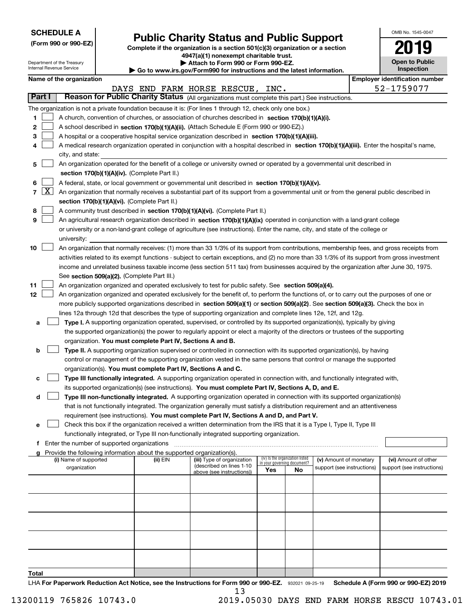| <b>SCHEDULE A</b> |
|-------------------|
|-------------------|

**(Form 990 or 990-EZ)**

## **Public Charity Status and Public Support**

**Complete if the organization is a section 501(c)(3) organization or a section 4947(a)(1) nonexempt charitable trust. | Attach to Form 990 or Form 990-EZ.** 

| OMB No. 1545-0047                   |
|-------------------------------------|
| 2019                                |
| <b>Open to Public</b><br>Inspection |

|                 |                 | Department of the Treasury<br>Internal Revenue Service                                                                                    |                                             |                                                                        | Attach to Form 990 or Form 990-EZ.<br>Go to www.irs.gov/Form990 for instructions and the latest information.                                  |     |                                                                |                            |  | <b>Open to Public</b><br>Inspection   |
|-----------------|-----------------|-------------------------------------------------------------------------------------------------------------------------------------------|---------------------------------------------|------------------------------------------------------------------------|-----------------------------------------------------------------------------------------------------------------------------------------------|-----|----------------------------------------------------------------|----------------------------|--|---------------------------------------|
|                 |                 | Name of the organization                                                                                                                  |                                             |                                                                        |                                                                                                                                               |     |                                                                |                            |  | <b>Employer identification number</b> |
|                 |                 |                                                                                                                                           |                                             |                                                                        | DAYS END FARM HORSE RESCUE, INC.                                                                                                              |     |                                                                |                            |  | 52-1759077                            |
| Part I          |                 |                                                                                                                                           |                                             |                                                                        | Reason for Public Charity Status (All organizations must complete this part.) See instructions.                                               |     |                                                                |                            |  |                                       |
|                 |                 |                                                                                                                                           |                                             |                                                                        | The organization is not a private foundation because it is: (For lines 1 through 12, check only one box.)                                     |     |                                                                |                            |  |                                       |
| 1               |                 |                                                                                                                                           |                                             |                                                                        | A church, convention of churches, or association of churches described in section 170(b)(1)(A)(i).                                            |     |                                                                |                            |  |                                       |
| 2               |                 |                                                                                                                                           |                                             |                                                                        | A school described in section 170(b)(1)(A)(ii). (Attach Schedule E (Form 990 or 990-EZ).)                                                     |     |                                                                |                            |  |                                       |
| з               |                 |                                                                                                                                           |                                             |                                                                        | A hospital or a cooperative hospital service organization described in section 170(b)(1)(A)(iii).                                             |     |                                                                |                            |  |                                       |
| 4               |                 |                                                                                                                                           |                                             |                                                                        | A medical research organization operated in conjunction with a hospital described in section 170(b)(1)(A)(iii). Enter the hospital's name,    |     |                                                                |                            |  |                                       |
|                 |                 | city, and state:                                                                                                                          |                                             |                                                                        |                                                                                                                                               |     |                                                                |                            |  |                                       |
| 5               |                 |                                                                                                                                           |                                             |                                                                        | An organization operated for the benefit of a college or university owned or operated by a governmental unit described in                     |     |                                                                |                            |  |                                       |
|                 |                 |                                                                                                                                           |                                             | section 170(b)(1)(A)(iv). (Complete Part II.)                          |                                                                                                                                               |     |                                                                |                            |  |                                       |
| 6               |                 |                                                                                                                                           |                                             |                                                                        | A federal, state, or local government or governmental unit described in section 170(b)(1)(A)(v).                                              |     |                                                                |                            |  |                                       |
|                 | $7 \mid X \mid$ | An organization that normally receives a substantial part of its support from a governmental unit or from the general public described in |                                             |                                                                        |                                                                                                                                               |     |                                                                |                            |  |                                       |
|                 |                 |                                                                                                                                           |                                             | section 170(b)(1)(A)(vi). (Complete Part II.)                          |                                                                                                                                               |     |                                                                |                            |  |                                       |
| 8               |                 |                                                                                                                                           |                                             |                                                                        | A community trust described in section 170(b)(1)(A)(vi). (Complete Part II.)                                                                  |     |                                                                |                            |  |                                       |
| 9               |                 |                                                                                                                                           |                                             |                                                                        | An agricultural research organization described in section 170(b)(1)(A)(ix) operated in conjunction with a land-grant college                 |     |                                                                |                            |  |                                       |
|                 |                 |                                                                                                                                           |                                             |                                                                        | or university or a non-land-grant college of agriculture (see instructions). Enter the name, city, and state of the college or                |     |                                                                |                            |  |                                       |
|                 |                 | university:                                                                                                                               |                                             |                                                                        |                                                                                                                                               |     |                                                                |                            |  |                                       |
| 10              |                 |                                                                                                                                           |                                             |                                                                        | An organization that normally receives: (1) more than 33 1/3% of its support from contributions, membership fees, and gross receipts from     |     |                                                                |                            |  |                                       |
|                 |                 |                                                                                                                                           |                                             |                                                                        | activities related to its exempt functions - subject to certain exceptions, and (2) no more than 33 1/3% of its support from gross investment |     |                                                                |                            |  |                                       |
|                 |                 |                                                                                                                                           |                                             |                                                                        | income and unrelated business taxable income (less section 511 tax) from businesses acquired by the organization after June 30, 1975.         |     |                                                                |                            |  |                                       |
|                 |                 |                                                                                                                                           |                                             | See section 509(a)(2). (Complete Part III.)                            |                                                                                                                                               |     |                                                                |                            |  |                                       |
| 11              |                 |                                                                                                                                           |                                             |                                                                        | An organization organized and operated exclusively to test for public safety. See section 509(a)(4).                                          |     |                                                                |                            |  |                                       |
| 12 <sub>2</sub> |                 |                                                                                                                                           |                                             |                                                                        | An organization organized and operated exclusively for the benefit of, to perform the functions of, or to carry out the purposes of one or    |     |                                                                |                            |  |                                       |
|                 |                 |                                                                                                                                           |                                             |                                                                        | more publicly supported organizations described in section 509(a)(1) or section 509(a)(2). See section 509(a)(3). Check the box in            |     |                                                                |                            |  |                                       |
|                 |                 |                                                                                                                                           |                                             |                                                                        | lines 12a through 12d that describes the type of supporting organization and complete lines 12e, 12f, and 12g.                                |     |                                                                |                            |  |                                       |
| а               |                 |                                                                                                                                           |                                             |                                                                        | Type I. A supporting organization operated, supervised, or controlled by its supported organization(s), typically by giving                   |     |                                                                |                            |  |                                       |
|                 |                 |                                                                                                                                           |                                             |                                                                        | the supported organization(s) the power to regularly appoint or elect a majority of the directors or trustees of the supporting               |     |                                                                |                            |  |                                       |
|                 |                 |                                                                                                                                           |                                             | organization. You must complete Part IV, Sections A and B.             |                                                                                                                                               |     |                                                                |                            |  |                                       |
| b               |                 |                                                                                                                                           |                                             |                                                                        | Type II. A supporting organization supervised or controlled in connection with its supported organization(s), by having                       |     |                                                                |                            |  |                                       |
|                 |                 |                                                                                                                                           |                                             |                                                                        | control or management of the supporting organization vested in the same persons that control or manage the supported                          |     |                                                                |                            |  |                                       |
|                 |                 |                                                                                                                                           |                                             |                                                                        | organization(s). You must complete Part IV, Sections A and C.                                                                                 |     |                                                                |                            |  |                                       |
| с               |                 |                                                                                                                                           |                                             |                                                                        | Type III functionally integrated. A supporting organization operated in connection with, and functionally integrated with,                    |     |                                                                |                            |  |                                       |
|                 |                 |                                                                                                                                           |                                             |                                                                        | its supported organization(s) (see instructions). You must complete Part IV, Sections A, D, and E.                                            |     |                                                                |                            |  |                                       |
| d               |                 |                                                                                                                                           |                                             |                                                                        | Type III non-functionally integrated. A supporting organization operated in connection with its supported organization(s)                     |     |                                                                |                            |  |                                       |
|                 |                 |                                                                                                                                           |                                             |                                                                        | that is not functionally integrated. The organization generally must satisfy a distribution requirement and an attentiveness                  |     |                                                                |                            |  |                                       |
|                 |                 |                                                                                                                                           |                                             |                                                                        | requirement (see instructions). You must complete Part IV, Sections A and D, and Part V.                                                      |     |                                                                |                            |  |                                       |
| е               |                 |                                                                                                                                           |                                             |                                                                        | Check this box if the organization received a written determination from the IRS that it is a Type I, Type II, Type III                       |     |                                                                |                            |  |                                       |
|                 |                 |                                                                                                                                           |                                             |                                                                        | functionally integrated, or Type III non-functionally integrated supporting organization.                                                     |     |                                                                |                            |  |                                       |
| f               |                 |                                                                                                                                           | Enter the number of supported organizations |                                                                        |                                                                                                                                               |     |                                                                |                            |  |                                       |
| a               |                 |                                                                                                                                           |                                             | Provide the following information about the supported organization(s). |                                                                                                                                               |     |                                                                |                            |  |                                       |
|                 |                 | (i) Name of supported                                                                                                                     |                                             | (ii) EIN                                                               | (iii) Type of organization<br>(described on lines 1-10                                                                                        |     | (iv) Is the organization listed<br>in your governing document? | (v) Amount of monetary     |  | (vi) Amount of other                  |
|                 |                 | organization                                                                                                                              |                                             |                                                                        | above (see instructions))                                                                                                                     | Yes | No                                                             | support (see instructions) |  | support (see instructions)            |
|                 |                 |                                                                                                                                           |                                             |                                                                        |                                                                                                                                               |     |                                                                |                            |  |                                       |
|                 |                 |                                                                                                                                           |                                             |                                                                        |                                                                                                                                               |     |                                                                |                            |  |                                       |
|                 |                 |                                                                                                                                           |                                             |                                                                        |                                                                                                                                               |     |                                                                |                            |  |                                       |
|                 |                 |                                                                                                                                           |                                             |                                                                        |                                                                                                                                               |     |                                                                |                            |  |                                       |
|                 |                 |                                                                                                                                           |                                             |                                                                        |                                                                                                                                               |     |                                                                |                            |  |                                       |
|                 |                 |                                                                                                                                           |                                             |                                                                        |                                                                                                                                               |     |                                                                |                            |  |                                       |
|                 |                 |                                                                                                                                           |                                             |                                                                        |                                                                                                                                               |     |                                                                |                            |  |                                       |
|                 |                 |                                                                                                                                           |                                             |                                                                        |                                                                                                                                               |     |                                                                |                            |  |                                       |
|                 |                 |                                                                                                                                           |                                             |                                                                        |                                                                                                                                               |     |                                                                |                            |  |                                       |
|                 |                 |                                                                                                                                           |                                             |                                                                        |                                                                                                                                               |     |                                                                |                            |  |                                       |

LHA For Paperwork Reduction Act Notice, see the Instructions for Form 990 or 990-EZ. 932021 09-25-19 Schedule A (Form 990 or 990-EZ) 2019 13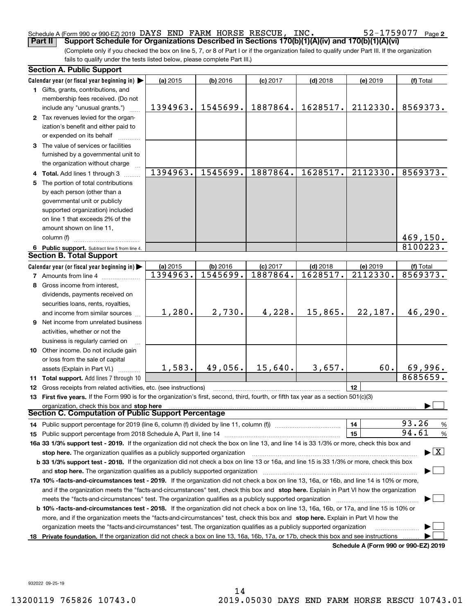#### Schedule A (Form 990 or 990-EZ) 2019 DAYS END FARM HORSE RESCUE, INC。 52-I759U77 Page DAYS END FARM HORSE RESCUE, INC. 52-1759077

(Complete only if you checked the box on line 5, 7, or 8 of Part I or if the organization failed to qualify under Part III. If the organization fails to qualify under the tests listed below, please complete Part III.) **Part II Support Schedule for Organizations Described in Sections 170(b)(1)(A)(iv) and 170(b)(1)(A)(vi)**

|    | <b>Section A. Public Support</b>                                                                                                               |          |          |            |            |                                      |                                          |
|----|------------------------------------------------------------------------------------------------------------------------------------------------|----------|----------|------------|------------|--------------------------------------|------------------------------------------|
|    | Calendar year (or fiscal year beginning in) $\blacktriangleright$                                                                              | (a) 2015 | (b) 2016 | $(c)$ 2017 | $(d)$ 2018 | (e) 2019                             | (f) Total                                |
|    | 1 Gifts, grants, contributions, and<br>membership fees received. (Do not                                                                       |          |          |            |            |                                      |                                          |
|    | include any "unusual grants.")                                                                                                                 | 1394963. | 1545699. | 1887864.   | 1628517.   | 2112330.                             | 8569373.                                 |
|    | 2 Tax revenues levied for the organ-<br>ization's benefit and either paid to                                                                   |          |          |            |            |                                      |                                          |
|    | or expended on its behalf<br>3 The value of services or facilities                                                                             |          |          |            |            |                                      |                                          |
|    | furnished by a governmental unit to                                                                                                            |          |          |            |            |                                      |                                          |
|    | the organization without charge                                                                                                                |          |          |            |            |                                      |                                          |
|    | 4 Total. Add lines 1 through 3                                                                                                                 | 1394963. | 1545699. | 1887864.   | 1628517.   | 2112330.                             | 8569373.                                 |
|    | 5 The portion of total contributions                                                                                                           |          |          |            |            |                                      |                                          |
|    | by each person (other than a                                                                                                                   |          |          |            |            |                                      |                                          |
|    | governmental unit or publicly                                                                                                                  |          |          |            |            |                                      |                                          |
|    | supported organization) included                                                                                                               |          |          |            |            |                                      |                                          |
|    | on line 1 that exceeds 2% of the                                                                                                               |          |          |            |            |                                      |                                          |
|    | amount shown on line 11,                                                                                                                       |          |          |            |            |                                      |                                          |
|    | column (f)                                                                                                                                     |          |          |            |            |                                      | 469,150.                                 |
|    | 6 Public support. Subtract line 5 from line 4.                                                                                                 |          |          |            |            |                                      | 8100223.                                 |
|    | <b>Section B. Total Support</b>                                                                                                                |          |          |            |            |                                      |                                          |
|    | Calendar year (or fiscal year beginning in)                                                                                                    | (a) 2015 | (b) 2016 | $(c)$ 2017 | $(d)$ 2018 | (e) 2019                             | (f) Total                                |
|    | <b>7</b> Amounts from line 4                                                                                                                   | 1394963. | 1545699. | 1887864.   | 1628517.   | 2112330.                             | 8569373.                                 |
|    | 8 Gross income from interest,                                                                                                                  |          |          |            |            |                                      |                                          |
|    | dividends, payments received on                                                                                                                |          |          |            |            |                                      |                                          |
|    | securities loans, rents, royalties,                                                                                                            |          |          |            |            |                                      |                                          |
|    | and income from similar sources                                                                                                                | 1,280.   | 2,730.   | 4,228.     | 15,865.    | 22,187.                              | 46,290.                                  |
|    | 9 Net income from unrelated business                                                                                                           |          |          |            |            |                                      |                                          |
|    | activities, whether or not the                                                                                                                 |          |          |            |            |                                      |                                          |
|    | business is regularly carried on                                                                                                               |          |          |            |            |                                      |                                          |
|    | 10 Other income. Do not include gain                                                                                                           |          |          |            |            |                                      |                                          |
|    | or loss from the sale of capital                                                                                                               | 1,583.   | 49,056.  | 15,640.    | 3,657.     | 60.                                  | 69,996.                                  |
|    | assets (Explain in Part VI.)                                                                                                                   |          |          |            |            |                                      | 8685659.                                 |
|    | 11 Total support. Add lines 7 through 10<br>12 Gross receipts from related activities, etc. (see instructions)                                 |          |          |            |            | 12                                   |                                          |
|    | 13 First five years. If the Form 990 is for the organization's first, second, third, fourth, or fifth tax year as a section 501(c)(3)          |          |          |            |            |                                      |                                          |
|    | organization, check this box and stop here                                                                                                     |          |          |            |            |                                      |                                          |
|    | <b>Section C. Computation of Public Support Percentage</b>                                                                                     |          |          |            |            |                                      |                                          |
|    | 14 Public support percentage for 2019 (line 6, column (f) divided by line 11, column (f) <i>marrouum</i> manu-                                 |          |          |            |            | 14                                   | 93.26<br>%                               |
|    |                                                                                                                                                |          |          |            |            | 15                                   | 94.61<br>$\%$                            |
|    | 16a 33 1/3% support test - 2019. If the organization did not check the box on line 13, and line 14 is 33 1/3% or more, check this box and      |          |          |            |            |                                      |                                          |
|    | stop here. The organization qualifies as a publicly supported organization                                                                     |          |          |            |            |                                      | $\blacktriangleright$ $\boxed{\text{X}}$ |
|    | b 33 1/3% support test - 2018. If the organization did not check a box on line 13 or 16a, and line 15 is 33 1/3% or more, check this box       |          |          |            |            |                                      |                                          |
|    | and stop here. The organization qualifies as a publicly supported organization                                                                 |          |          |            |            |                                      |                                          |
|    | 17a 10% -facts-and-circumstances test - 2019. If the organization did not check a box on line 13, 16a, or 16b, and line 14 is 10% or more,     |          |          |            |            |                                      |                                          |
|    | and if the organization meets the "facts-and-circumstances" test, check this box and stop here. Explain in Part VI how the organization        |          |          |            |            |                                      |                                          |
|    | meets the "facts-and-circumstances" test. The organization qualifies as a publicly supported organization                                      |          |          |            |            |                                      |                                          |
|    | <b>b 10% -facts-and-circumstances test - 2018.</b> If the organization did not check a box on line 13, 16a, 16b, or 17a, and line 15 is 10% or |          |          |            |            |                                      |                                          |
|    | more, and if the organization meets the "facts-and-circumstances" test, check this box and stop here. Explain in Part VI how the               |          |          |            |            |                                      |                                          |
|    | organization meets the "facts-and-circumstances" test. The organization qualifies as a publicly supported organization                         |          |          |            |            |                                      |                                          |
| 18 | Private foundation. If the organization did not check a box on line 13, 16a, 16b, 17a, or 17b, check this box and see instructions             |          |          |            |            |                                      |                                          |
|    |                                                                                                                                                |          |          |            |            | Schedule A (Form 990 or 990-EZ) 2019 |                                          |

932022 09-25-19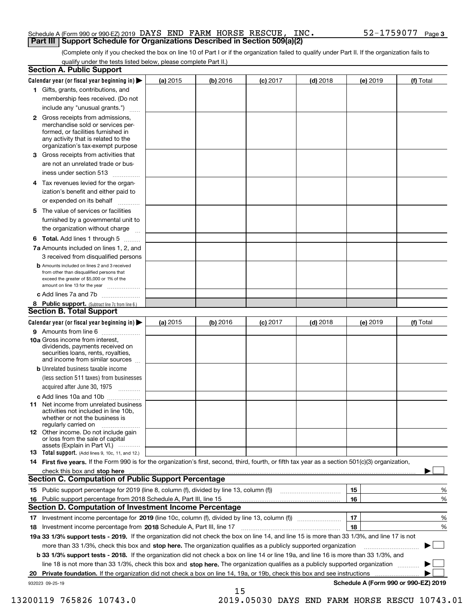#### Schedule A (Form 990 or 990-EZ) 2019 Page DAYS END FARM HORSE RESCUE, INC. 52-1759077 **Part III Support Schedule for Organizations Described in Section 509(a)(2)**

(Complete only if you checked the box on line 10 of Part I or if the organization failed to qualify under Part II. If the organization fails to qualify under the tests listed below, please complete Part II.)

|     | <b>Section A. Public Support</b>                                                                                                                                                                                               |          |          |                 |            |          |                                      |
|-----|--------------------------------------------------------------------------------------------------------------------------------------------------------------------------------------------------------------------------------|----------|----------|-----------------|------------|----------|--------------------------------------|
|     | Calendar year (or fiscal year beginning in) $\blacktriangleright$                                                                                                                                                              | (a) 2015 | (b) 2016 | <b>(c)</b> 2017 | $(d)$ 2018 | (e) 2019 | (f) Total                            |
|     | 1 Gifts, grants, contributions, and                                                                                                                                                                                            |          |          |                 |            |          |                                      |
|     | membership fees received. (Do not                                                                                                                                                                                              |          |          |                 |            |          |                                      |
|     | include any "unusual grants.")                                                                                                                                                                                                 |          |          |                 |            |          |                                      |
|     | <b>2</b> Gross receipts from admissions,<br>merchandise sold or services per-<br>formed, or facilities furnished in<br>any activity that is related to the<br>organization's tax-exempt purpose                                |          |          |                 |            |          |                                      |
|     | 3 Gross receipts from activities that<br>are not an unrelated trade or bus-                                                                                                                                                    |          |          |                 |            |          |                                      |
|     | iness under section 513                                                                                                                                                                                                        |          |          |                 |            |          |                                      |
|     | 4 Tax revenues levied for the organ-<br>ization's benefit and either paid to                                                                                                                                                   |          |          |                 |            |          |                                      |
|     | or expended on its behalf                                                                                                                                                                                                      |          |          |                 |            |          |                                      |
|     | 5 The value of services or facilities<br>furnished by a governmental unit to                                                                                                                                                   |          |          |                 |            |          |                                      |
|     | the organization without charge                                                                                                                                                                                                |          |          |                 |            |          |                                      |
|     | <b>6 Total.</b> Add lines 1 through 5                                                                                                                                                                                          |          |          |                 |            |          |                                      |
|     | 7a Amounts included on lines 1, 2, and<br>3 received from disqualified persons                                                                                                                                                 |          |          |                 |            |          |                                      |
|     | <b>b</b> Amounts included on lines 2 and 3 received<br>from other than disqualified persons that<br>exceed the greater of \$5,000 or 1% of the<br>amount on line 13 for the year                                               |          |          |                 |            |          |                                      |
|     | c Add lines 7a and 7b                                                                                                                                                                                                          |          |          |                 |            |          |                                      |
|     | 8 Public support. (Subtract line 7c from line 6.)<br><b>Section B. Total Support</b>                                                                                                                                           |          |          |                 |            |          |                                      |
|     | Calendar year (or fiscal year beginning in)                                                                                                                                                                                    | (a) 2015 | (b) 2016 | $(c)$ 2017      | $(d)$ 2018 | (e) 2019 | (f) Total                            |
|     | 9 Amounts from line 6                                                                                                                                                                                                          |          |          |                 |            |          |                                      |
|     | <b>10a</b> Gross income from interest,<br>dividends, payments received on<br>securities loans, rents, royalties,<br>and income from similar sources                                                                            |          |          |                 |            |          |                                      |
|     | <b>b</b> Unrelated business taxable income<br>(less section 511 taxes) from businesses                                                                                                                                         |          |          |                 |            |          |                                      |
|     | acquired after June 30, 1975                                                                                                                                                                                                   |          |          |                 |            |          |                                      |
|     | c Add lines 10a and 10b<br>11 Net income from unrelated business<br>activities not included in line 10b,<br>whether or not the business is<br>regularly carried on                                                             |          |          |                 |            |          |                                      |
|     | <b>12</b> Other income. Do not include gain<br>or loss from the sale of capital<br>assets (Explain in Part VI.)                                                                                                                |          |          |                 |            |          |                                      |
|     | 13 Total support. (Add lines 9, 10c, 11, and 12.)                                                                                                                                                                              |          |          |                 |            |          |                                      |
|     | 14 First five years. If the Form 990 is for the organization's first, second, third, fourth, or fifth tax year as a section 501(c)(3) organization,                                                                            |          |          |                 |            |          |                                      |
|     | check this box and stop here measurements and contact the contract of the contract of the contract of the contract of the contract of the contract of the contract of the contract of the contract of the contract of the cont |          |          |                 |            |          |                                      |
|     | <b>Section C. Computation of Public Support Percentage</b>                                                                                                                                                                     |          |          |                 |            |          |                                      |
|     |                                                                                                                                                                                                                                |          |          |                 |            | 15       | %                                    |
| 16. | Public support percentage from 2018 Schedule A, Part III, line 15                                                                                                                                                              |          |          |                 |            | 16       | %                                    |
|     | <b>Section D. Computation of Investment Income Percentage</b>                                                                                                                                                                  |          |          |                 |            |          |                                      |
|     | 17 Investment income percentage for 2019 (line 10c, column (f), divided by line 13, column (f))<br>18 Investment income percentage from 2018 Schedule A, Part III, line 17                                                     |          |          |                 |            | 17<br>18 | %<br>%                               |
|     | 19a 33 1/3% support tests - 2019. If the organization did not check the box on line 14, and line 15 is more than 33 1/3%, and line 17 is not                                                                                   |          |          |                 |            |          |                                      |
|     | more than 33 1/3%, check this box and stop here. The organization qualifies as a publicly supported organization                                                                                                               |          |          |                 |            |          |                                      |
|     | b 33 1/3% support tests - 2018. If the organization did not check a box on line 14 or line 19a, and line 16 is more than 33 1/3%, and                                                                                          |          |          |                 |            |          |                                      |
|     | line 18 is not more than 33 1/3%, check this box and stop here. The organization qualifies as a publicly supported organization                                                                                                |          |          |                 |            |          |                                      |
| 20  | <b>Private foundation.</b> If the organization did not check a box on line 14, 19a, or 19b, check this box and see instructions                                                                                                |          |          |                 |            |          | .                                    |
|     | 932023 09-25-19                                                                                                                                                                                                                |          |          |                 |            |          | Schedule A (Form 990 or 990-EZ) 2019 |
|     |                                                                                                                                                                                                                                |          | 15       |                 |            |          |                                      |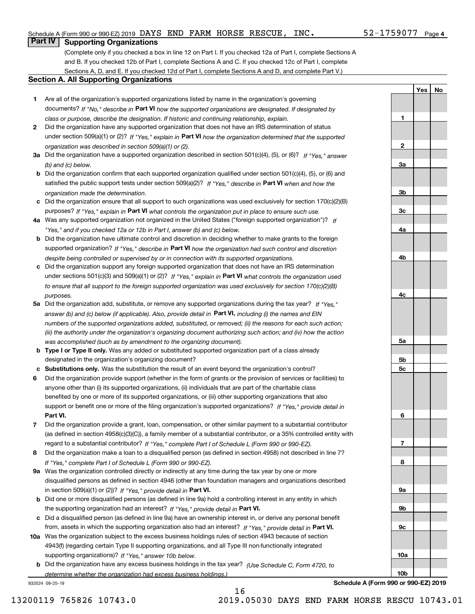#### Schedule A (Form 990 or 990-EZ) 2019 Page DAYS END FARM HORSE RESCUE, INC. 52-1759077

### **Part IV Supporting Organizations**

(Complete only if you checked a box in line 12 on Part I. If you checked 12a of Part I, complete Sections A and B. If you checked 12b of Part I, complete Sections A and C. If you checked 12c of Part I, complete Sections A, D, and E. If you checked 12d of Part I, complete Sections A and D, and complete Part V.)

#### **Section A. All Supporting Organizations**

- **1** Are all of the organization's supported organizations listed by name in the organization's governing documents? If "No," describe in **Part VI** how the supported organizations are designated. If designated by *class or purpose, describe the designation. If historic and continuing relationship, explain.*
- **2** Did the organization have any supported organization that does not have an IRS determination of status under section 509(a)(1) or (2)? If "Yes," explain in Part VI how the organization determined that the supported *organization was described in section 509(a)(1) or (2).*
- **3a** Did the organization have a supported organization described in section 501(c)(4), (5), or (6)? If "Yes," answer *(b) and (c) below.*
- **b** Did the organization confirm that each supported organization qualified under section 501(c)(4), (5), or (6) and satisfied the public support tests under section 509(a)(2)? If "Yes," describe in **Part VI** when and how the *organization made the determination.*
- **c**Did the organization ensure that all support to such organizations was used exclusively for section 170(c)(2)(B) purposes? If "Yes," explain in **Part VI** what controls the organization put in place to ensure such use.
- **4a***If* Was any supported organization not organized in the United States ("foreign supported organization")? *"Yes," and if you checked 12a or 12b in Part I, answer (b) and (c) below.*
- **b** Did the organization have ultimate control and discretion in deciding whether to make grants to the foreign supported organization? If "Yes," describe in **Part VI** how the organization had such control and discretion *despite being controlled or supervised by or in connection with its supported organizations.*
- **c** Did the organization support any foreign supported organization that does not have an IRS determination under sections 501(c)(3) and 509(a)(1) or (2)? If "Yes," explain in **Part VI** what controls the organization used *to ensure that all support to the foreign supported organization was used exclusively for section 170(c)(2)(B) purposes.*
- **5a** Did the organization add, substitute, or remove any supported organizations during the tax year? If "Yes," answer (b) and (c) below (if applicable). Also, provide detail in **Part VI,** including (i) the names and EIN *numbers of the supported organizations added, substituted, or removed; (ii) the reasons for each such action; (iii) the authority under the organization's organizing document authorizing such action; and (iv) how the action was accomplished (such as by amendment to the organizing document).*
- **b** Type I or Type II only. Was any added or substituted supported organization part of a class already designated in the organization's organizing document?
- **cSubstitutions only.**  Was the substitution the result of an event beyond the organization's control?
- **6** Did the organization provide support (whether in the form of grants or the provision of services or facilities) to **Part VI.** *If "Yes," provide detail in* support or benefit one or more of the filing organization's supported organizations? anyone other than (i) its supported organizations, (ii) individuals that are part of the charitable class benefited by one or more of its supported organizations, or (iii) other supporting organizations that also
- **7**Did the organization provide a grant, loan, compensation, or other similar payment to a substantial contributor *If "Yes," complete Part I of Schedule L (Form 990 or 990-EZ).* regard to a substantial contributor? (as defined in section 4958(c)(3)(C)), a family member of a substantial contributor, or a 35% controlled entity with
- **8** Did the organization make a loan to a disqualified person (as defined in section 4958) not described in line 7? *If "Yes," complete Part I of Schedule L (Form 990 or 990-EZ).*
- **9a** Was the organization controlled directly or indirectly at any time during the tax year by one or more in section 509(a)(1) or (2))? If "Yes," *provide detail in* <code>Part VI.</code> disqualified persons as defined in section 4946 (other than foundation managers and organizations described
- **b** Did one or more disqualified persons (as defined in line 9a) hold a controlling interest in any entity in which the supporting organization had an interest? If "Yes," provide detail in P**art VI**.
- **c**Did a disqualified person (as defined in line 9a) have an ownership interest in, or derive any personal benefit from, assets in which the supporting organization also had an interest? If "Yes," provide detail in P**art VI.**
- **10a** Was the organization subject to the excess business holdings rules of section 4943 because of section supporting organizations)? If "Yes," answer 10b below. 4943(f) (regarding certain Type II supporting organizations, and all Type III non-functionally integrated
- **b** Did the organization have any excess business holdings in the tax year? (Use Schedule C, Form 4720, to *determine whether the organization had excess business holdings.)*

16

932024 09-25-19

**5a 5b5c6789a**

**9b**

**9c**

**10a**

**10b**

**YesNo**

**1**

**2**

**3a**

**3b**

**3c**

**4a**

**4b**

**4c**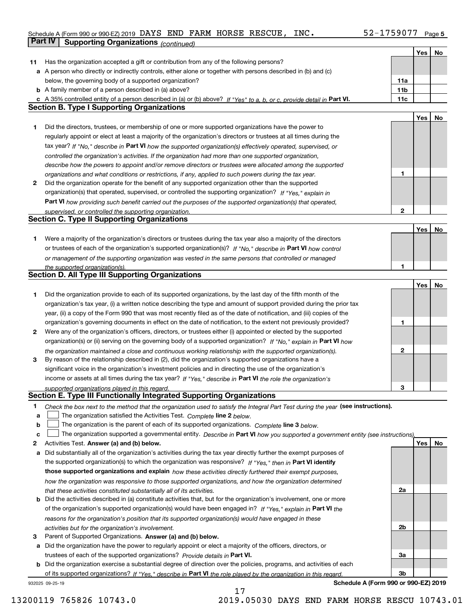### Schedule A (Form 990 or 990-EZ) 2019 Page DAYS END FARM HORSE RESCUE, INC. 52-1759077 **Part IV** Supporting Organizations (continued)

|    |                                                                                                                                   |              | Yes | No |
|----|-----------------------------------------------------------------------------------------------------------------------------------|--------------|-----|----|
| 11 | Has the organization accepted a gift or contribution from any of the following persons?                                           |              |     |    |
|    | a A person who directly or indirectly controls, either alone or together with persons described in (b) and (c)                    |              |     |    |
|    | below, the governing body of a supported organization?                                                                            | 11a          |     |    |
|    | <b>b</b> A family member of a person described in (a) above?                                                                      | 11b          |     |    |
|    | c A 35% controlled entity of a person described in (a) or (b) above? If "Yes" to a, b, or c, provide detail in Part VI.           | 11c          |     |    |
|    | <b>Section B. Type I Supporting Organizations</b>                                                                                 |              |     |    |
|    |                                                                                                                                   |              | Yes | No |
| 1  | Did the directors, trustees, or membership of one or more supported organizations have the power to                               |              |     |    |
|    | regularly appoint or elect at least a majority of the organization's directors or trustees at all times during the                |              |     |    |
|    | tax year? If "No," describe in Part VI how the supported organization(s) effectively operated, supervised, or                     |              |     |    |
|    | controlled the organization's activities. If the organization had more than one supported organization,                           |              |     |    |
|    | describe how the powers to appoint and/or remove directors or trustees were allocated among the supported                         |              |     |    |
|    | organizations and what conditions or restrictions, if any, applied to such powers during the tax year.                            | 1            |     |    |
| 2  | Did the organization operate for the benefit of any supported organization other than the supported                               |              |     |    |
|    | organization(s) that operated, supervised, or controlled the supporting organization? If "Yes," explain in                        |              |     |    |
|    | Part VI how providing such benefit carried out the purposes of the supported organization(s) that operated,                       |              |     |    |
|    | supervised, or controlled the supporting organization.                                                                            | 2            |     |    |
|    | <b>Section C. Type II Supporting Organizations</b>                                                                                |              |     |    |
|    |                                                                                                                                   |              | Yes | No |
| 1  | Were a majority of the organization's directors or trustees during the tax year also a majority of the directors                  |              |     |    |
|    | or trustees of each of the organization's supported organization(s)? If "No," describe in Part VI how control                     |              |     |    |
|    | or management of the supporting organization was vested in the same persons that controlled or managed                            |              |     |    |
|    | the supported organization(s).                                                                                                    | 1            |     |    |
|    | <b>Section D. All Type III Supporting Organizations</b>                                                                           |              |     |    |
|    |                                                                                                                                   |              | Yes | No |
| 1  | Did the organization provide to each of its supported organizations, by the last day of the fifth month of the                    |              |     |    |
|    | organization's tax year, (i) a written notice describing the type and amount of support provided during the prior tax             |              |     |    |
|    | year, (ii) a copy of the Form 990 that was most recently filed as of the date of notification, and (iii) copies of the            |              |     |    |
|    | organization's governing documents in effect on the date of notification, to the extent not previously provided?                  | 1            |     |    |
| 2  | Were any of the organization's officers, directors, or trustees either (i) appointed or elected by the supported                  |              |     |    |
|    | organization(s) or (ii) serving on the governing body of a supported organization? If "No," explain in Part VI how                |              |     |    |
|    | the organization maintained a close and continuous working relationship with the supported organization(s).                       | $\mathbf{2}$ |     |    |
| 3  | By reason of the relationship described in (2), did the organization's supported organizations have a                             |              |     |    |
|    | significant voice in the organization's investment policies and in directing the use of the organization's                        |              |     |    |
|    | income or assets at all times during the tax year? If "Yes," describe in Part VI the role the organization's                      |              |     |    |
|    | supported organizations played in this regard.                                                                                    | з            |     |    |
|    | Section E. Type III Functionally Integrated Supporting Organizations                                                              |              |     |    |
| 1  | Check the box next to the method that the organization used to satisfy the Integral Part Test during the year (see instructions). |              |     |    |
| a  | The organization satisfied the Activities Test. Complete line 2 below.                                                            |              |     |    |
| b  | The organization is the parent of each of its supported organizations. Complete line 3 below.                                     |              |     |    |
| C  | The organization supported a governmental entity. Describe in Part VI how you supported a government entity (see instructions),   |              |     |    |
| 2  | Activities Test. Answer (a) and (b) below.                                                                                        |              | Yes | No |
| a  | Did substantially all of the organization's activities during the tax year directly further the exempt purposes of                |              |     |    |
|    | the supported organization(s) to which the organization was responsive? If "Yes," then in Part VI identify                        |              |     |    |
|    | those supported organizations and explain how these activities directly furthered their exempt purposes,                          |              |     |    |
|    | how the organization was responsive to those supported organizations, and how the organization determined                         |              |     |    |
|    | that these activities constituted substantially all of its activities.                                                            | 2a           |     |    |
|    | <b>b</b> Did the activities described in (a) constitute activities that, but for the organization's involvement, one or more      |              |     |    |
|    | of the organization's supported organization(s) would have been engaged in? If "Yes," explain in Part VI the                      |              |     |    |
|    | reasons for the organization's position that its supported organization(s) would have engaged in these                            |              |     |    |
|    | activities but for the organization's involvement.                                                                                | 2b           |     |    |
| 3  | Parent of Supported Organizations. Answer (a) and (b) below.                                                                      |              |     |    |
| а  | Did the organization have the power to regularly appoint or elect a majority of the officers, directors, or                       |              |     |    |
|    | trustees of each of the supported organizations? Provide details in Part VI.                                                      | За           |     |    |
|    | <b>b</b> Did the organization exercise a substantial degree of direction over the policies, programs, and activities of each      |              |     |    |
|    | of its supported organizations? If "Yes," describe in Part VI the role played by the organization in this regard                  | Зb           |     |    |
|    | Schedule A (Form 990 or 990-EZ) 2019<br>932025 09-25-19                                                                           |              |     |    |

17

**Schedule A (Form 990 or 990-EZ) 2019**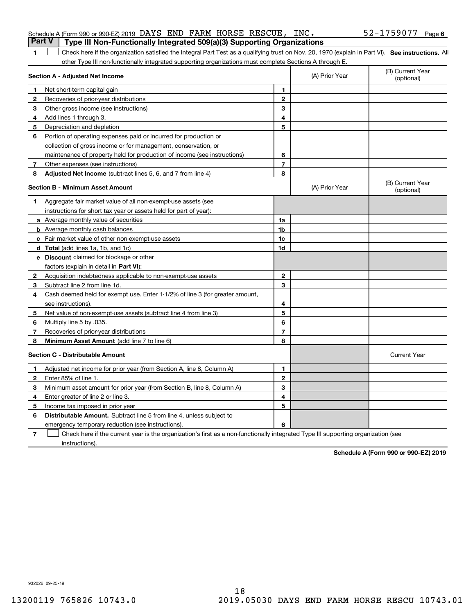|    | Schedule A (Form 990 or 990-EZ) 2019 DAYS END FARM HORSE RESCUE, INC.                                                                              |                |                | 52-1759077 Page 6              |
|----|----------------------------------------------------------------------------------------------------------------------------------------------------|----------------|----------------|--------------------------------|
|    | <b>Part V</b><br>Type III Non-Functionally Integrated 509(a)(3) Supporting Organizations                                                           |                |                |                                |
|    | Check here if the organization satisfied the Integral Part Test as a qualifying trust on Nov. 20, 1970 (explain in Part VI). See instructions. All |                |                |                                |
|    | other Type III non-functionally integrated supporting organizations must complete Sections A through E.                                            |                |                |                                |
|    | Section A - Adjusted Net Income                                                                                                                    |                | (A) Prior Year | (B) Current Year<br>(optional) |
|    | Net short-term capital gain                                                                                                                        |                |                |                                |
| -2 | Recoveries of prior-year distributions                                                                                                             | $\mathbf{2}$   |                |                                |
| З  | Other gross income (see instructions)                                                                                                              | 3              |                |                                |
|    | Add lines 1 through 3.                                                                                                                             | 4              |                |                                |
| 5  | Depreciation and depletion                                                                                                                         | 5              |                |                                |
| 6  | Portion of operating expenses paid or incurred for production or                                                                                   |                |                |                                |
|    | collection of gross income or for management, conservation, or                                                                                     |                |                |                                |
|    | maintenance of property held for production of income (see instructions)                                                                           | 6              |                |                                |
|    | Other expenses (see instructions)                                                                                                                  |                |                |                                |
| 8  | Adjusted Net Income (subtract lines 5, 6, and 7 from line 4)                                                                                       | 8              |                |                                |
|    | <b>Section B - Minimum Asset Amount</b>                                                                                                            |                | (A) Prior Year | (B) Current Year<br>(optional) |
|    | Aggregate fair market value of all non-exempt-use assets (see                                                                                      |                |                |                                |
|    | instructions for short tax year or assets held for part of year):                                                                                  |                |                |                                |
|    | a Average monthly value of securities                                                                                                              | 1a             |                |                                |
|    | <b>b</b> Average monthly cash balances                                                                                                             | 1 <sub>b</sub> |                |                                |
|    | c Fair market value of other non-exempt-use assets                                                                                                 | 1c             |                |                                |

**3** Subtract line 2 from line 1d.

Multiply line 5 by .035.

see instructions).

**dTotal**  (add lines 1a, 1b, and 1c) **eDiscount** claimed for blockage or other

factors (explain in detail in **Part VI**):

Recoveries of prior-year distributions

**Minimum Asset Amount**  (add line 7 to line 6)

Acquisition indebtedness applicable to non-exempt-use assets

Net value of non-exempt-use assets (subtract line 4 from line 3)

Cash deemed held for exempt use. Enter 1-1/2% of line 3 (for greater amount,

**2**

**4**

|   | <b>Section C - Distributable Amount</b>                                                                                           |   | <b>Current Year</b> |
|---|-----------------------------------------------------------------------------------------------------------------------------------|---|---------------------|
|   | Adjusted net income for prior year (from Section A, line 8, Column A)                                                             |   |                     |
|   | Enter 85% of line 1.                                                                                                              |   |                     |
| з | Minimum asset amount for prior year (from Section B, line 8, Column A)                                                            |   |                     |
|   | Enter greater of line 2 or line 3.                                                                                                | 4 |                     |
| 5 | Income tax imposed in prior year                                                                                                  | 5 |                     |
| 6 | <b>Distributable Amount.</b> Subtract line 5 from line 4, unless subject to                                                       |   |                     |
|   | emergency temporary reduction (see instructions).                                                                                 | 6 |                     |
|   | Check here if the current year is the organization's first as a non-functionally integrated Type III supporting organization (see |   |                     |

**1d**

**23**

instructions).

**Schedule A (Form 990 or 990-EZ) 2019**

932026 09-25-19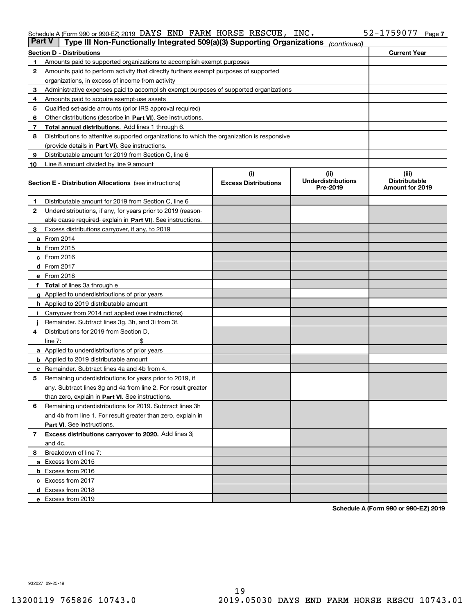#### Schedule A (Form 990 or 990-EZ) 2019 Page DAYS END FARM HORSE RESCUE, INC. 52-1759077

| <b>Part V</b> | Type III Non-Functionally Integrated 509(a)(3) Supporting Organizations                    |                             | (continued)                           |                                         |
|---------------|--------------------------------------------------------------------------------------------|-----------------------------|---------------------------------------|-----------------------------------------|
|               | <b>Section D - Distributions</b>                                                           |                             |                                       | <b>Current Year</b>                     |
| 1             | Amounts paid to supported organizations to accomplish exempt purposes                      |                             |                                       |                                         |
| 2             | Amounts paid to perform activity that directly furthers exempt purposes of supported       |                             |                                       |                                         |
|               | organizations, in excess of income from activity                                           |                             |                                       |                                         |
| з             | Administrative expenses paid to accomplish exempt purposes of supported organizations      |                             |                                       |                                         |
| 4             | Amounts paid to acquire exempt-use assets                                                  |                             |                                       |                                         |
| 5             | Qualified set-aside amounts (prior IRS approval required)                                  |                             |                                       |                                         |
| 6             | Other distributions (describe in Part VI). See instructions.                               |                             |                                       |                                         |
| 7             | Total annual distributions. Add lines 1 through 6.                                         |                             |                                       |                                         |
| 8             | Distributions to attentive supported organizations to which the organization is responsive |                             |                                       |                                         |
|               | (provide details in Part VI). See instructions.                                            |                             |                                       |                                         |
| 9             | Distributable amount for 2019 from Section C, line 6                                       |                             |                                       |                                         |
| 10            | Line 8 amount divided by line 9 amount                                                     |                             |                                       |                                         |
|               |                                                                                            | (i)                         | (iii)                                 | (iii)                                   |
|               | <b>Section E - Distribution Allocations</b> (see instructions)                             | <b>Excess Distributions</b> | <b>Underdistributions</b><br>Pre-2019 | <b>Distributable</b><br>Amount for 2019 |
| 1             | Distributable amount for 2019 from Section C, line 6                                       |                             |                                       |                                         |
| 2             | Underdistributions, if any, for years prior to 2019 (reason-                               |                             |                                       |                                         |
|               | able cause required- explain in Part VI). See instructions.                                |                             |                                       |                                         |
| з             | Excess distributions carryover, if any, to 2019                                            |                             |                                       |                                         |
|               | <b>a</b> From 2014                                                                         |                             |                                       |                                         |
|               | <b>b</b> From $2015$                                                                       |                             |                                       |                                         |
|               | $c$ From 2016                                                                              |                             |                                       |                                         |
|               | <b>d</b> From 2017                                                                         |                             |                                       |                                         |
|               | e From 2018                                                                                |                             |                                       |                                         |
|               | Total of lines 3a through e                                                                |                             |                                       |                                         |
|               | <b>g</b> Applied to underdistributions of prior years                                      |                             |                                       |                                         |
|               | <b>h</b> Applied to 2019 distributable amount                                              |                             |                                       |                                         |
|               | Carryover from 2014 not applied (see instructions)                                         |                             |                                       |                                         |
|               | Remainder. Subtract lines 3g, 3h, and 3i from 3f.                                          |                             |                                       |                                         |
| 4             | Distributions for 2019 from Section D,                                                     |                             |                                       |                                         |
|               | line $7:$                                                                                  |                             |                                       |                                         |
|               | <b>a</b> Applied to underdistributions of prior years                                      |                             |                                       |                                         |
|               | <b>b</b> Applied to 2019 distributable amount                                              |                             |                                       |                                         |
| c             | Remainder. Subtract lines 4a and 4b from 4.                                                |                             |                                       |                                         |
| 5             | Remaining underdistributions for years prior to 2019, if                                   |                             |                                       |                                         |
|               | any. Subtract lines 3g and 4a from line 2. For result greater                              |                             |                                       |                                         |
|               | than zero, explain in Part VI. See instructions.                                           |                             |                                       |                                         |
| 6             | Remaining underdistributions for 2019. Subtract lines 3h                                   |                             |                                       |                                         |
|               | and 4b from line 1. For result greater than zero, explain in                               |                             |                                       |                                         |
|               | Part VI. See instructions.                                                                 |                             |                                       |                                         |
|               |                                                                                            |                             |                                       |                                         |
| 7             | Excess distributions carryover to 2020. Add lines 3j                                       |                             |                                       |                                         |
|               | and 4c.                                                                                    |                             |                                       |                                         |
| 8             | Breakdown of line 7:                                                                       |                             |                                       |                                         |
|               | a Excess from 2015                                                                         |                             |                                       |                                         |
|               | <b>b</b> Excess from 2016                                                                  |                             |                                       |                                         |
|               | c Excess from 2017                                                                         |                             |                                       |                                         |
|               | d Excess from 2018                                                                         |                             |                                       |                                         |
|               | e Excess from 2019                                                                         |                             |                                       |                                         |

**Schedule A (Form 990 or 990-EZ) 2019**

932027 09-25-19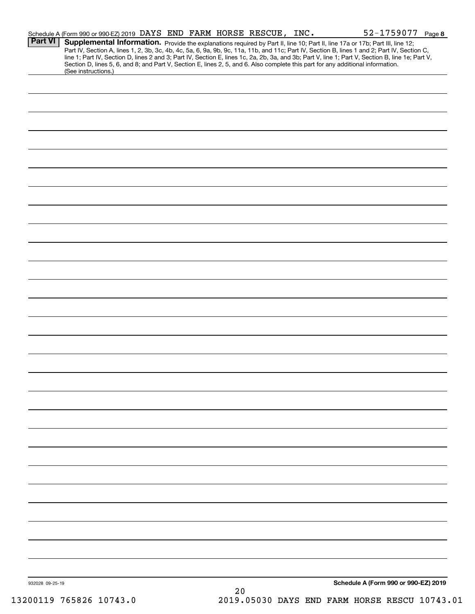|                 | Schedule A (Form 990 or 990-EZ) 2019 DAYS END FARM HORSE RESCUE, INC.                                                                                                                                                                                                                                                                                                                                                                                                                                                         |    |  | 52-1759077 Page 8                    |  |
|-----------------|-------------------------------------------------------------------------------------------------------------------------------------------------------------------------------------------------------------------------------------------------------------------------------------------------------------------------------------------------------------------------------------------------------------------------------------------------------------------------------------------------------------------------------|----|--|--------------------------------------|--|
| <b>Part VI</b>  | <b>Supplemental Information.</b> Provide the explanations required by Part II, line 10; Part II, line 17a or 17b; Part III, line 12;<br>Part IV, Section A, lines 1, 2, 3b, 3c, 4b, 4c, 5a, 6, 9a, 9b, 9c, 11a, 11b, and 11c; Part IV,<br>line 1; Part IV, Section D, lines 2 and 3; Part IV, Section E, lines 1c, 2a, 2b, 3a, and 3b; Part V, line 1; Part V, Section B, line 1e; Part V,<br>Section D, lines 5, 6, and 8; and Part V, Section E, lines 2, 5, and 6. Also complete this part for any additional information. |    |  |                                      |  |
|                 | (See instructions.)                                                                                                                                                                                                                                                                                                                                                                                                                                                                                                           |    |  |                                      |  |
|                 |                                                                                                                                                                                                                                                                                                                                                                                                                                                                                                                               |    |  |                                      |  |
|                 |                                                                                                                                                                                                                                                                                                                                                                                                                                                                                                                               |    |  |                                      |  |
|                 |                                                                                                                                                                                                                                                                                                                                                                                                                                                                                                                               |    |  |                                      |  |
|                 |                                                                                                                                                                                                                                                                                                                                                                                                                                                                                                                               |    |  |                                      |  |
|                 |                                                                                                                                                                                                                                                                                                                                                                                                                                                                                                                               |    |  |                                      |  |
|                 |                                                                                                                                                                                                                                                                                                                                                                                                                                                                                                                               |    |  |                                      |  |
|                 |                                                                                                                                                                                                                                                                                                                                                                                                                                                                                                                               |    |  |                                      |  |
|                 |                                                                                                                                                                                                                                                                                                                                                                                                                                                                                                                               |    |  |                                      |  |
|                 |                                                                                                                                                                                                                                                                                                                                                                                                                                                                                                                               |    |  |                                      |  |
|                 |                                                                                                                                                                                                                                                                                                                                                                                                                                                                                                                               |    |  |                                      |  |
|                 |                                                                                                                                                                                                                                                                                                                                                                                                                                                                                                                               |    |  |                                      |  |
|                 |                                                                                                                                                                                                                                                                                                                                                                                                                                                                                                                               |    |  |                                      |  |
|                 |                                                                                                                                                                                                                                                                                                                                                                                                                                                                                                                               |    |  |                                      |  |
|                 |                                                                                                                                                                                                                                                                                                                                                                                                                                                                                                                               |    |  |                                      |  |
|                 |                                                                                                                                                                                                                                                                                                                                                                                                                                                                                                                               |    |  |                                      |  |
|                 |                                                                                                                                                                                                                                                                                                                                                                                                                                                                                                                               |    |  |                                      |  |
|                 |                                                                                                                                                                                                                                                                                                                                                                                                                                                                                                                               |    |  |                                      |  |
|                 |                                                                                                                                                                                                                                                                                                                                                                                                                                                                                                                               |    |  |                                      |  |
|                 |                                                                                                                                                                                                                                                                                                                                                                                                                                                                                                                               |    |  |                                      |  |
|                 |                                                                                                                                                                                                                                                                                                                                                                                                                                                                                                                               |    |  |                                      |  |
|                 |                                                                                                                                                                                                                                                                                                                                                                                                                                                                                                                               |    |  |                                      |  |
|                 |                                                                                                                                                                                                                                                                                                                                                                                                                                                                                                                               |    |  |                                      |  |
|                 |                                                                                                                                                                                                                                                                                                                                                                                                                                                                                                                               |    |  |                                      |  |
|                 |                                                                                                                                                                                                                                                                                                                                                                                                                                                                                                                               |    |  |                                      |  |
|                 |                                                                                                                                                                                                                                                                                                                                                                                                                                                                                                                               |    |  |                                      |  |
|                 |                                                                                                                                                                                                                                                                                                                                                                                                                                                                                                                               |    |  |                                      |  |
|                 |                                                                                                                                                                                                                                                                                                                                                                                                                                                                                                                               |    |  |                                      |  |
|                 |                                                                                                                                                                                                                                                                                                                                                                                                                                                                                                                               |    |  |                                      |  |
|                 |                                                                                                                                                                                                                                                                                                                                                                                                                                                                                                                               |    |  |                                      |  |
|                 |                                                                                                                                                                                                                                                                                                                                                                                                                                                                                                                               |    |  |                                      |  |
|                 |                                                                                                                                                                                                                                                                                                                                                                                                                                                                                                                               |    |  |                                      |  |
|                 |                                                                                                                                                                                                                                                                                                                                                                                                                                                                                                                               |    |  |                                      |  |
|                 |                                                                                                                                                                                                                                                                                                                                                                                                                                                                                                                               |    |  |                                      |  |
|                 |                                                                                                                                                                                                                                                                                                                                                                                                                                                                                                                               |    |  |                                      |  |
| 932028 09-25-19 |                                                                                                                                                                                                                                                                                                                                                                                                                                                                                                                               | 20 |  | Schedule A (Form 990 or 990-EZ) 2019 |  |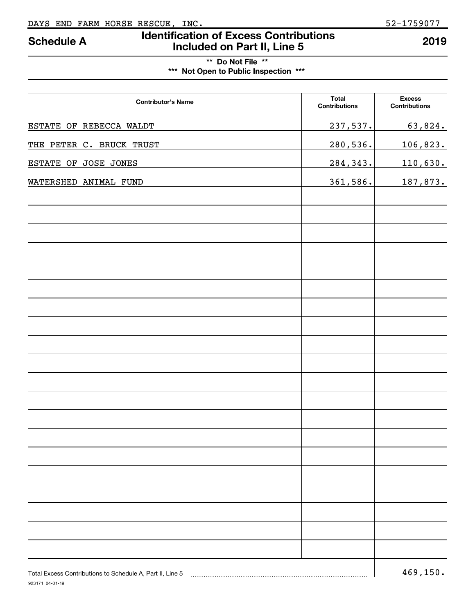## **Identification of Excess Contributions Included on Part II, Line 5 Schedule A 2019**

### **\*\* Do Not File \*\* \*\*\* Not Open to Public Inspection \*\*\***

| <b>Contributor's Name</b> | <b>Total</b><br><b>Contributions</b> | <b>Excess</b><br><b>Contributions</b> |
|---------------------------|--------------------------------------|---------------------------------------|
| ESTATE OF REBECCA WALDT   | 237,537.                             | 63,824.                               |
| THE PETER C. BRUCK TRUST  | 280,536.                             | 106,823.                              |
| ESTATE OF JOSE JONES      | 284, 343.                            | 110,630.                              |
| WATERSHED ANIMAL FUND     | 361,586.                             | 187,873.                              |
|                           |                                      |                                       |
|                           |                                      |                                       |
|                           |                                      |                                       |
|                           |                                      |                                       |
|                           |                                      |                                       |
|                           |                                      |                                       |
|                           |                                      |                                       |
|                           |                                      |                                       |
|                           |                                      |                                       |
|                           |                                      |                                       |
|                           |                                      |                                       |
|                           |                                      |                                       |
|                           |                                      |                                       |
|                           |                                      |                                       |
|                           |                                      |                                       |
|                           |                                      |                                       |
|                           |                                      |                                       |
|                           |                                      |                                       |
|                           |                                      |                                       |
|                           |                                      |                                       |
|                           |                                      | $\sim$ $\sim$                         |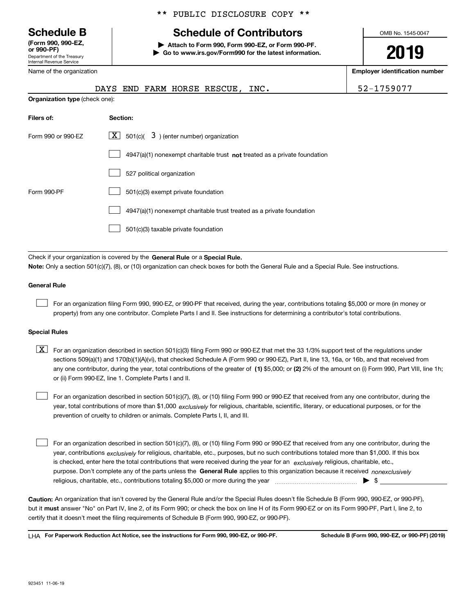Department of the Treasury Internal Revenue Service **(Form 990, 990-EZ, or 990-PF)**

Name of the organization

\*\* PUBLIC DISCLOSURE COPY \*\*

## **Schedule B Schedule of Contributors**

**| Attach to Form 990, Form 990-EZ, or Form 990-PF. | Go to www.irs.gov/Form990 for the latest information.** OMB No. 1545-0047

**2019**

**Employer identification number**

|                    | DAYS END FARM HORSE RESCUE, INC.                                                                                                          | 52-1759077 |  |  |  |  |
|--------------------|-------------------------------------------------------------------------------------------------------------------------------------------|------------|--|--|--|--|
|                    | <b>Organization type (check one):</b>                                                                                                     |            |  |  |  |  |
| Filers of:         | Section:                                                                                                                                  |            |  |  |  |  |
| Form 990 or 990-EZ | $\lfloor x \rfloor$ 501(c)( 3) (enter number) organization                                                                                |            |  |  |  |  |
|                    | $4947(a)(1)$ nonexempt charitable trust not treated as a private foundation                                                               |            |  |  |  |  |
|                    | 527 political organization                                                                                                                |            |  |  |  |  |
| Form 990-PF        | 501(c)(3) exempt private foundation                                                                                                       |            |  |  |  |  |
|                    | 4947(a)(1) nonexempt charitable trust treated as a private foundation                                                                     |            |  |  |  |  |
|                    | 501(c)(3) taxable private foundation                                                                                                      |            |  |  |  |  |
|                    |                                                                                                                                           |            |  |  |  |  |
|                    | Check if your organization is covered by the General Rule or a Special Rule.                                                              |            |  |  |  |  |
|                    | Note: Only a section 501(c)(7), (8), or (10) organization can check boxes for both the General Rule and a Special Rule. See instructions. |            |  |  |  |  |

#### **General Rule**

 $\mathcal{L}^{\text{max}}$ 

For an organization filing Form 990, 990-EZ, or 990-PF that received, during the year, contributions totaling \$5,000 or more (in money or property) from any one contributor. Complete Parts I and II. See instructions for determining a contributor's total contributions.

#### **Special Rules**

any one contributor, during the year, total contributions of the greater of  $\,$  (1) \$5,000; or **(2)** 2% of the amount on (i) Form 990, Part VIII, line 1h;  $\boxed{\textbf{X}}$  For an organization described in section 501(c)(3) filing Form 990 or 990-EZ that met the 33 1/3% support test of the regulations under sections 509(a)(1) and 170(b)(1)(A)(vi), that checked Schedule A (Form 990 or 990-EZ), Part II, line 13, 16a, or 16b, and that received from or (ii) Form 990-EZ, line 1. Complete Parts I and II.

year, total contributions of more than \$1,000 *exclusively* for religious, charitable, scientific, literary, or educational purposes, or for the For an organization described in section 501(c)(7), (8), or (10) filing Form 990 or 990-EZ that received from any one contributor, during the prevention of cruelty to children or animals. Complete Parts I, II, and III.  $\mathcal{L}^{\text{max}}$ 

purpose. Don't complete any of the parts unless the **General Rule** applies to this organization because it received *nonexclusively* year, contributions <sub>exclusively</sub> for religious, charitable, etc., purposes, but no such contributions totaled more than \$1,000. If this box is checked, enter here the total contributions that were received during the year for an  $\;$ exclusively religious, charitable, etc., For an organization described in section 501(c)(7), (8), or (10) filing Form 990 or 990-EZ that received from any one contributor, during the religious, charitable, etc., contributions totaling \$5,000 or more during the year  $\Box$ — $\Box$  =  $\Box$  $\mathcal{L}^{\text{max}}$ 

**Caution:**  An organization that isn't covered by the General Rule and/or the Special Rules doesn't file Schedule B (Form 990, 990-EZ, or 990-PF),  **must** but it answer "No" on Part IV, line 2, of its Form 990; or check the box on line H of its Form 990-EZ or on its Form 990-PF, Part I, line 2, to certify that it doesn't meet the filing requirements of Schedule B (Form 990, 990-EZ, or 990-PF).

**For Paperwork Reduction Act Notice, see the instructions for Form 990, 990-EZ, or 990-PF. Schedule B (Form 990, 990-EZ, or 990-PF) (2019)** LHA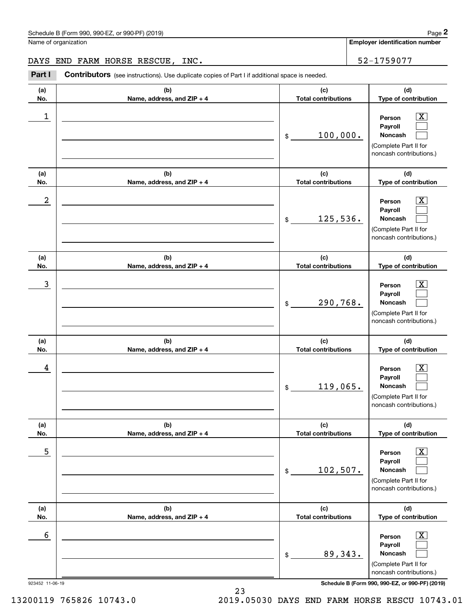**Employer identification number**

#### DAYS END FARM HORSE RESCUE, INC. 52-1759077

Chedule B (Form 990, 990-EZ, or 990-PF) (2019)<br>
lame of organization<br> **2Part I Contributors** (see instructions). Use duplicate copies of Part I if additional space is needed.<br> **2Part I Contributors** (see instructions).

| (a) | (b)                        | (c)                                 | (d)                                                                                                                |
|-----|----------------------------|-------------------------------------|--------------------------------------------------------------------------------------------------------------------|
| No. | Name, address, and ZIP + 4 | <b>Total contributions</b>          | Type of contribution                                                                                               |
| 1   |                            | 100,000.<br>\$                      | $\overline{\texttt{X}}$<br>Person<br>Payroll<br><b>Noncash</b><br>(Complete Part II for<br>noncash contributions.) |
| (a) | (b)                        | (c)                                 | (d)                                                                                                                |
| No. | Name, address, and ZIP + 4 | <b>Total contributions</b>          | Type of contribution                                                                                               |
| 2   |                            | 125,536.<br>\$                      | $\overline{\text{X}}$<br>Person<br>Payroll<br><b>Noncash</b><br>(Complete Part II for<br>noncash contributions.)   |
| (a) | (b)                        | (c)                                 | (d)                                                                                                                |
| No. | Name, address, and ZIP + 4 | <b>Total contributions</b>          | Type of contribution                                                                                               |
| 3   |                            | 290,768.<br>$$\mathbb{S}$$          | $\overline{\text{X}}$<br>Person<br>Payroll<br><b>Noncash</b><br>(Complete Part II for<br>noncash contributions.)   |
| (a) | (b)                        | (c)                                 | (d)                                                                                                                |
| No. | Name, address, and ZIP + 4 | <b>Total contributions</b>          | Type of contribution                                                                                               |
| 4   |                            | 119,065.<br>$$\tilde{\phantom{a}}$$ | $\overline{\text{X}}$<br>Person<br>Payroll<br><b>Noncash</b><br>(Complete Part II for<br>noncash contributions.)   |
| (a) | (b)                        | (c)                                 | (d)                                                                                                                |
| No. | Name, address, and ZIP + 4 | <b>Total contributions</b>          | Type of contribution                                                                                               |
| 5   |                            |                                     | $\overline{\text{X}}$<br>Person<br>Payroll                                                                         |
|     |                            | 102,507.<br>\$                      | Noncash<br>(Complete Part II for<br>noncash contributions.)                                                        |
| (a) | (b)                        | (c)                                 | (d)                                                                                                                |
| No. | Name, address, and ZIP + 4 | <b>Total contributions</b>          | Type of contribution                                                                                               |

923452 11-06-19 **Schedule B (Form 990, 990-EZ, or 990-PF) (2019)**

23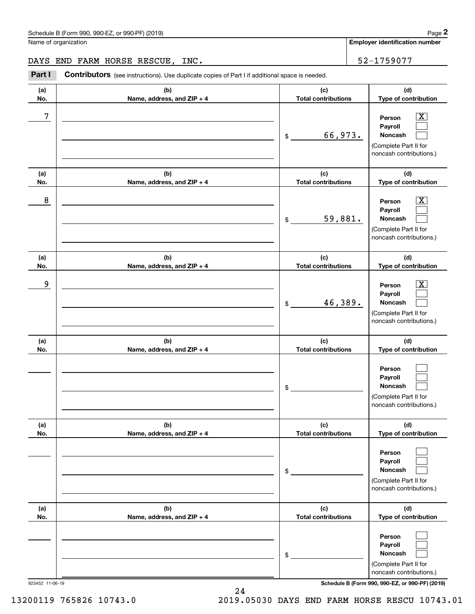**Employer identification number**

#### DAYS END FARM HORSE RESCUE, INC. 52-1759077

Chedule B (Form 990, 990-EZ, or 990-PF) (2019)<br>
lame of organization<br> **2Part I Contributors** (see instructions). Use duplicate copies of Part I if additional space is needed.<br> **2Part I Contributors** (see instructions).

| (a)<br>No. | (b)<br>Name, address, and ZIP + 4 | (c)<br><b>Total contributions</b> | (d)<br>Type of contribution                                                                               |
|------------|-----------------------------------|-----------------------------------|-----------------------------------------------------------------------------------------------------------|
| 7          |                                   | 66,973.<br>\$                     | $\overline{\text{X}}$<br>Person<br>Payroll<br>Noncash<br>(Complete Part II for<br>noncash contributions.) |
| (a)<br>No. | (b)<br>Name, address, and ZIP + 4 | (c)<br><b>Total contributions</b> | (d)<br>Type of contribution                                                                               |
| 8          |                                   | 59,881.<br>\$                     | $\overline{\text{X}}$<br>Person<br>Payroll<br>Noncash<br>(Complete Part II for<br>noncash contributions.) |
| (a)<br>No. | (b)<br>Name, address, and ZIP + 4 | (c)<br><b>Total contributions</b> | (d)<br>Type of contribution                                                                               |
| 9          |                                   | 46,389.<br>\$                     | $\overline{\text{X}}$<br>Person<br>Payroll<br>Noncash<br>(Complete Part II for<br>noncash contributions.) |
| (a)<br>No. | (b)<br>Name, address, and ZIP + 4 | (c)<br><b>Total contributions</b> | (d)<br>Type of contribution                                                                               |
|            |                                   | \$                                | Person<br>Payroll<br>Noncash<br>(Complete Part II for<br>noncash contributions.)                          |
| (a)<br>No. | (b)<br>Name, address, and ZIP + 4 | (c)<br><b>Total contributions</b> | (d)<br>Type of contribution                                                                               |
|            |                                   | \$                                | Person<br>Payroll<br>Noncash<br>(Complete Part II for<br>noncash contributions.)                          |
| (a)<br>No. | (b)<br>Name, address, and ZIP + 4 | (c)<br><b>Total contributions</b> | (d)<br>Type of contribution                                                                               |
|            |                                   | \$                                | Person<br>Payroll<br>Noncash<br>(Complete Part II for<br>noncash contributions.)                          |

923452 11-06-19 **Schedule B (Form 990, 990-EZ, or 990-PF) (2019)**

13200119 765826 10743.0 2019.05030 DAYS END FARM HORSE RESCU 10743.01

24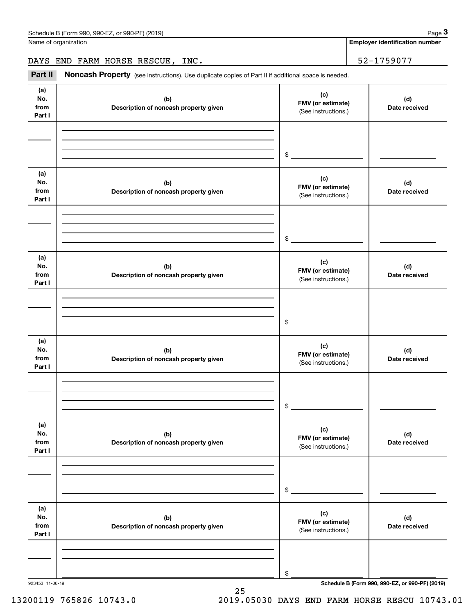Name of organization

**Employer identification number**

DAYS END FARM HORSE RESCUE, INC. 52-1759077

Chedule B (Form 990, 990-EZ, or 990-PF) (2019)<br> **2 AMELON BEARM HORSE RESCUE, INC.**<br> **2 AMELON BEARM HORSE RESCUE, INC.**<br> **192-1759077**<br> **192-1759077** 

| (a)<br>No.<br>from<br>Part I | (b)<br>Description of noncash property given | (c)<br>FMV (or estimate)<br>(See instructions.) | (d)<br>Date received |
|------------------------------|----------------------------------------------|-------------------------------------------------|----------------------|
|                              |                                              |                                                 |                      |
|                              |                                              |                                                 |                      |
|                              |                                              | $$\overbrace{\hspace{2.5cm}}$                   |                      |
| (a)<br>No.<br>from           | (b)<br>Description of noncash property given | (c)<br>FMV (or estimate)<br>(See instructions.) | (d)<br>Date received |
| Part I                       |                                              |                                                 |                      |
|                              |                                              |                                                 |                      |
|                              |                                              | $\sim$                                          |                      |
|                              |                                              |                                                 |                      |
| (a)<br>No.<br>from<br>Part I | (b)<br>Description of noncash property given | (c)<br>FMV (or estimate)<br>(See instructions.) | (d)<br>Date received |
|                              |                                              |                                                 |                      |
|                              |                                              |                                                 |                      |
|                              |                                              | $\sim$                                          |                      |
| (a)<br>No.<br>from<br>Part I | (b)<br>Description of noncash property given | (c)<br>FMV (or estimate)<br>(See instructions.) | (d)<br>Date received |
|                              |                                              |                                                 |                      |
|                              |                                              |                                                 |                      |
|                              |                                              | \$                                              |                      |
| (a)<br>No.<br>from<br>Part I | (b)<br>Description of noncash property given | (c)<br>FMV (or estimate)<br>(See instructions.) | (d)<br>Date received |
|                              |                                              |                                                 |                      |
|                              |                                              |                                                 |                      |
|                              |                                              | $\$$                                            |                      |
| (a)<br>No.<br>from<br>Part I | (b)<br>Description of noncash property given | (c)<br>FMV (or estimate)<br>(See instructions.) | (d)<br>Date received |
|                              |                                              |                                                 |                      |
|                              |                                              |                                                 |                      |
|                              |                                              | \$                                              |                      |

25

923453 11-06-19 **Schedule B (Form 990, 990-EZ, or 990-PF) (2019)**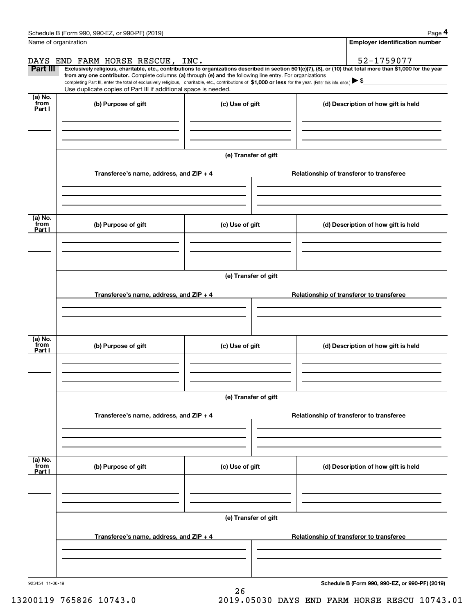| Schedule B (Form 990, 990-EZ, or 990-PF)<br>) (2019)<br>Page |
|--------------------------------------------------------------|
|--------------------------------------------------------------|

| Name of organization<br>DAYS END FARM HORSE RESCUE, INC.                                                                                                                                                                                                                                 | <b>Employer identification number</b>    |  |  |  |  |  |
|------------------------------------------------------------------------------------------------------------------------------------------------------------------------------------------------------------------------------------------------------------------------------------------|------------------------------------------|--|--|--|--|--|
|                                                                                                                                                                                                                                                                                          |                                          |  |  |  |  |  |
|                                                                                                                                                                                                                                                                                          | 52-1759077                               |  |  |  |  |  |
| Part III<br>Exclusively religious, charitable, etc., contributions to organizations described in section 501(c)(7), (8), or (10) that total more than \$1,000 for the year<br>from any one contributor. Complete columns (a) through (e) and the following line entry. For organizations |                                          |  |  |  |  |  |
| completing Part III, enter the total of exclusively religious, charitable, etc., contributions of \$1,000 or less for the year. (Enter this info. once.) $\blacktriangleright$ \$                                                                                                        |                                          |  |  |  |  |  |
| Use duplicate copies of Part III if additional space is needed.<br>$(a)$ No.                                                                                                                                                                                                             |                                          |  |  |  |  |  |
| from<br>(b) Purpose of gift<br>(c) Use of gift<br>Part I                                                                                                                                                                                                                                 | (d) Description of how gift is held      |  |  |  |  |  |
|                                                                                                                                                                                                                                                                                          |                                          |  |  |  |  |  |
|                                                                                                                                                                                                                                                                                          |                                          |  |  |  |  |  |
|                                                                                                                                                                                                                                                                                          |                                          |  |  |  |  |  |
| (e) Transfer of gift                                                                                                                                                                                                                                                                     |                                          |  |  |  |  |  |
|                                                                                                                                                                                                                                                                                          |                                          |  |  |  |  |  |
| Transferee's name, address, and ZIP + 4<br>Relationship of transferor to transferee                                                                                                                                                                                                      |                                          |  |  |  |  |  |
|                                                                                                                                                                                                                                                                                          |                                          |  |  |  |  |  |
|                                                                                                                                                                                                                                                                                          |                                          |  |  |  |  |  |
| (a) No.                                                                                                                                                                                                                                                                                  |                                          |  |  |  |  |  |
| from<br>(b) Purpose of gift<br>(c) Use of gift<br>Part I                                                                                                                                                                                                                                 | (d) Description of how gift is held      |  |  |  |  |  |
|                                                                                                                                                                                                                                                                                          |                                          |  |  |  |  |  |
|                                                                                                                                                                                                                                                                                          |                                          |  |  |  |  |  |
|                                                                                                                                                                                                                                                                                          |                                          |  |  |  |  |  |
| (e) Transfer of gift                                                                                                                                                                                                                                                                     |                                          |  |  |  |  |  |
| Transferee's name, address, and ZIP + 4<br>Relationship of transferor to transferee                                                                                                                                                                                                      |                                          |  |  |  |  |  |
|                                                                                                                                                                                                                                                                                          |                                          |  |  |  |  |  |
|                                                                                                                                                                                                                                                                                          |                                          |  |  |  |  |  |
|                                                                                                                                                                                                                                                                                          |                                          |  |  |  |  |  |
| (a) No.<br>from<br>(c) Use of gift                                                                                                                                                                                                                                                       |                                          |  |  |  |  |  |
| (b) Purpose of gift<br>Part I                                                                                                                                                                                                                                                            | (d) Description of how gift is held      |  |  |  |  |  |
|                                                                                                                                                                                                                                                                                          |                                          |  |  |  |  |  |
|                                                                                                                                                                                                                                                                                          |                                          |  |  |  |  |  |
|                                                                                                                                                                                                                                                                                          |                                          |  |  |  |  |  |
| (e) Transfer of gift                                                                                                                                                                                                                                                                     |                                          |  |  |  |  |  |
| Transferee's name, address, and ZIP + 4                                                                                                                                                                                                                                                  | Relationship of transferor to transferee |  |  |  |  |  |
|                                                                                                                                                                                                                                                                                          |                                          |  |  |  |  |  |
|                                                                                                                                                                                                                                                                                          |                                          |  |  |  |  |  |
|                                                                                                                                                                                                                                                                                          |                                          |  |  |  |  |  |
| (a) No.<br>from<br>(b) Purpose of gift<br>(c) Use of gift                                                                                                                                                                                                                                | (d) Description of how gift is held      |  |  |  |  |  |
| Part I                                                                                                                                                                                                                                                                                   |                                          |  |  |  |  |  |
|                                                                                                                                                                                                                                                                                          |                                          |  |  |  |  |  |
|                                                                                                                                                                                                                                                                                          |                                          |  |  |  |  |  |
| (e) Transfer of gift                                                                                                                                                                                                                                                                     |                                          |  |  |  |  |  |
|                                                                                                                                                                                                                                                                                          |                                          |  |  |  |  |  |
| Transferee's name, address, and $ZIP + 4$<br>Relationship of transferor to transferee                                                                                                                                                                                                    |                                          |  |  |  |  |  |
|                                                                                                                                                                                                                                                                                          |                                          |  |  |  |  |  |
|                                                                                                                                                                                                                                                                                          |                                          |  |  |  |  |  |
|                                                                                                                                                                                                                                                                                          |                                          |  |  |  |  |  |

26

923454 11-06-19

**Schedule B (Form 990, 990-EZ, or 990-PF) (2019)**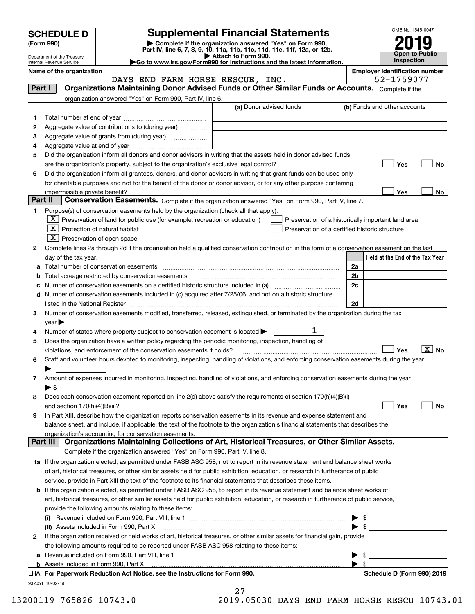| <b>SCHEDULE D</b> |  |  |
|-------------------|--|--|
|                   |  |  |

| (Form 990) |  |
|------------|--|
|------------|--|

## **Supplemental Financial Statements**

(Form 990)<br>
Pepartment of the Treasury<br>
Department of the Treasury<br>
Department of the Treasury<br>
Department of the Treasury<br> **Co to www.irs.gov/Form990 for instructions and the latest information.**<br> **Co to www.irs.gov/Form9** 



Department of the Treasury Internal Revenue Service

**Name of the organization Employer identification number**

|         | DAYS END FARM HORSE RESCUE, INC.                                                                                                               |                         | 52-1759077                                         |
|---------|------------------------------------------------------------------------------------------------------------------------------------------------|-------------------------|----------------------------------------------------|
| Part I  | Organizations Maintaining Donor Advised Funds or Other Similar Funds or Accounts. Complete if the                                              |                         |                                                    |
|         | organization answered "Yes" on Form 990, Part IV, line 6.                                                                                      |                         |                                                    |
|         |                                                                                                                                                | (a) Donor advised funds | (b) Funds and other accounts                       |
| 1       |                                                                                                                                                |                         |                                                    |
| 2       | Aggregate value of contributions to (during year)                                                                                              |                         |                                                    |
| з       | Aggregate value of grants from (during year)                                                                                                   |                         |                                                    |
| 4       |                                                                                                                                                |                         |                                                    |
| 5       | Did the organization inform all donors and donor advisors in writing that the assets held in donor advised funds                               |                         |                                                    |
|         |                                                                                                                                                |                         | Yes<br>No                                          |
| 6       | Did the organization inform all grantees, donors, and donor advisors in writing that grant funds can be used only                              |                         |                                                    |
|         | for charitable purposes and not for the benefit of the donor or donor advisor, or for any other purpose conferring                             |                         |                                                    |
|         | impermissible private benefit?                                                                                                                 |                         | Yes<br>No                                          |
| Part II | Conservation Easements. Complete if the organization answered "Yes" on Form 990, Part IV, line 7.                                              |                         |                                                    |
| 1.      | Purpose(s) of conservation easements held by the organization (check all that apply).                                                          |                         |                                                    |
|         | $\lfloor x \rfloor$ Preservation of land for public use (for example, recreation or education)                                                 |                         | Preservation of a historically important land area |
|         | $\mathbf{X}$ Protection of natural habitat                                                                                                     |                         | Preservation of a certified historic structure     |
|         | $X$ Preservation of open space                                                                                                                 |                         |                                                    |
|         |                                                                                                                                                |                         |                                                    |
| 2       | Complete lines 2a through 2d if the organization held a qualified conservation contribution in the form of a conservation easement on the last |                         |                                                    |
|         | day of the tax year.                                                                                                                           |                         | Held at the End of the Tax Year                    |
|         |                                                                                                                                                |                         | 2a                                                 |
|         | <b>b</b> Total acreage restricted by conservation easements                                                                                    |                         | 2 <sub>b</sub>                                     |
|         |                                                                                                                                                |                         | 2c                                                 |
|         | d Number of conservation easements included in (c) acquired after 7/25/06, and not on a historic structure                                     |                         |                                                    |
|         |                                                                                                                                                |                         | 2d                                                 |
| 3       | Number of conservation easements modified, transferred, released, extinguished, or terminated by the organization during the tax               |                         |                                                    |
|         | $year \blacktriangleright$                                                                                                                     |                         |                                                    |
| 4       | Number of states where property subject to conservation easement is located $\blacktriangleright$                                              | 1                       |                                                    |
| 5       | Does the organization have a written policy regarding the periodic monitoring, inspection, handling of                                         |                         |                                                    |
|         | violations, and enforcement of the conservation easements it holds?                                                                            |                         | $\boxed{\text{X}}$ No<br>Yes                       |
| 6       | Staff and volunteer hours devoted to monitoring, inspecting, handling of violations, and enforcing conservation easements during the year      |                         |                                                    |
|         |                                                                                                                                                |                         |                                                    |
| 7       | Amount of expenses incurred in monitoring, inspecting, handling of violations, and enforcing conservation easements during the year            |                         |                                                    |
|         | ▶ \$                                                                                                                                           |                         |                                                    |
| 8       | Does each conservation easement reported on line 2(d) above satisfy the requirements of section 170(h)(4)(B)(i)                                |                         |                                                    |
|         |                                                                                                                                                |                         | Yes<br>No                                          |
| 9       | In Part XIII, describe how the organization reports conservation easements in its revenue and expense statement and                            |                         |                                                    |
|         | balance sheet, and include, if applicable, the text of the footnote to the organization's financial statements that describes the              |                         |                                                    |
|         | organization's accounting for conservation easements.                                                                                          |                         |                                                    |
|         | Organizations Maintaining Collections of Art, Historical Treasures, or Other Similar Assets.<br>Part III                                       |                         |                                                    |
|         | Complete if the organization answered "Yes" on Form 990, Part IV, line 8.                                                                      |                         |                                                    |
|         | 1a If the organization elected, as permitted under FASB ASC 958, not to report in its revenue statement and balance sheet works                |                         |                                                    |
|         | of art, historical treasures, or other similar assets held for public exhibition, education, or research in furtherance of public              |                         |                                                    |
|         | service, provide in Part XIII the text of the footnote to its financial statements that describes these items.                                 |                         |                                                    |
|         | b If the organization elected, as permitted under FASB ASC 958, to report in its revenue statement and balance sheet works of                  |                         |                                                    |
|         | art, historical treasures, or other similar assets held for public exhibition, education, or research in furtherance of public service,        |                         |                                                    |
|         | provide the following amounts relating to these items:                                                                                         |                         |                                                    |
|         |                                                                                                                                                |                         | \$                                                 |
|         | (ii) Assets included in Form 990, Part X                                                                                                       |                         | $\blacktriangleright$ \$                           |
| 2       | If the organization received or held works of art, historical treasures, or other similar assets for financial gain, provide                   |                         |                                                    |
|         | the following amounts required to be reported under FASB ASC 958 relating to these items:                                                      |                         |                                                    |
|         |                                                                                                                                                |                         | \$                                                 |
|         |                                                                                                                                                |                         | ▶<br>$\blacktriangleright$ \$                      |
|         | LHA For Paperwork Reduction Act Notice, see the Instructions for Form 990.                                                                     |                         | Schedule D (Form 990) 2019                         |
|         |                                                                                                                                                |                         |                                                    |

932051 10-02-19

27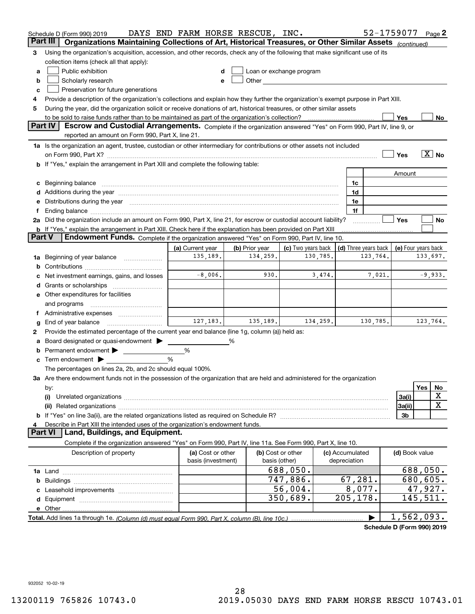|        | Schedule D (Form 990) 2019                                                                                                                                                                                                     | DAYS END FARM HORSE RESCUE, INC. |                |                                                                                                                                                                                                                                |          |                   | 52-1759077                                 |                |                      | Page 2                     |
|--------|--------------------------------------------------------------------------------------------------------------------------------------------------------------------------------------------------------------------------------|----------------------------------|----------------|--------------------------------------------------------------------------------------------------------------------------------------------------------------------------------------------------------------------------------|----------|-------------------|--------------------------------------------|----------------|----------------------|----------------------------|
|        | Organizations Maintaining Collections of Art, Historical Treasures, or Other Similar Assets (continued)<br>Part III                                                                                                            |                                  |                |                                                                                                                                                                                                                                |          |                   |                                            |                |                      |                            |
| З      | Using the organization's acquisition, accession, and other records, check any of the following that make significant use of its                                                                                                |                                  |                |                                                                                                                                                                                                                                |          |                   |                                            |                |                      |                            |
|        | collection items (check all that apply):                                                                                                                                                                                       |                                  |                |                                                                                                                                                                                                                                |          |                   |                                            |                |                      |                            |
| a      | Public exhibition                                                                                                                                                                                                              |                                  |                | Loan or exchange program                                                                                                                                                                                                       |          |                   |                                            |                |                      |                            |
| b      | Scholarly research                                                                                                                                                                                                             |                                  |                | Other and the control of the control of the control of the control of the control of the control of the control of the control of the control of the control of the control of the control of the control of the control of th |          |                   |                                            |                |                      |                            |
| c      | Preservation for future generations                                                                                                                                                                                            |                                  |                |                                                                                                                                                                                                                                |          |                   |                                            |                |                      |                            |
| 4      | Provide a description of the organization's collections and explain how they further the organization's exempt purpose in Part XIII.                                                                                           |                                  |                |                                                                                                                                                                                                                                |          |                   |                                            |                |                      |                            |
| 5      | During the year, did the organization solicit or receive donations of art, historical treasures, or other similar assets                                                                                                       |                                  |                |                                                                                                                                                                                                                                |          |                   |                                            |                |                      |                            |
|        | to be sold to raise funds rather than to be maintained as part of the organization's collection?                                                                                                                               |                                  |                |                                                                                                                                                                                                                                |          |                   |                                            | Yes            |                      | No.                        |
|        | <b>Part IV</b><br>Escrow and Custodial Arrangements. Complete if the organization answered "Yes" on Form 990, Part IV, line 9, or                                                                                              |                                  |                |                                                                                                                                                                                                                                |          |                   |                                            |                |                      |                            |
|        | reported an amount on Form 990, Part X, line 21.                                                                                                                                                                               |                                  |                |                                                                                                                                                                                                                                |          |                   |                                            |                |                      |                            |
|        | 1a Is the organization an agent, trustee, custodian or other intermediary for contributions or other assets not included                                                                                                       |                                  |                |                                                                                                                                                                                                                                |          |                   |                                            |                |                      |                            |
|        |                                                                                                                                                                                                                                |                                  |                |                                                                                                                                                                                                                                |          |                   |                                            | Yes            |                      | $\overline{\mathbf{X}}$ No |
|        | <b>b</b> If "Yes," explain the arrangement in Part XIII and complete the following table:                                                                                                                                      |                                  |                |                                                                                                                                                                                                                                |          |                   |                                            |                |                      |                            |
|        |                                                                                                                                                                                                                                |                                  |                |                                                                                                                                                                                                                                |          |                   |                                            | Amount         |                      |                            |
|        | Beginning balance manufactured and contain an account of the state of the state of the state of the state of the state of the state of the state of the state of the state of the state of the state of the state of the state |                                  |                |                                                                                                                                                                                                                                |          | 1c                |                                            |                |                      |                            |
|        | Additions during the year manufactured and an experimental contract to the year manufactured and a set of the year manufactured and a set of the year manufactured and a set of the year manufactured and set of the year manu |                                  |                |                                                                                                                                                                                                                                |          | 1d                |                                            |                |                      |                            |
|        | Distributions during the year manufactured and continuum and contact the year manufactured and contact the year                                                                                                                |                                  |                |                                                                                                                                                                                                                                |          | 1e<br>1f          |                                            |                |                      |                            |
|        | 2a Did the organization include an amount on Form 990, Part X, line 21, for escrow or custodial account liability?                                                                                                             |                                  |                |                                                                                                                                                                                                                                |          |                   |                                            | Yes            |                      | No                         |
|        | <b>b</b> If "Yes," explain the arrangement in Part XIII. Check here if the explanation has been provided on Part XIII                                                                                                          |                                  |                |                                                                                                                                                                                                                                |          |                   |                                            |                |                      |                            |
| Part V | Endowment Funds. Complete if the organization answered "Yes" on Form 990, Part IV, line 10.                                                                                                                                    |                                  |                |                                                                                                                                                                                                                                |          |                   |                                            |                |                      |                            |
|        |                                                                                                                                                                                                                                | (a) Current year                 | (b) Prior year | (c) Two years back                                                                                                                                                                                                             |          |                   | (d) Three years back   (e) Four years back |                |                      |                            |
| 1a     | Beginning of year balance                                                                                                                                                                                                      | 135,189.                         | 134,259.       |                                                                                                                                                                                                                                | 130,785. |                   | 123,764.                                   |                | 133,697.             |                            |
| b      |                                                                                                                                                                                                                                |                                  |                |                                                                                                                                                                                                                                |          |                   |                                            |                |                      |                            |
|        | Net investment earnings, gains, and losses                                                                                                                                                                                     | $-8,006$ .                       | 930.           |                                                                                                                                                                                                                                | 3,474.   |                   | 7,021.                                     |                |                      | $-9,933.$                  |
|        |                                                                                                                                                                                                                                |                                  |                |                                                                                                                                                                                                                                |          |                   |                                            |                |                      |                            |
|        | e Other expenditures for facilities                                                                                                                                                                                            |                                  |                |                                                                                                                                                                                                                                |          |                   |                                            |                |                      |                            |
|        | and programs                                                                                                                                                                                                                   |                                  |                |                                                                                                                                                                                                                                |          |                   |                                            |                |                      |                            |
|        |                                                                                                                                                                                                                                |                                  |                |                                                                                                                                                                                                                                |          |                   |                                            |                |                      |                            |
| g      | End of year balance                                                                                                                                                                                                            | 127, 183.                        | 135,189.       |                                                                                                                                                                                                                                | 134,259. |                   | 130,785.                                   |                | 123,764.             |                            |
| 2      | Provide the estimated percentage of the current year end balance (line 1g, column (a)) held as:                                                                                                                                |                                  |                |                                                                                                                                                                                                                                |          |                   |                                            |                |                      |                            |
|        | Board designated or quasi-endowment                                                                                                                                                                                            |                                  | %              |                                                                                                                                                                                                                                |          |                   |                                            |                |                      |                            |
| b      | Permanent endowment                                                                                                                                                                                                            | %                                |                |                                                                                                                                                                                                                                |          |                   |                                            |                |                      |                            |
| c      | Term endowment $\blacktriangleright$                                                                                                                                                                                           | %                                |                |                                                                                                                                                                                                                                |          |                   |                                            |                |                      |                            |
|        | The percentages on lines 2a, 2b, and 2c should equal 100%.                                                                                                                                                                     |                                  |                |                                                                                                                                                                                                                                |          |                   |                                            |                |                      |                            |
|        | 3a Are there endowment funds not in the possession of the organization that are held and administered for the organization                                                                                                     |                                  |                |                                                                                                                                                                                                                                |          |                   |                                            |                |                      |                            |
|        | by:                                                                                                                                                                                                                            |                                  |                |                                                                                                                                                                                                                                |          |                   |                                            |                | Yes                  | No                         |
|        | (i)                                                                                                                                                                                                                            |                                  |                |                                                                                                                                                                                                                                |          |                   |                                            | 3a(i)          |                      | X                          |
|        |                                                                                                                                                                                                                                |                                  |                |                                                                                                                                                                                                                                |          |                   |                                            | 3a(ii)         |                      | $\mathbf X$                |
|        |                                                                                                                                                                                                                                |                                  |                |                                                                                                                                                                                                                                |          |                   |                                            | 3b             |                      |                            |
|        | Describe in Part XIII the intended uses of the organization's endowment funds.                                                                                                                                                 |                                  |                |                                                                                                                                                                                                                                |          |                   |                                            |                |                      |                            |
|        | Land, Buildings, and Equipment.<br>Part VI                                                                                                                                                                                     |                                  |                |                                                                                                                                                                                                                                |          |                   |                                            |                |                      |                            |
|        | Complete if the organization answered "Yes" on Form 990, Part IV, line 11a. See Form 990, Part X, line 10.                                                                                                                     |                                  |                |                                                                                                                                                                                                                                |          |                   |                                            |                |                      |                            |
|        | Description of property                                                                                                                                                                                                        | (a) Cost or other                |                | (b) Cost or other                                                                                                                                                                                                              |          | (c) Accumulated   |                                            | (d) Book value |                      |                            |
|        |                                                                                                                                                                                                                                | basis (investment)               |                | basis (other)                                                                                                                                                                                                                  |          | depreciation      |                                            |                |                      |                            |
|        |                                                                                                                                                                                                                                |                                  |                | 688,050.<br>747,886.                                                                                                                                                                                                           |          |                   |                                            |                | 688,050.             |                            |
| b      |                                                                                                                                                                                                                                |                                  |                | 56,004.                                                                                                                                                                                                                        |          | 67,281.<br>8,077. |                                            |                | 680,605.             |                            |
|        |                                                                                                                                                                                                                                |                                  |                | 350,689.                                                                                                                                                                                                                       |          | 205,178.          |                                            |                | 47,927.<br>145, 511. |                            |
| d      |                                                                                                                                                                                                                                |                                  |                |                                                                                                                                                                                                                                |          |                   |                                            |                |                      |                            |
|        |                                                                                                                                                                                                                                |                                  |                |                                                                                                                                                                                                                                |          |                   |                                            | 1,562,093.     |                      |                            |
|        |                                                                                                                                                                                                                                |                                  |                |                                                                                                                                                                                                                                |          |                   |                                            |                |                      |                            |

**Schedule D (Form 990) 2019**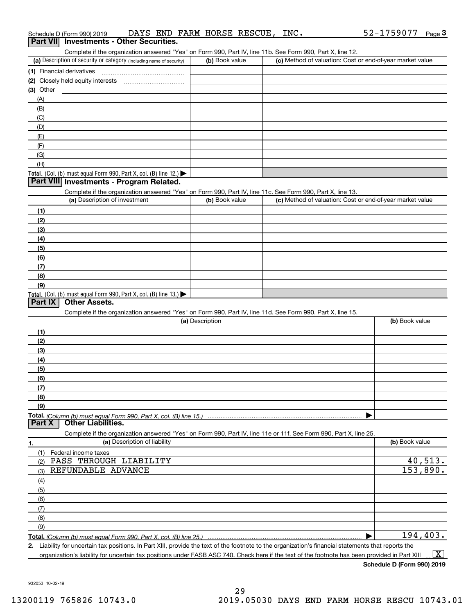| Complete if the organization answered "Yes" on Form 990, Part IV, line 11b. See Form 990, Part X, line 12.                                          |                 |                                                           |                |
|-----------------------------------------------------------------------------------------------------------------------------------------------------|-----------------|-----------------------------------------------------------|----------------|
| (a) Description of security or category (including name of security)                                                                                | (b) Book value  | (c) Method of valuation: Cost or end-of-year market value |                |
|                                                                                                                                                     |                 |                                                           |                |
|                                                                                                                                                     |                 |                                                           |                |
| $(3)$ Other                                                                                                                                         |                 |                                                           |                |
| (A)                                                                                                                                                 |                 |                                                           |                |
| (B)                                                                                                                                                 |                 |                                                           |                |
| (C)                                                                                                                                                 |                 |                                                           |                |
| (D)                                                                                                                                                 |                 |                                                           |                |
| (E)                                                                                                                                                 |                 |                                                           |                |
| (F)                                                                                                                                                 |                 |                                                           |                |
| (G)                                                                                                                                                 |                 |                                                           |                |
| (H)                                                                                                                                                 |                 |                                                           |                |
| <b>Total.</b> (Col. (b) must equal Form 990, Part X, col. (B) line 12.)                                                                             |                 |                                                           |                |
| Part VIII Investments - Program Related.                                                                                                            |                 |                                                           |                |
| Complete if the organization answered "Yes" on Form 990, Part IV, line 11c. See Form 990, Part X, line 13.                                          |                 |                                                           |                |
| (a) Description of investment                                                                                                                       | (b) Book value  | (c) Method of valuation: Cost or end-of-year market value |                |
| (1)                                                                                                                                                 |                 |                                                           |                |
| (2)                                                                                                                                                 |                 |                                                           |                |
| (3)                                                                                                                                                 |                 |                                                           |                |
| (4)                                                                                                                                                 |                 |                                                           |                |
| (5)                                                                                                                                                 |                 |                                                           |                |
| (6)                                                                                                                                                 |                 |                                                           |                |
| (7)                                                                                                                                                 |                 |                                                           |                |
| (8)                                                                                                                                                 |                 |                                                           |                |
| (9)                                                                                                                                                 |                 |                                                           |                |
| <b>Total.</b> (Col. (b) must equal Form 990, Part X, col. (B) line 13.)                                                                             |                 |                                                           |                |
| <b>Other Assets.</b><br>Part IX                                                                                                                     |                 |                                                           |                |
| Complete if the organization answered "Yes" on Form 990, Part IV, line 11d. See Form 990, Part X, line 15.                                          |                 |                                                           |                |
|                                                                                                                                                     | (a) Description |                                                           | (b) Book value |
| (1)                                                                                                                                                 |                 |                                                           |                |
| (2)                                                                                                                                                 |                 |                                                           |                |
| (3)                                                                                                                                                 |                 |                                                           |                |
| (4)                                                                                                                                                 |                 |                                                           |                |
| (5)                                                                                                                                                 |                 |                                                           |                |
| (6)                                                                                                                                                 |                 |                                                           |                |
| (7)                                                                                                                                                 |                 |                                                           |                |
| (8)                                                                                                                                                 |                 |                                                           |                |
| (9)                                                                                                                                                 |                 |                                                           |                |
|                                                                                                                                                     |                 |                                                           |                |
| <b>Other Liabilities.</b><br>Part X                                                                                                                 |                 |                                                           |                |
| Complete if the organization answered "Yes" on Form 990, Part IV, line 11e or 11f. See Form 990, Part X, line 25.                                   |                 |                                                           |                |
| (a) Description of liability<br>1.                                                                                                                  |                 |                                                           | (b) Book value |
| (1) Federal income taxes                                                                                                                            |                 |                                                           |                |
| PASS THROUGH LIABILITY<br>(2)                                                                                                                       |                 |                                                           | 40,513.        |
| REFUNDABLE ADVANCE<br>(3)                                                                                                                           |                 |                                                           | 153,890.       |
| (4)                                                                                                                                                 |                 |                                                           |                |
| (5)                                                                                                                                                 |                 |                                                           |                |
| (6)                                                                                                                                                 |                 |                                                           |                |
| (7)                                                                                                                                                 |                 |                                                           |                |
| (8)                                                                                                                                                 |                 |                                                           |                |
| (9)                                                                                                                                                 |                 |                                                           |                |
| <b>Total.</b> (Column (b) must equal Form 990, Part X, col. (B) line 25.) ……………………………………………………                                                      |                 |                                                           | 194,403.       |
| 2. Lightlity for uncertain tax positions, In Part YIII, provide the text of the feetpete to the examization's financial statements that reports the |                 |                                                           |                |

932053 10-02-19

# Schedule D (Form 990) 2019 DAYS END FARM HORSE RESCUE, INC**.** 52-1759 077 <sub>Page</sub> 3<br>| **Part VII** | Investments - Other Securities.

52-1759077 Page 3

|--|--|

| (a) Description of security or category (including name of security)      | (b) Book value | (c) Method of valuation: Cost or end-of-year market value |
|---------------------------------------------------------------------------|----------------|-----------------------------------------------------------|
| (1) Financial derivatives                                                 |                |                                                           |
| (2) Closely held equity interests                                         |                |                                                           |
| $(3)$ Other                                                               |                |                                                           |
| (A)                                                                       |                |                                                           |
| (B)                                                                       |                |                                                           |
| (C)                                                                       |                |                                                           |
| (D)                                                                       |                |                                                           |
| (E)                                                                       |                |                                                           |
|                                                                           |                |                                                           |
| (G)                                                                       |                |                                                           |
| (H)                                                                       |                |                                                           |
| <b>Total.</b> (Col. (b) must equal Form 990, Part X, col. (B) line $12.1$ |                |                                                           |

| (a) Description of investment                                       | (b) Book value | (c) Method of valuation: Cost or end-of-year market value |
|---------------------------------------------------------------------|----------------|-----------------------------------------------------------|
| (1)                                                                 |                |                                                           |
| (2)                                                                 |                |                                                           |
| (3)                                                                 |                |                                                           |
| (4)                                                                 |                |                                                           |
| (5)                                                                 |                |                                                           |
| (6)                                                                 |                |                                                           |
| (7)                                                                 |                |                                                           |
| (8)                                                                 |                |                                                           |
| (9)                                                                 |                |                                                           |
| Total. (Col. (b) must equal Form 990, Part X, col. (B) line $13.$ ) |                |                                                           |

| Liability for uncertain tax positions. In Part XIII, provide the text of the footnote to the organization's financial statements that reports the |  |
|---------------------------------------------------------------------------------------------------------------------------------------------------|--|
| organization's liability for uncertain tax positions under FASB ASC 740. Check here if the text of the footnote has been provided in Part XIII    |  |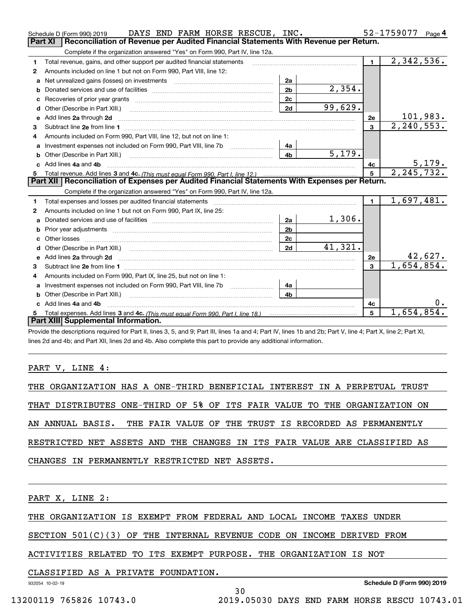|   | DAYS END FARM HORSE RESCUE, INC.<br>Schedule D (Form 990) 2019                                                                                                                                                                      |                |         |                | 52-1759077<br>Page 4         |
|---|-------------------------------------------------------------------------------------------------------------------------------------------------------------------------------------------------------------------------------------|----------------|---------|----------------|------------------------------|
|   | Part XI<br>Reconciliation of Revenue per Audited Financial Statements With Revenue per Return.                                                                                                                                      |                |         |                |                              |
|   | Complete if the organization answered "Yes" on Form 990, Part IV, line 12a.                                                                                                                                                         |                |         |                |                              |
| 1 | Total revenue, gains, and other support per audited financial statements                                                                                                                                                            |                |         | $\blacksquare$ | 2,342,536.                   |
| 2 | Amounts included on line 1 but not on Form 990, Part VIII, line 12:                                                                                                                                                                 |                |         |                |                              |
| a | Net unrealized gains (losses) on investments [11] matter contracts and the unrealized gains (losses) on investments                                                                                                                 | 2a             |         |                |                              |
| b |                                                                                                                                                                                                                                     | 2 <sub>b</sub> | 2,354.  |                |                              |
|   |                                                                                                                                                                                                                                     | 2c             |         |                |                              |
| d | Other (Describe in Part XIII.) <b>Construction Contract Construction</b> Construction Construction Construction Construction Construction Construction Construction Construction Construction Construction Construction Constructio | 2d             | 99,629. |                |                              |
| е | Add lines 2a through 2d                                                                                                                                                                                                             |                |         | 2e             | 101,983.                     |
| 3 |                                                                                                                                                                                                                                     |                |         | $\overline{3}$ | $\overline{2,240,553}$ .     |
| 4 | Amounts included on Form 990, Part VIII, line 12, but not on line 1:                                                                                                                                                                |                |         |                |                              |
| a | Investment expenses not included on Form 990, Part VIII, line 7b [100] [100] [100] [100] [100] [100] [100] [10                                                                                                                      | 4a             |         |                |                              |
|   | Other (Describe in Part XIII.) <b>Construction Construction</b> Chern Construction Chern Chern Chern Chern Chern Chern                                                                                                              | 4 <sub>b</sub> | 5,179.  |                |                              |
|   | c Add lines 4a and 4b                                                                                                                                                                                                               |                |         | 4с             | 5,179.                       |
| 5 |                                                                                                                                                                                                                                     |                |         | 5              | 2, 245, 732.                 |
|   |                                                                                                                                                                                                                                     |                |         |                |                              |
|   | Part XII   Reconciliation of Expenses per Audited Financial Statements With Expenses per Return.                                                                                                                                    |                |         |                |                              |
|   | Complete if the organization answered "Yes" on Form 990, Part IV, line 12a.                                                                                                                                                         |                |         |                |                              |
| 1 | Total expenses and losses per audited financial statements [11, 11] manuscription control expenses and losses per audited financial statements [11] manuscription of the statements [11] manuscription of the statements [11]       |                |         | $\mathbf{1}$   | 1,697,481.                   |
| 2 | Amounts included on line 1 but not on Form 990, Part IX, line 25:                                                                                                                                                                   |                |         |                |                              |
| a |                                                                                                                                                                                                                                     | 2a             | 1,306.  |                |                              |
| b |                                                                                                                                                                                                                                     | 2 <sub>b</sub> |         |                |                              |
|   |                                                                                                                                                                                                                                     | 2c             |         |                |                              |
|   |                                                                                                                                                                                                                                     | 2d             | 41,321. |                |                              |
| e | Add lines 2a through 2d <b>contained a contained a contained a contained a</b> contained a contact the state of the state of the state of the state of the state of the state of the state of the state of the state of the state o |                |         | 2e             |                              |
| з |                                                                                                                                                                                                                                     |                |         | 3              | $\frac{42,627.}{1,654,854.}$ |
|   | Amounts included on Form 990, Part IX, line 25, but not on line 1:                                                                                                                                                                  |                |         |                |                              |
| a |                                                                                                                                                                                                                                     | 4a             |         |                |                              |
|   | <b>b</b> Other (Describe in Part XIII.)                                                                                                                                                                                             | 4 <sub>b</sub> |         |                |                              |
|   | Add lines 4a and 4b                                                                                                                                                                                                                 |                |         | 4с             | 0.                           |
| 5 |                                                                                                                                                                                                                                     |                |         | 5              | 1,654,854.                   |
|   | Part XIII Supplemental Information.                                                                                                                                                                                                 |                |         |                |                              |

Provide the descriptions required for Part II, lines 3, 5, and 9; Part III, lines 1a and 4; Part IV, lines 1b and 2b; Part V, line 4; Part X, line 2; Part XI, lines 2d and 4b; and Part XII, lines 2d and 4b. Also complete this part to provide any additional information.

PART V, LINE 4:

|                 |  |  |  |  | THE ORGANIZATION HAS A ONE-THIRD BENEFICIAL INTEREST IN A PERPETUAL TRUST |  |  |  |  |
|-----------------|--|--|--|--|---------------------------------------------------------------------------|--|--|--|--|
|                 |  |  |  |  | THAT DISTRIBUTES ONE-THIRD OF 5% OF ITS FAIR VALUE TO THE ORGANIZATION ON |  |  |  |  |
|                 |  |  |  |  | AN ANNUAL BASIS.  THE FAIR VALUE OF THE TRUST IS RECORDED AS PERMANENTLY  |  |  |  |  |
|                 |  |  |  |  | RESTRICTED NET ASSETS AND THE CHANGES IN ITS FAIR VALUE ARE CLASSIFIED AS |  |  |  |  |
|                 |  |  |  |  | CHANGES IN PERMANENTLY RESTRICTED NET ASSETS.                             |  |  |  |  |
|                 |  |  |  |  |                                                                           |  |  |  |  |
| PART X, LINE 2: |  |  |  |  |                                                                           |  |  |  |  |

THE ORGANIZATION IS EXEMPT FROM FEDERAL AND LOCAL INCOME TAXES UNDER

SECTION 501(C)(3) OF THE INTERNAL REVENUE CODE ON INCOME DERIVED FROM

ACTIVITIES RELATED TO ITS EXEMPT PURPOSE. THE ORGANIZATION IS NOT

CLASSIFIED AS A PRIVATE FOUNDATION.

932054 10-02-19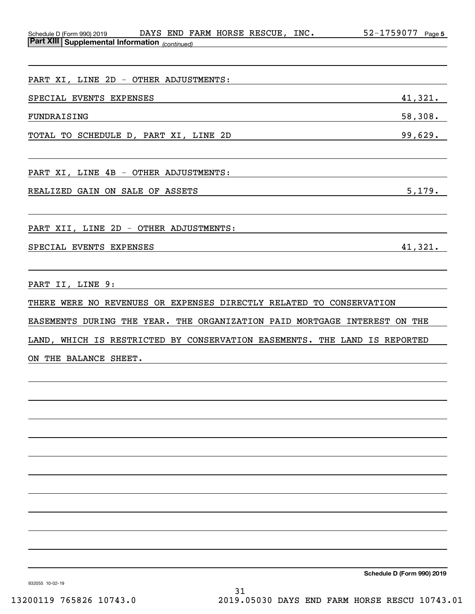| Schedule D (Form 990) 2019                            | DAYS | END |  | <b>FARM HORSE RESCUE</b> | INC. | 1759077<br>52- | Page 5 |
|-------------------------------------------------------|------|-----|--|--------------------------|------|----------------|--------|
| <b>Part XIII Supplemental Information</b> (continued) |      |     |  |                          |      |                |        |

| PART XI, LINE 2D - OTHER ADJUSTMENTS: |         |
|---------------------------------------|---------|
| SPECIAL EVENTS EXPENSES               | 41,321. |
| FUNDRAISING                           | 58,308. |
| TOTAL TO SCHEDULE D, PART XI, LINE 2D | 99,629. |
| PART XI, LINE 4B - OTHER ADJUSTMENTS: |         |

REALIZED GAIN ON SALE OF ASSETS 5,179.

PART XII, LINE 2D - OTHER ADJUSTMENTS:

SPECIAL EVENTS EXPENSES 41,321.

PART II, LINE 9:

THERE WERE NO REVENUES OR EXPENSES DIRECTLY RELATED TO CONSERVATION

EASEMENTS DURING THE YEAR. THE ORGANIZATION PAID MORTGAGE INTEREST ON THE

LAND, WHICH IS RESTRICTED BY CONSERVATION EASEMENTS. THE LAND IS REPORTED

ON THE BALANCE SHEET.

**Schedule D (Form 990) 2019**

932055 10-02-19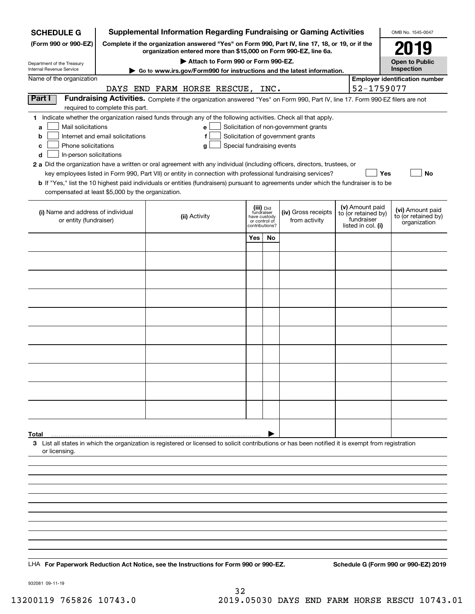| <b>SCHEDULE G</b>                                                                                                                                                                                                                                                                                                                                                                                                                                                                                                                       |                                                                     |                                    |                            |                                                                            |    | <b>Supplemental Information Regarding Fundraising or Gaming Activities</b>                                                                                                                |                                                                            | OMB No. 1545-0047                                       |
|-----------------------------------------------------------------------------------------------------------------------------------------------------------------------------------------------------------------------------------------------------------------------------------------------------------------------------------------------------------------------------------------------------------------------------------------------------------------------------------------------------------------------------------------|---------------------------------------------------------------------|------------------------------------|----------------------------|----------------------------------------------------------------------------|----|-------------------------------------------------------------------------------------------------------------------------------------------------------------------------------------------|----------------------------------------------------------------------------|---------------------------------------------------------|
| (Form 990 or 990-EZ)                                                                                                                                                                                                                                                                                                                                                                                                                                                                                                                    |                                                                     |                                    |                            |                                                                            |    | Complete if the organization answered "Yes" on Form 990, Part IV, line 17, 18, or 19, or if the<br>organization entered more than \$15,000 on Form 990-EZ, line 6a.                       |                                                                            | 2019                                                    |
| Department of the Treasury                                                                                                                                                                                                                                                                                                                                                                                                                                                                                                              |                                                                     | Attach to Form 990 or Form 990-EZ. |                            |                                                                            |    |                                                                                                                                                                                           |                                                                            | <b>Open to Public</b>                                   |
| <b>Internal Revenue Service</b><br>Name of the organization                                                                                                                                                                                                                                                                                                                                                                                                                                                                             |                                                                     |                                    |                            |                                                                            |    | Go to www.irs.gov/Form990 for instructions and the latest information.                                                                                                                    |                                                                            | Inspection<br><b>Employer identification number</b>     |
|                                                                                                                                                                                                                                                                                                                                                                                                                                                                                                                                         | DAYS END FARM HORSE RESCUE, INC.                                    |                                    |                            |                                                                            |    |                                                                                                                                                                                           | 52-1759077                                                                 |                                                         |
| Part I                                                                                                                                                                                                                                                                                                                                                                                                                                                                                                                                  |                                                                     |                                    |                            |                                                                            |    | Fundraising Activities. Complete if the organization answered "Yes" on Form 990, Part IV, line 17. Form 990-EZ filers are not                                                             |                                                                            |                                                         |
| 1 Indicate whether the organization raised funds through any of the following activities. Check all that apply.<br>Mail solicitations<br>a<br>b<br>Phone solicitations<br>c<br>In-person solicitations<br>d<br>2 a Did the organization have a written or oral agreement with any individual (including officers, directors, trustees, or<br>b If "Yes," list the 10 highest paid individuals or entities (fundraisers) pursuant to agreements under which the fundraiser is to be<br>compensated at least \$5,000 by the organization. | required to complete this part.<br>Internet and email solicitations | e<br>f<br>g                        | Special fundraising events |                                                                            |    | Solicitation of non-government grants<br>Solicitation of government grants<br>key employees listed in Form 990, Part VII) or entity in connection with professional fundraising services? | Yes                                                                        | No                                                      |
| (i) Name and address of individual<br>or entity (fundraiser)                                                                                                                                                                                                                                                                                                                                                                                                                                                                            |                                                                     | (ii) Activity                      |                            | (iii) Did<br>fundraiser<br>have custody<br>or control of<br>contributions? |    | (iv) Gross receipts<br>from activity                                                                                                                                                      | (v) Amount paid<br>to (or retained by)<br>fundraiser<br>listed in col. (i) | (vi) Amount paid<br>to (or retained by)<br>organization |
|                                                                                                                                                                                                                                                                                                                                                                                                                                                                                                                                         |                                                                     |                                    |                            | Yes                                                                        | No |                                                                                                                                                                                           |                                                                            |                                                         |
|                                                                                                                                                                                                                                                                                                                                                                                                                                                                                                                                         |                                                                     |                                    |                            |                                                                            |    |                                                                                                                                                                                           |                                                                            |                                                         |
|                                                                                                                                                                                                                                                                                                                                                                                                                                                                                                                                         |                                                                     |                                    |                            |                                                                            |    |                                                                                                                                                                                           |                                                                            |                                                         |
|                                                                                                                                                                                                                                                                                                                                                                                                                                                                                                                                         |                                                                     |                                    |                            |                                                                            |    |                                                                                                                                                                                           |                                                                            |                                                         |
|                                                                                                                                                                                                                                                                                                                                                                                                                                                                                                                                         |                                                                     |                                    |                            |                                                                            |    |                                                                                                                                                                                           |                                                                            |                                                         |
|                                                                                                                                                                                                                                                                                                                                                                                                                                                                                                                                         |                                                                     |                                    |                            |                                                                            |    |                                                                                                                                                                                           |                                                                            |                                                         |
|                                                                                                                                                                                                                                                                                                                                                                                                                                                                                                                                         |                                                                     |                                    |                            |                                                                            |    |                                                                                                                                                                                           |                                                                            |                                                         |
|                                                                                                                                                                                                                                                                                                                                                                                                                                                                                                                                         |                                                                     |                                    |                            |                                                                            |    |                                                                                                                                                                                           |                                                                            |                                                         |
|                                                                                                                                                                                                                                                                                                                                                                                                                                                                                                                                         |                                                                     |                                    |                            |                                                                            |    |                                                                                                                                                                                           |                                                                            |                                                         |
|                                                                                                                                                                                                                                                                                                                                                                                                                                                                                                                                         |                                                                     |                                    |                            |                                                                            |    |                                                                                                                                                                                           |                                                                            |                                                         |
|                                                                                                                                                                                                                                                                                                                                                                                                                                                                                                                                         |                                                                     |                                    |                            |                                                                            |    |                                                                                                                                                                                           |                                                                            |                                                         |
|                                                                                                                                                                                                                                                                                                                                                                                                                                                                                                                                         |                                                                     |                                    |                            |                                                                            |    |                                                                                                                                                                                           |                                                                            |                                                         |
|                                                                                                                                                                                                                                                                                                                                                                                                                                                                                                                                         |                                                                     |                                    |                            |                                                                            |    |                                                                                                                                                                                           |                                                                            |                                                         |
|                                                                                                                                                                                                                                                                                                                                                                                                                                                                                                                                         |                                                                     |                                    |                            |                                                                            |    |                                                                                                                                                                                           |                                                                            |                                                         |
|                                                                                                                                                                                                                                                                                                                                                                                                                                                                                                                                         |                                                                     |                                    |                            |                                                                            |    |                                                                                                                                                                                           |                                                                            |                                                         |
| Total<br>3 List all states in which the organization is registered or licensed to solicit contributions or has been notified it is exempt from registration<br>or licensing.                                                                                                                                                                                                                                                                                                                                                            |                                                                     |                                    |                            |                                                                            |    |                                                                                                                                                                                           |                                                                            |                                                         |
|                                                                                                                                                                                                                                                                                                                                                                                                                                                                                                                                         |                                                                     |                                    |                            |                                                                            |    |                                                                                                                                                                                           |                                                                            |                                                         |
|                                                                                                                                                                                                                                                                                                                                                                                                                                                                                                                                         |                                                                     |                                    |                            |                                                                            |    |                                                                                                                                                                                           |                                                                            |                                                         |
|                                                                                                                                                                                                                                                                                                                                                                                                                                                                                                                                         |                                                                     |                                    |                            |                                                                            |    |                                                                                                                                                                                           |                                                                            |                                                         |
|                                                                                                                                                                                                                                                                                                                                                                                                                                                                                                                                         |                                                                     |                                    |                            |                                                                            |    |                                                                                                                                                                                           |                                                                            |                                                         |
|                                                                                                                                                                                                                                                                                                                                                                                                                                                                                                                                         |                                                                     |                                    |                            |                                                                            |    |                                                                                                                                                                                           |                                                                            |                                                         |
|                                                                                                                                                                                                                                                                                                                                                                                                                                                                                                                                         |                                                                     |                                    |                            |                                                                            |    |                                                                                                                                                                                           |                                                                            |                                                         |
|                                                                                                                                                                                                                                                                                                                                                                                                                                                                                                                                         |                                                                     |                                    |                            |                                                                            |    |                                                                                                                                                                                           |                                                                            |                                                         |
|                                                                                                                                                                                                                                                                                                                                                                                                                                                                                                                                         |                                                                     |                                    |                            |                                                                            |    |                                                                                                                                                                                           |                                                                            |                                                         |
| LHA For Paperwork Reduction Act Notice, see the Instructions for Form 990 or 990-EZ.                                                                                                                                                                                                                                                                                                                                                                                                                                                    |                                                                     |                                    |                            |                                                                            |    |                                                                                                                                                                                           |                                                                            | Schedule G (Form 990 or 990-EZ) 2019                    |

932081 09-11-19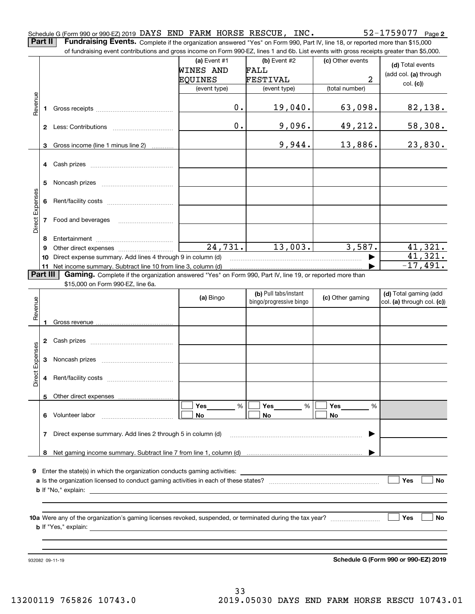Schedule G (Form 990 or 990-EZ) 2019 Page DAYS END FARM HORSE RESCUE, INC. 52-1759077

**Part II** | Fundraising Events. Complete if the organization answered "Yes" on Form 990, Part IV, line 18, or reported more than \$15,000

|                 |              | of fundraising event contributions and gross income on Form 990-EZ, lines 1 and 6b. List events with gross receipts greater than \$5,000. |              |                                                  |                  |                                                     |
|-----------------|--------------|-------------------------------------------------------------------------------------------------------------------------------------------|--------------|--------------------------------------------------|------------------|-----------------------------------------------------|
|                 |              |                                                                                                                                           | (a) Event #1 | (b) Event #2                                     | (c) Other events | (d) Total events                                    |
|                 |              |                                                                                                                                           | WINES AND    | FALL                                             |                  | (add col. (a) through                               |
|                 |              |                                                                                                                                           | EQUINES      | FESTIVAL                                         | 2                | col. (c)                                            |
|                 |              |                                                                                                                                           | (event type) | (event type)                                     | (total number)   |                                                     |
| Revenue         | 1            |                                                                                                                                           | 0.           | 19,040.                                          | 63,098.          | 82,138.                                             |
|                 |              |                                                                                                                                           | 0.           | 9,096.                                           | 49,212.          | 58,308.                                             |
|                 | 3            | Gross income (line 1 minus line 2)                                                                                                        |              | 9,944.                                           | 13,886.          | 23,830.                                             |
|                 | 4            |                                                                                                                                           |              |                                                  |                  |                                                     |
|                 | 5            |                                                                                                                                           |              |                                                  |                  |                                                     |
| Direct Expenses | 6            |                                                                                                                                           |              |                                                  |                  |                                                     |
|                 | 7            | Food and beverages                                                                                                                        |              |                                                  |                  |                                                     |
|                 | 8            |                                                                                                                                           |              |                                                  |                  |                                                     |
|                 | 9            |                                                                                                                                           | 24,731.      | 13,003.                                          | 3,587.           | 41,321.                                             |
|                 | 10           | Direct expense summary. Add lines 4 through 9 in column (d)                                                                               |              |                                                  |                  | 41,321.                                             |
|                 |              | 11 Net income summary. Subtract line 10 from line 3, column (d)                                                                           |              |                                                  |                  | $-17,491.$                                          |
|                 | Part III     | Gaming. Complete if the organization answered "Yes" on Form 990, Part IV, line 19, or reported more than                                  |              |                                                  |                  |                                                     |
|                 |              | \$15,000 on Form 990-EZ, line 6a.                                                                                                         |              |                                                  |                  |                                                     |
|                 |              |                                                                                                                                           | (a) Bingo    | (b) Pull tabs/instant<br>bingo/progressive bingo | (c) Other gaming | (d) Total gaming (add<br>col. (a) through col. (c)) |
| Revenue         |              |                                                                                                                                           |              |                                                  |                  |                                                     |
|                 | 1            |                                                                                                                                           |              |                                                  |                  |                                                     |
|                 |              |                                                                                                                                           |              |                                                  |                  |                                                     |
|                 | $\mathbf{2}$ |                                                                                                                                           |              |                                                  |                  |                                                     |
|                 |              |                                                                                                                                           |              |                                                  |                  |                                                     |
| Expenses        | 3            |                                                                                                                                           |              |                                                  |                  |                                                     |
|                 |              |                                                                                                                                           |              |                                                  |                  |                                                     |
| Direct          | 4            |                                                                                                                                           |              |                                                  |                  |                                                     |
|                 |              | 5 Other direct expenses                                                                                                                   |              |                                                  |                  |                                                     |
|                 |              |                                                                                                                                           | %<br>Yes     | %<br>Yes                                         | Yes<br>%         |                                                     |
|                 | 6.           | Volunteer labor                                                                                                                           | No           | No                                               | No               |                                                     |
|                 | 7            | Direct expense summary. Add lines 2 through 5 in column (d)                                                                               |              |                                                  |                  |                                                     |
|                 |              |                                                                                                                                           |              |                                                  |                  |                                                     |
|                 |              |                                                                                                                                           |              |                                                  |                  |                                                     |
|                 |              |                                                                                                                                           |              |                                                  |                  |                                                     |
| 9               |              |                                                                                                                                           |              |                                                  |                  |                                                     |
|                 |              |                                                                                                                                           |              |                                                  |                  | Yes<br>No                                           |
|                 |              |                                                                                                                                           |              |                                                  |                  |                                                     |
|                 |              |                                                                                                                                           |              |                                                  |                  |                                                     |
|                 |              |                                                                                                                                           |              |                                                  |                  | Yes<br>No                                           |
|                 |              |                                                                                                                                           |              |                                                  |                  |                                                     |
|                 |              |                                                                                                                                           |              |                                                  |                  |                                                     |
|                 |              |                                                                                                                                           |              |                                                  |                  |                                                     |
|                 |              | 932082 09-11-19                                                                                                                           |              |                                                  |                  | Schedule G (Form 990 or 990-EZ) 2019                |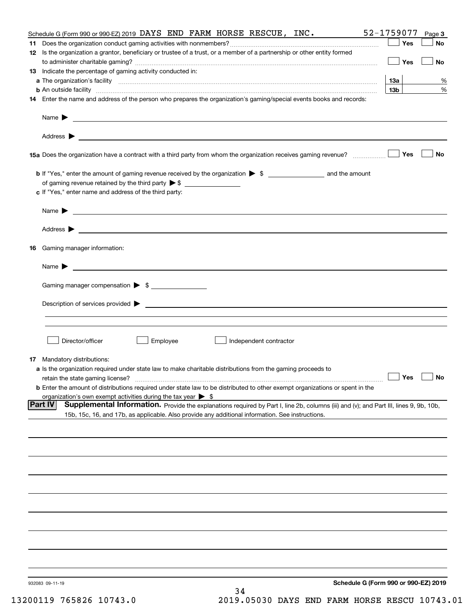|                                | Schedule G (Form 990 or 990-EZ) 2019 DAYS END FARM HORSE RESCUE, INC.                                                                                         | 52-1759077      | Page 3 |
|--------------------------------|---------------------------------------------------------------------------------------------------------------------------------------------------------------|-----------------|--------|
|                                |                                                                                                                                                               | Yes             | No     |
|                                | 12 Is the organization a grantor, beneficiary or trustee of a trust, or a member of a partnership or other entity formed                                      |                 |        |
|                                |                                                                                                                                                               | Yes             | No     |
|                                | 13 Indicate the percentage of gaming activity conducted in:                                                                                                   |                 |        |
|                                |                                                                                                                                                               | <u>13a</u>      | %      |
|                                | <b>b</b> An outside facility <i>www.communicality www.communicality.communicality www.communicality www.communicality.communicality www.communicality.com</i> | 13 <sub>b</sub> | %      |
|                                | 14 Enter the name and address of the person who prepares the organization's gaming/special events books and records:                                          |                 |        |
|                                |                                                                                                                                                               |                 |        |
|                                |                                                                                                                                                               |                 |        |
|                                |                                                                                                                                                               |                 |        |
|                                |                                                                                                                                                               |                 |        |
|                                |                                                                                                                                                               |                 |        |
|                                |                                                                                                                                                               |                 |        |
|                                | 15a Does the organization have a contract with a third party from whom the organization receives gaming revenue?                                              | Yes             | No     |
|                                |                                                                                                                                                               |                 |        |
|                                | <b>b</b> If "Yes," enter the amount of gaming revenue received by the organization $\triangleright$ \$ ____________________ and the amount                    |                 |        |
|                                |                                                                                                                                                               |                 |        |
|                                | c If "Yes," enter name and address of the third party:                                                                                                        |                 |        |
|                                |                                                                                                                                                               |                 |        |
|                                | Name $\blacktriangleright$ $\_\_\_\_\_\_\_\_\_\$                                                                                                              |                 |        |
|                                |                                                                                                                                                               |                 |        |
|                                |                                                                                                                                                               |                 |        |
|                                |                                                                                                                                                               |                 |        |
| 16 Gaming manager information: |                                                                                                                                                               |                 |        |
|                                |                                                                                                                                                               |                 |        |
|                                | Name $\triangleright$ $\square$                                                                                                                               |                 |        |
|                                |                                                                                                                                                               |                 |        |
|                                | Gaming manager compensation > \$                                                                                                                              |                 |        |
|                                |                                                                                                                                                               |                 |        |
|                                |                                                                                                                                                               |                 |        |
|                                |                                                                                                                                                               |                 |        |
|                                |                                                                                                                                                               |                 |        |
|                                |                                                                                                                                                               |                 |        |
|                                |                                                                                                                                                               |                 |        |
| Director/officer               | Employee<br>Independent contractor                                                                                                                            |                 |        |
|                                |                                                                                                                                                               |                 |        |
| 17 Mandatory distributions:    |                                                                                                                                                               |                 |        |
|                                | a Is the organization required under state law to make charitable distributions from the gaming proceeds to                                                   |                 |        |
|                                | $\Box$ Yes $\Box$ No<br>retain the state gaming license?                                                                                                      |                 |        |
|                                | <b>b</b> Enter the amount of distributions required under state law to be distributed to other exempt organizations or spent in the                           |                 |        |
|                                | organization's own exempt activities during the tax year $\triangleright$ \$                                                                                  |                 |        |
| <b>Part IV</b>                 | Supplemental Information. Provide the explanations required by Part I, line 2b, columns (iii) and (v); and Part III, lines 9, 9b, 10b,                        |                 |        |
|                                | 15b, 15c, 16, and 17b, as applicable. Also provide any additional information. See instructions.                                                              |                 |        |
|                                |                                                                                                                                                               |                 |        |
|                                |                                                                                                                                                               |                 |        |
|                                |                                                                                                                                                               |                 |        |
|                                |                                                                                                                                                               |                 |        |
|                                |                                                                                                                                                               |                 |        |
|                                |                                                                                                                                                               |                 |        |
|                                |                                                                                                                                                               |                 |        |
|                                |                                                                                                                                                               |                 |        |
|                                |                                                                                                                                                               |                 |        |
|                                |                                                                                                                                                               |                 |        |
|                                |                                                                                                                                                               |                 |        |
|                                |                                                                                                                                                               |                 |        |
|                                |                                                                                                                                                               |                 |        |
|                                |                                                                                                                                                               |                 |        |
|                                |                                                                                                                                                               |                 |        |
|                                |                                                                                                                                                               |                 |        |
|                                |                                                                                                                                                               |                 |        |
|                                |                                                                                                                                                               |                 |        |
| 932083 09-11-19                | Schedule G (Form 990 or 990-EZ) 2019                                                                                                                          |                 |        |
|                                | 34                                                                                                                                                            |                 |        |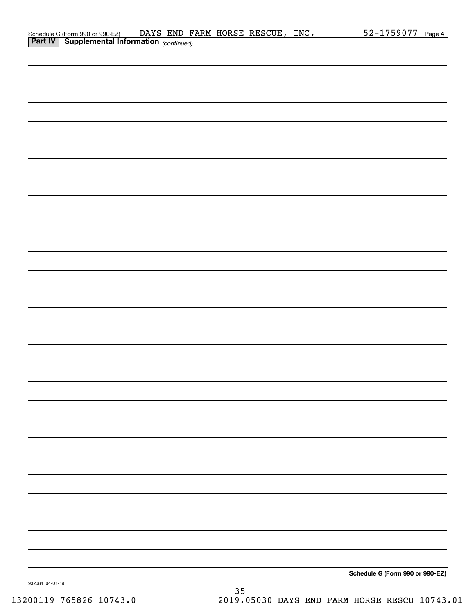| Schedule G (Form 990 or 990-EZ)                       |  |  | DAYS END FARM HORSE RESCUE, | INC. | 52-1759077 | Page 4 |
|-------------------------------------------------------|--|--|-----------------------------|------|------------|--------|
| <b>Part IV   Supplemental Information</b> (continued) |  |  |                             |      |            |        |

| <b>Part IV   Supplemental Information</b> (continued) |
|-------------------------------------------------------|
|                                                       |
|                                                       |
|                                                       |
|                                                       |
|                                                       |
|                                                       |
|                                                       |
|                                                       |
|                                                       |
|                                                       |
|                                                       |
|                                                       |
|                                                       |
|                                                       |
|                                                       |
|                                                       |
|                                                       |
|                                                       |
|                                                       |
|                                                       |
|                                                       |
|                                                       |
|                                                       |
|                                                       |
|                                                       |
|                                                       |
|                                                       |
|                                                       |
|                                                       |
| Cabadule O (Faure 000 au 000 F7)                      |

**Schedule G (Form 990 or 990-EZ)**

932084 04-01-19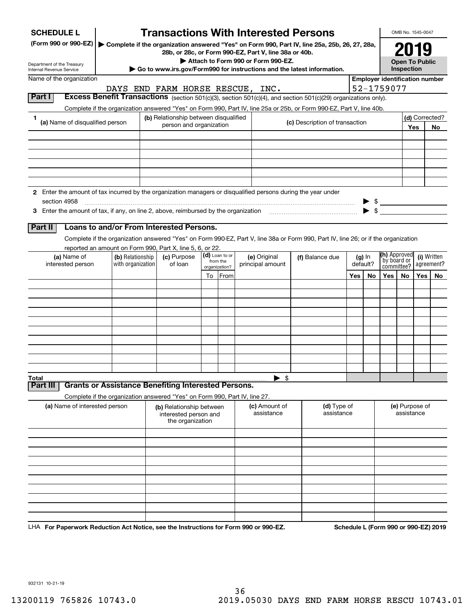| <b>SCHEDULE L</b>                                                                                             |                                                                            |  |                                                                       |    |                            | <b>Transactions With Interested Persons</b>                                                                                        |    |                                |                    |  |                                                     | OMB No. 1545-0047                                                      |     |                      |  |  |
|---------------------------------------------------------------------------------------------------------------|----------------------------------------------------------------------------|--|-----------------------------------------------------------------------|----|----------------------------|------------------------------------------------------------------------------------------------------------------------------------|----|--------------------------------|--------------------|--|-----------------------------------------------------|------------------------------------------------------------------------|-----|----------------------|--|--|
| (Form 990 or 990-EZ)                                                                                          |                                                                            |  |                                                                       |    |                            | Complete if the organization answered "Yes" on Form 990, Part IV, line 25a, 25b, 26, 27, 28a,                                      |    |                                |                    |  |                                                     |                                                                        |     |                      |  |  |
| Department of the Treasury                                                                                    |                                                                            |  |                                                                       |    |                            | 28b, or 28c, or Form 990-EZ, Part V, line 38a or 40b.<br>Attach to Form 990 or Form 990-EZ.                                        |    |                                |                    |  |                                                     | <b>Open To Public</b>                                                  |     |                      |  |  |
| Internal Revenue Service<br>Name of the organization                                                          |                                                                            |  |                                                                       |    |                            | Go to www.irs.gov/Form990 for instructions and the latest information.                                                             |    |                                |                    |  | Inspection<br><b>Employer identification number</b> |                                                                        |     |                      |  |  |
|                                                                                                               |                                                                            |  |                                                                       |    |                            | DAYS END FARM HORSE RESCUE, INC.                                                                                                   |    |                                |                    |  | 52-1759077                                          |                                                                        |     |                      |  |  |
| Part I                                                                                                        |                                                                            |  |                                                                       |    |                            | Excess Benefit Transactions (section 501(c)(3), section 501(c)(4), and section 501(c)(29) organizations only).                     |    |                                |                    |  |                                                     |                                                                        |     |                      |  |  |
|                                                                                                               |                                                                            |  |                                                                       |    |                            | Complete if the organization answered "Yes" on Form 990, Part IV, line 25a or 25b, or Form 990-EZ, Part V, line 40b.               |    |                                |                    |  |                                                     |                                                                        |     |                      |  |  |
| 1.<br>(a) Name of disqualified person                                                                         |                                                                            |  | (b) Relationship between disqualified<br>person and organization      |    |                            |                                                                                                                                    |    | (c) Description of transaction |                    |  |                                                     |                                                                        | Yes | (d) Corrected?<br>No |  |  |
|                                                                                                               |                                                                            |  |                                                                       |    |                            |                                                                                                                                    |    |                                |                    |  |                                                     |                                                                        |     |                      |  |  |
|                                                                                                               |                                                                            |  |                                                                       |    |                            |                                                                                                                                    |    |                                |                    |  |                                                     |                                                                        |     |                      |  |  |
|                                                                                                               |                                                                            |  |                                                                       |    |                            |                                                                                                                                    |    |                                |                    |  |                                                     |                                                                        |     |                      |  |  |
|                                                                                                               |                                                                            |  |                                                                       |    |                            |                                                                                                                                    |    |                                |                    |  |                                                     |                                                                        |     |                      |  |  |
| 2 Enter the amount of tax incurred by the organization managers or disqualified persons during the year under |                                                                            |  |                                                                       |    |                            |                                                                                                                                    |    |                                |                    |  |                                                     |                                                                        |     |                      |  |  |
| section 4958                                                                                                  |                                                                            |  |                                                                       |    |                            |                                                                                                                                    |    |                                |                    |  |                                                     |                                                                        |     |                      |  |  |
|                                                                                                               |                                                                            |  |                                                                       |    |                            |                                                                                                                                    |    |                                |                    |  |                                                     |                                                                        |     |                      |  |  |
| Part II                                                                                                       | Loans to and/or From Interested Persons.                                   |  |                                                                       |    |                            |                                                                                                                                    |    |                                |                    |  |                                                     |                                                                        |     |                      |  |  |
|                                                                                                               |                                                                            |  |                                                                       |    |                            | Complete if the organization answered "Yes" on Form 990-EZ, Part V, line 38a or Form 990, Part IV, line 26; or if the organization |    |                                |                    |  |                                                     |                                                                        |     |                      |  |  |
|                                                                                                               | reported an amount on Form 990, Part X, line 5, 6, or 22.                  |  |                                                                       |    |                            |                                                                                                                                    |    |                                |                    |  |                                                     |                                                                        |     |                      |  |  |
| (a) Name of<br>interested person                                                                              | (b) Relationship<br>with organization                                      |  | (c) Purpose<br>of loan                                                |    | (d) Loan to or<br>from the | (e) Original<br>principal amount                                                                                                   |    | (f) Balance due                | (g) In<br>default? |  |                                                     | (h) Approved<br>(i) Written<br>by board or<br>agreement?<br>committee? |     |                      |  |  |
|                                                                                                               |                                                                            |  |                                                                       | To | organization?<br>From      |                                                                                                                                    |    |                                | Yes<br>No          |  | Yes                                                 | No.                                                                    | Yes | No.                  |  |  |
|                                                                                                               |                                                                            |  |                                                                       |    |                            |                                                                                                                                    |    |                                |                    |  |                                                     |                                                                        |     |                      |  |  |
|                                                                                                               |                                                                            |  |                                                                       |    |                            |                                                                                                                                    |    |                                |                    |  |                                                     |                                                                        |     |                      |  |  |
|                                                                                                               |                                                                            |  |                                                                       |    |                            |                                                                                                                                    |    |                                |                    |  |                                                     |                                                                        |     |                      |  |  |
|                                                                                                               |                                                                            |  |                                                                       |    |                            |                                                                                                                                    |    |                                |                    |  |                                                     |                                                                        |     |                      |  |  |
|                                                                                                               |                                                                            |  |                                                                       |    |                            |                                                                                                                                    |    |                                |                    |  |                                                     |                                                                        |     |                      |  |  |
|                                                                                                               |                                                                            |  |                                                                       |    |                            |                                                                                                                                    |    |                                |                    |  |                                                     |                                                                        |     |                      |  |  |
|                                                                                                               |                                                                            |  |                                                                       |    |                            |                                                                                                                                    |    |                                |                    |  |                                                     |                                                                        |     |                      |  |  |
|                                                                                                               |                                                                            |  |                                                                       |    |                            |                                                                                                                                    |    |                                |                    |  |                                                     |                                                                        |     |                      |  |  |
| Total<br>Part II                                                                                              | <b>Grants or Assistance Benefiting Interested Persons.</b>                 |  |                                                                       |    |                            |                                                                                                                                    | \$ |                                |                    |  |                                                     |                                                                        |     |                      |  |  |
|                                                                                                               | Complete if the organization answered "Yes" on Form 990, Part IV, line 27. |  |                                                                       |    |                            |                                                                                                                                    |    |                                |                    |  |                                                     |                                                                        |     |                      |  |  |
| (a) Name of interested person                                                                                 |                                                                            |  | (b) Relationship between<br>interested person and<br>the organization |    |                            | (c) Amount of<br>assistance                                                                                                        |    | (d) Type of<br>assistance      |                    |  |                                                     | (e) Purpose of<br>assistance                                           |     |                      |  |  |
|                                                                                                               |                                                                            |  |                                                                       |    |                            |                                                                                                                                    |    |                                |                    |  |                                                     |                                                                        |     |                      |  |  |
|                                                                                                               |                                                                            |  |                                                                       |    |                            |                                                                                                                                    |    |                                |                    |  |                                                     |                                                                        |     |                      |  |  |
|                                                                                                               |                                                                            |  |                                                                       |    |                            |                                                                                                                                    |    |                                |                    |  |                                                     |                                                                        |     |                      |  |  |
|                                                                                                               |                                                                            |  |                                                                       |    |                            |                                                                                                                                    |    |                                |                    |  |                                                     |                                                                        |     |                      |  |  |
|                                                                                                               |                                                                            |  |                                                                       |    |                            |                                                                                                                                    |    |                                |                    |  |                                                     |                                                                        |     |                      |  |  |
|                                                                                                               |                                                                            |  |                                                                       |    |                            |                                                                                                                                    |    |                                |                    |  |                                                     |                                                                        |     |                      |  |  |
|                                                                                                               |                                                                            |  |                                                                       |    |                            |                                                                                                                                    |    |                                |                    |  |                                                     |                                                                        |     |                      |  |  |
|                                                                                                               |                                                                            |  |                                                                       |    |                            |                                                                                                                                    |    |                                |                    |  |                                                     |                                                                        |     |                      |  |  |

LHA For Paperwork Reduction Act Notice, see the Instructions for Form 990 or 990-EZ. Schedule L (Form 990 or 990-EZ) 2019

932131 10-21-19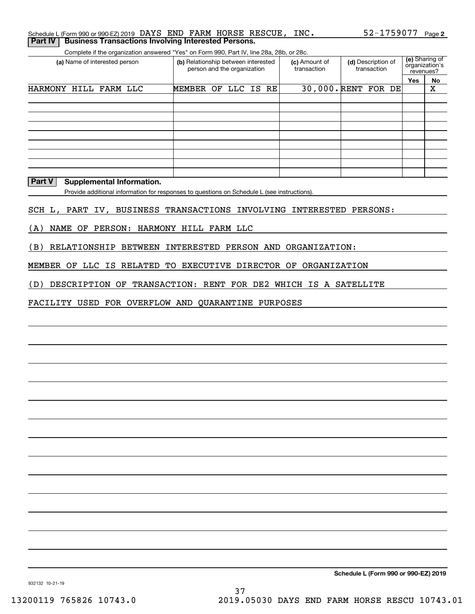| Schedule L (Form 990 or 990-EZ) 2019 DAYS END FARM HORSE RESCUE, INC. |  |  |  | 52-1759077 Page 2 |  |
|-----------------------------------------------------------------------|--|--|--|-------------------|--|
| <b>Part IV Business Transactions Involving Interested Persons.</b>    |  |  |  |                   |  |

Complete if the organization answered "Yes" on Form 990, Part IV, line 28a, 28b, or 28c.

| (a) Name of interested person | (b) Relationship between interested<br>person and the organization |  |  | (c) Amount of<br>transaction | (d) Description of<br>transaction | (e) Sharing of<br>organization's<br>revenues? |     |    |
|-------------------------------|--------------------------------------------------------------------|--|--|------------------------------|-----------------------------------|-----------------------------------------------|-----|----|
|                               |                                                                    |  |  |                              |                                   |                                               | Yes | No |
| HARMONY HILL FARM LLC         | MEMBER OF LLC IS RE                                                |  |  |                              | 30,000. RENT FOR DE               |                                               |     | Χ  |
|                               |                                                                    |  |  |                              |                                   |                                               |     |    |
|                               |                                                                    |  |  |                              |                                   |                                               |     |    |
|                               |                                                                    |  |  |                              |                                   |                                               |     |    |
|                               |                                                                    |  |  |                              |                                   |                                               |     |    |
|                               |                                                                    |  |  |                              |                                   |                                               |     |    |
|                               |                                                                    |  |  |                              |                                   |                                               |     |    |
|                               |                                                                    |  |  |                              |                                   |                                               |     |    |
|                               |                                                                    |  |  |                              |                                   |                                               |     |    |
|                               |                                                                    |  |  |                              |                                   |                                               |     |    |

#### **Part V** Supplemental Information.

Provide additional information for responses to questions on Schedule L (see instructions).

#### SCH L, PART IV, BUSINESS TRANSACTIONS INVOLVING INTERESTED PERSONS:

(A) NAME OF PERSON: HARMONY HILL FARM LLC

(B) RELATIONSHIP BETWEEN INTERESTED PERSON AND ORGANIZATION:

MEMBER OF LLC IS RELATED TO EXECUTIVE DIRECTOR OF ORGANIZATION

(D) DESCRIPTION OF TRANSACTION: RENT FOR DE2 WHICH IS A SATELLITE

FACILITY USED FOR OVERFLOW AND QUARANTINE PURPOSES

**Schedule L (Form 990 or 990-EZ) 2019**

932132 10-21-19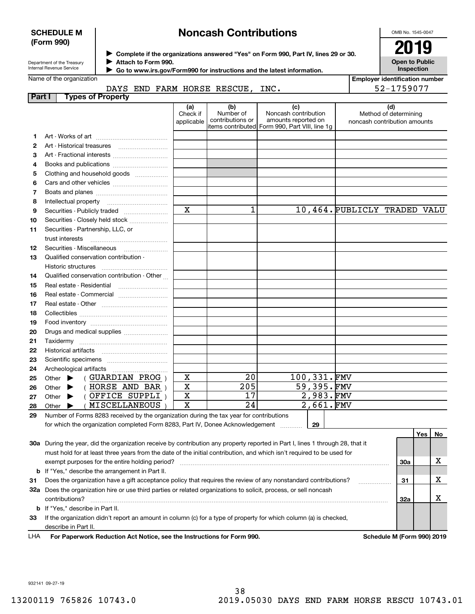#### **SCHEDULE M (Form 990)**

## **Noncash Contributions**

OMB No. 1545-0047

| Department of the Treasury |  |
|----------------------------|--|
| Internal Revenue Service   |  |

**Complete if the organizations answered "Yes" on Form 990, Part IV, lines 29 or 30.** <sup>J</sup>**2019 Attach to Form 990.** J

 **Go to www.irs.gov/Form990 for instructions and the latest information.** J

| <b>Open to Public</b><br>Inspection |
|-------------------------------------|

**Employer identification number**

52-1759077

| Name of the organization |  |  |
|--------------------------|--|--|
|--------------------------|--|--|

| DAYS END FARM HORSE RESCUE, INC. |  |
|----------------------------------|--|
|----------------------------------|--|

| <b>Part I</b> | <b>Types of Property</b>                                                                                                       |                         |                  |                                                |                              |            |     |    |
|---------------|--------------------------------------------------------------------------------------------------------------------------------|-------------------------|------------------|------------------------------------------------|------------------------------|------------|-----|----|
|               |                                                                                                                                | (a)<br>Check if         | (b)<br>Number of | (c)<br>Noncash contribution                    | (d)<br>Method of determining |            |     |    |
|               |                                                                                                                                | applicable              | contributions or | amounts reported on                            | noncash contribution amounts |            |     |    |
|               |                                                                                                                                |                         |                  | items contributed Form 990, Part VIII, line 1g |                              |            |     |    |
| 1.            |                                                                                                                                |                         |                  |                                                |                              |            |     |    |
| 2             |                                                                                                                                |                         |                  |                                                |                              |            |     |    |
| З             | Art - Fractional interests                                                                                                     |                         |                  |                                                |                              |            |     |    |
| 4             | Books and publications                                                                                                         |                         |                  |                                                |                              |            |     |    |
| 5             | Clothing and household goods                                                                                                   |                         |                  |                                                |                              |            |     |    |
| 6             |                                                                                                                                |                         |                  |                                                |                              |            |     |    |
| 7             |                                                                                                                                |                         |                  |                                                |                              |            |     |    |
| 8             | Intellectual property                                                                                                          |                         |                  |                                                |                              |            |     |    |
| 9             |                                                                                                                                | X                       | 1                |                                                | 10,464. PUBLICLY TRADED VALU |            |     |    |
| 10            |                                                                                                                                |                         |                  |                                                |                              |            |     |    |
| 11            | Securities - Partnership, LLC, or                                                                                              |                         |                  |                                                |                              |            |     |    |
|               | trust interests                                                                                                                |                         |                  |                                                |                              |            |     |    |
| 12            | Securities - Miscellaneous                                                                                                     |                         |                  |                                                |                              |            |     |    |
| 13            | Qualified conservation contribution -                                                                                          |                         |                  |                                                |                              |            |     |    |
|               |                                                                                                                                |                         |                  |                                                |                              |            |     |    |
| 14            | Qualified conservation contribution - Other                                                                                    |                         |                  |                                                |                              |            |     |    |
| 15            | Real estate - Residential                                                                                                      |                         |                  |                                                |                              |            |     |    |
| 16            | Real estate - Commercial                                                                                                       |                         |                  |                                                |                              |            |     |    |
| 17            |                                                                                                                                |                         |                  |                                                |                              |            |     |    |
| 18            |                                                                                                                                |                         |                  |                                                |                              |            |     |    |
| 19            |                                                                                                                                |                         |                  |                                                |                              |            |     |    |
| 20            | Drugs and medical supplies                                                                                                     |                         |                  |                                                |                              |            |     |    |
| 21            |                                                                                                                                |                         |                  |                                                |                              |            |     |    |
| 22            |                                                                                                                                |                         |                  |                                                |                              |            |     |    |
| 23            |                                                                                                                                |                         |                  |                                                |                              |            |     |    |
| 24            | Archeological artifacts                                                                                                        |                         |                  |                                                |                              |            |     |    |
| 25            | (GUARDIAN PROG)<br>Other $\blacktriangleright$                                                                                 | х                       | 20               | 100,331.FMV                                    |                              |            |     |    |
| 26            | (HORSE AND BAR)<br>▶<br>Other                                                                                                  | $\mathbf X$             | 205              | 59,395.FMV                                     |                              |            |     |    |
| 27            | (OFFICE SUPPLI)<br>Other $\blacktriangleright$                                                                                 | X                       | 17               | $2,983.$ FMV                                   |                              |            |     |    |
| 28            | ( MISCELLANEOUS<br>Other $\blacktriangleright$                                                                                 | $\overline{\mathbf{x}}$ | $\overline{24}$  | 2,661.FMV                                      |                              |            |     |    |
| 29            | Number of Forms 8283 received by the organization during the tax year for contributions                                        |                         |                  |                                                |                              |            |     |    |
|               | for which the organization completed Form 8283, Part IV, Donee Acknowledgement                                                 |                         |                  | 29                                             |                              |            |     |    |
|               |                                                                                                                                |                         |                  |                                                |                              |            | Yes | No |
|               | 30a During the year, did the organization receive by contribution any property reported in Part I, lines 1 through 28, that it |                         |                  |                                                |                              |            |     |    |
|               | must hold for at least three years from the date of the initial contribution, and which isn't required to be used for          |                         |                  |                                                |                              |            |     |    |
|               | exempt purposes for the entire holding period?                                                                                 |                         |                  |                                                |                              | <b>30a</b> |     | х  |
|               | <b>b</b> If "Yes," describe the arrangement in Part II.                                                                        |                         |                  |                                                |                              |            |     |    |
| 31            | Does the organization have a gift acceptance policy that requires the review of any nonstandard contributions?                 |                         |                  |                                                |                              | 31         |     | X  |

**32a** Does the organization hire or use third parties or related organizations to solicit, process, or sell noncash **33**If the organization didn't report an amount in column (c) for a type of property for which column (a) is checked, **32a b**If "Yes," describe in Part II. contributions? ~~~~~~~~~~~~~~~~~~~~~~~~~~~~~~~~~~~~~~~~~~~~~~~~~~~~~~

describe in Part II.

**For Paperwork Reduction Act Notice, see the Instructions for Form 990. Schedule M (Form 990) 2019** LHA

X

932141 09-27-19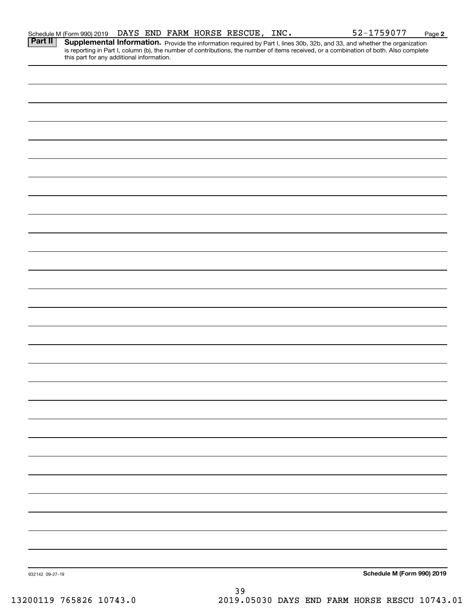| Part II         | <b>Supplemental Information.</b> Provide the information required by Part I, lines 30b, 32b, and 33, and whether the organization is reporting in Part I, column (b), the number of contributions, the number of items received, or |                            |
|-----------------|-------------------------------------------------------------------------------------------------------------------------------------------------------------------------------------------------------------------------------------|----------------------------|
|                 |                                                                                                                                                                                                                                     |                            |
|                 |                                                                                                                                                                                                                                     |                            |
|                 |                                                                                                                                                                                                                                     |                            |
|                 |                                                                                                                                                                                                                                     |                            |
|                 |                                                                                                                                                                                                                                     |                            |
|                 |                                                                                                                                                                                                                                     |                            |
|                 |                                                                                                                                                                                                                                     |                            |
|                 |                                                                                                                                                                                                                                     |                            |
|                 |                                                                                                                                                                                                                                     |                            |
|                 |                                                                                                                                                                                                                                     |                            |
|                 |                                                                                                                                                                                                                                     |                            |
|                 |                                                                                                                                                                                                                                     |                            |
|                 |                                                                                                                                                                                                                                     |                            |
|                 |                                                                                                                                                                                                                                     |                            |
|                 |                                                                                                                                                                                                                                     |                            |
|                 |                                                                                                                                                                                                                                     |                            |
|                 |                                                                                                                                                                                                                                     |                            |
|                 |                                                                                                                                                                                                                                     |                            |
|                 |                                                                                                                                                                                                                                     |                            |
|                 |                                                                                                                                                                                                                                     |                            |
|                 |                                                                                                                                                                                                                                     |                            |
|                 |                                                                                                                                                                                                                                     |                            |
|                 |                                                                                                                                                                                                                                     |                            |
|                 |                                                                                                                                                                                                                                     |                            |
|                 |                                                                                                                                                                                                                                     |                            |
|                 |                                                                                                                                                                                                                                     |                            |
|                 |                                                                                                                                                                                                                                     |                            |
|                 |                                                                                                                                                                                                                                     |                            |
|                 |                                                                                                                                                                                                                                     |                            |
|                 |                                                                                                                                                                                                                                     |                            |
|                 |                                                                                                                                                                                                                                     |                            |
|                 |                                                                                                                                                                                                                                     |                            |
| 932142 09-27-19 |                                                                                                                                                                                                                                     | Schedule M (Form 990) 2019 |
|                 | 39                                                                                                                                                                                                                                  |                            |

Schedule M (Form 990) 2019  $\,$  <code>DAYS END FARM HORSE RESCUE</code> , <code>INC.</code>  $\,$  <code>S2-1759077</code>  $\,$  <code>Page</code>

**2**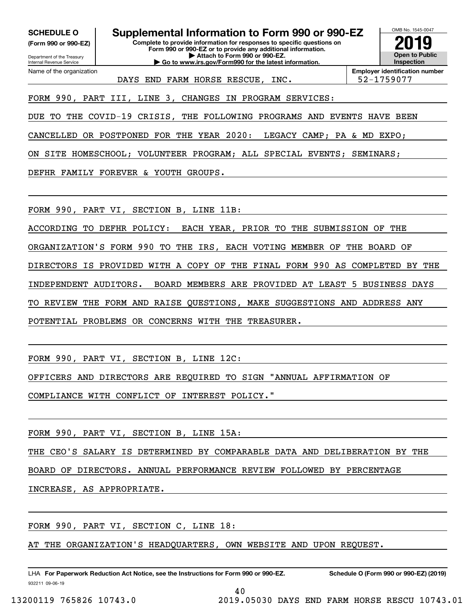**(Form 990 or 990-EZ)**

Department of the Treasury Internal Revenue Service Name of the organization

**Complete to provide information for responses to specific questions on Form 990 or 990-EZ or to provide any additional information. | Attach to Form 990 or 990-EZ. | Go to www.irs.gov/Form990 for the latest information. SCHEDULE O Supplemental Information to Form 990 or 990-EZ**



DAYS END FARM HORSE RESCUE, INC.  $\vert$  52-1759077

**Employer identification number**

FORM 990, PART III, LINE 3, CHANGES IN PROGRAM SERVICES:

DUE TO THE COVID-19 CRISIS, THE FOLLOWING PROGRAMS AND EVENTS HAVE BEEN

CANCELLED OR POSTPONED FOR THE YEAR 2020: LEGACY CAMP; PA & MD EXPO;

ON SITE HOMESCHOOL; VOLUNTEER PROGRAM; ALL SPECIAL EVENTS; SEMINARS;

DEFHR FAMILY FOREVER & YOUTH GROUPS.

FORM 990, PART VI, SECTION B, LINE 11B:

ACCORDING TO DEFHR POLICY: EACH YEAR, PRIOR TO THE SUBMISSION OF THE

ORGANIZATION'S FORM 990 TO THE IRS, EACH VOTING MEMBER OF THE BOARD OF

DIRECTORS IS PROVIDED WITH A COPY OF THE FINAL FORM 990 AS COMPLETED BY THE

INDEPENDENT AUDITORS. BOARD MEMBERS ARE PROVIDED AT LEAST 5 BUSINESS DAYS

TO REVIEW THE FORM AND RAISE QUESTIONS, MAKE SUGGESTIONS AND ADDRESS ANY

POTENTIAL PROBLEMS OR CONCERNS WITH THE TREASURER.

FORM 990, PART VI, SECTION B, LINE 12C:

OFFICERS AND DIRECTORS ARE REQUIRED TO SIGN "ANNUAL AFFIRMATION OF

COMPLIANCE WITH CONFLICT OF INTEREST POLICY."

FORM 990, PART VI, SECTION B, LINE 15A:

THE CEO'S SALARY IS DETERMINED BY COMPARABLE DATA AND DELIBERATION BY THE

BOARD OF DIRECTORS. ANNUAL PERFORMANCE REVIEW FOLLOWED BY PERCENTAGE

INCREASE, AS APPROPRIATE.

FORM 990, PART VI, SECTION C, LINE 18:

AT THE ORGANIZATION'S HEADQUARTERS, OWN WEBSITE AND UPON REQUEST.

932211 09-06-19 LHA For Paperwork Reduction Act Notice, see the Instructions for Form 990 or 990-EZ. Schedule O (Form 990 or 990-EZ) (2019)

40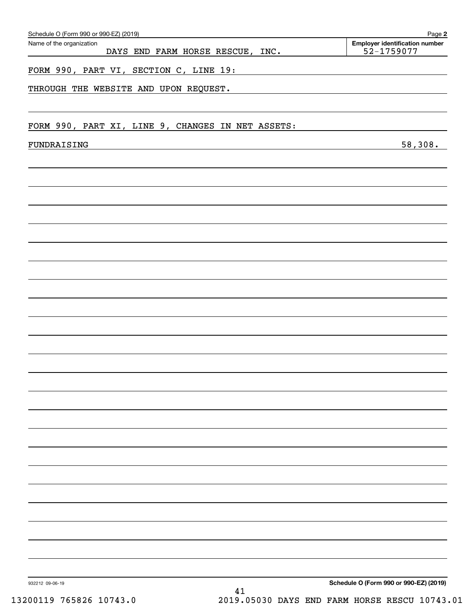| Name of the organization                          | DAYS END FARM HORSE RESCUE, INC. | Employer identification number<br>52-1759077 |
|---------------------------------------------------|----------------------------------|----------------------------------------------|
|                                                   |                                  |                                              |
| FORM 990, PART VI, SECTION C, LINE 19:            |                                  |                                              |
| THROUGH THE WEBSITE AND UPON REQUEST.             |                                  |                                              |
|                                                   |                                  |                                              |
|                                                   |                                  |                                              |
| FORM 990, PART XI, LINE 9, CHANGES IN NET ASSETS: |                                  |                                              |
| FUNDRAISING                                       |                                  | 58,308.                                      |
|                                                   |                                  |                                              |
|                                                   |                                  |                                              |
|                                                   |                                  |                                              |
|                                                   |                                  |                                              |
|                                                   |                                  |                                              |
|                                                   |                                  |                                              |
|                                                   |                                  |                                              |
|                                                   |                                  |                                              |
|                                                   |                                  |                                              |
|                                                   |                                  |                                              |
|                                                   |                                  |                                              |
|                                                   |                                  |                                              |
|                                                   |                                  |                                              |
|                                                   |                                  |                                              |
|                                                   |                                  |                                              |
|                                                   |                                  |                                              |
|                                                   |                                  |                                              |
|                                                   |                                  |                                              |
|                                                   |                                  |                                              |
|                                                   |                                  |                                              |
|                                                   |                                  |                                              |
|                                                   |                                  |                                              |
|                                                   |                                  |                                              |
|                                                   |                                  |                                              |
|                                                   |                                  |                                              |
|                                                   |                                  |                                              |
|                                                   |                                  |                                              |
|                                                   |                                  |                                              |
|                                                   |                                  |                                              |
|                                                   |                                  |                                              |
|                                                   |                                  |                                              |
|                                                   |                                  |                                              |